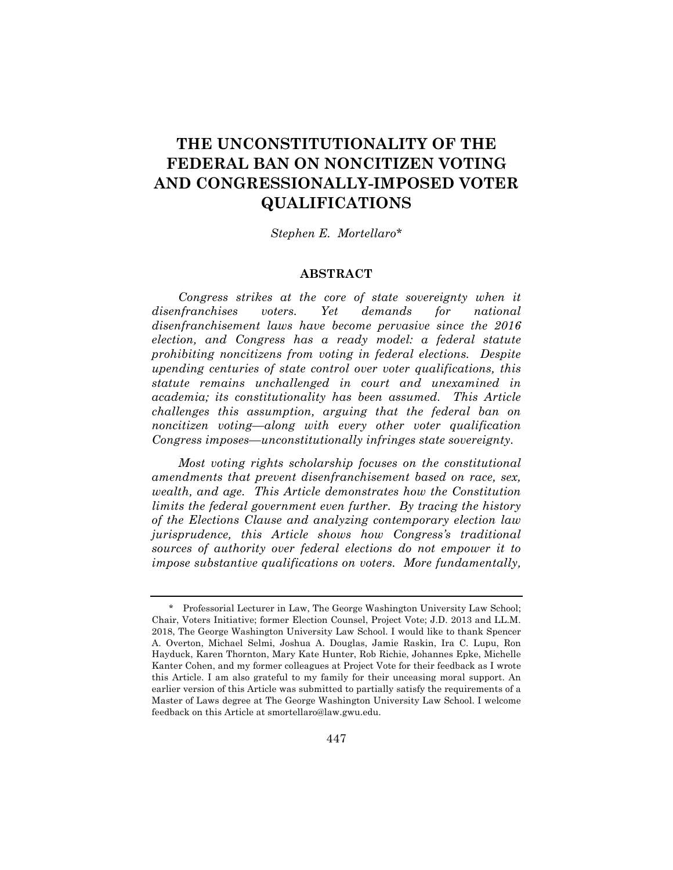# **THE UNCONSTITUTIONALITY OF THE FEDERAL BAN ON NONCITIZEN VOTING AND CONGRESSIONALLY-IMPOSED VOTER QUALIFICATIONS**

#### *Stephen E. Mortellaro\**

## **ABSTRACT**

*Congress strikes at the core of state sovereignty when it disenfranchises voters. Yet demands for national disenfranchisement laws have become pervasive since the 2016 election, and Congress has a ready model: a federal statute prohibiting noncitizens from voting in federal elections. Despite upending centuries of state control over voter qualifications, this statute remains unchallenged in court and unexamined in academia; its constitutionality has been assumed. This Article challenges this assumption, arguing that the federal ban on noncitizen voting—along with every other voter qualification Congress imposes—unconstitutionally infringes state sovereignty.*

*Most voting rights scholarship focuses on the constitutional amendments that prevent disenfranchisement based on race, sex, wealth, and age. This Article demonstrates how the Constitution limits the federal government even further. By tracing the history of the Elections Clause and analyzing contemporary election law jurisprudence, this Article shows how Congress's traditional sources of authority over federal elections do not empower it to impose substantive qualifications on voters. More fundamentally,*

<sup>\*</sup> Professorial Lecturer in Law, The George Washington University Law School; Chair, Voters Initiative; former Election Counsel, Project Vote; J.D. 2013 and LL.M. 2018, The George Washington University Law School. I would like to thank Spencer A. Overton, Michael Selmi, Joshua A. Douglas, Jamie Raskin, Ira C. Lupu, Ron Hayduck, Karen Thornton, Mary Kate Hunter, Rob Richie, Johannes Epke, Michelle Kanter Cohen, and my former colleagues at Project Vote for their feedback as I wrote this Article. I am also grateful to my family for their unceasing moral support. An earlier version of this Article was submitted to partially satisfy the requirements of a Master of Laws degree at The George Washington University Law School. I welcome feedback on this Article at smortellaro@law.gwu.edu.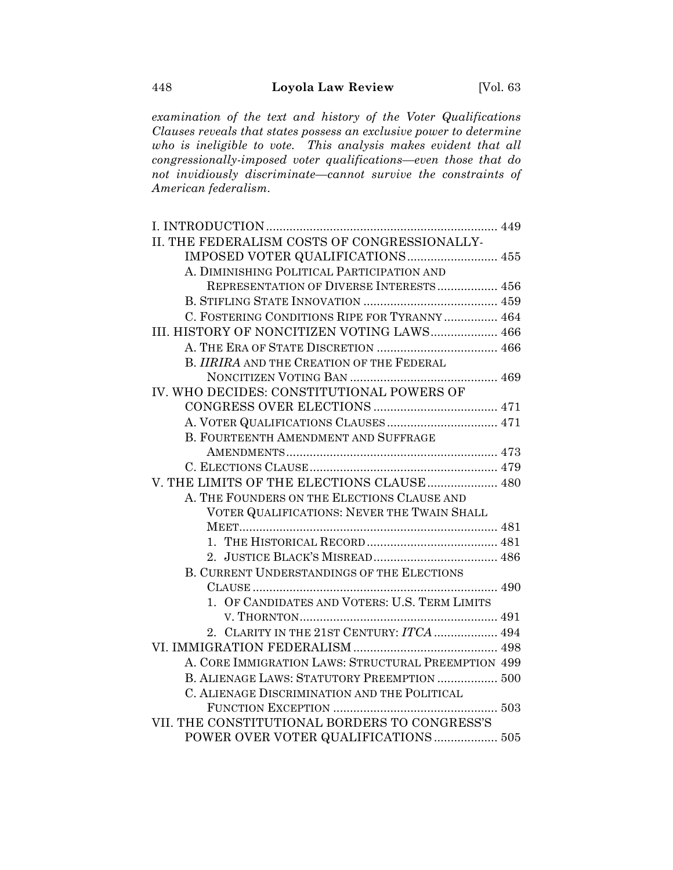*examination of the text and history of the Voter Qualifications Clauses reveals that states possess an exclusive power to determine who is ineligible to vote. This analysis makes evident that all congressionally-imposed voter qualifications—even those that do not invidiously discriminate—cannot survive the constraints of American federalism.*

| II. THE FEDERALISM COSTS OF CONGRESSIONALLY-        |  |
|-----------------------------------------------------|--|
| IMPOSED VOTER QUALIFICATIONS  455                   |  |
| A. DIMINISHING POLITICAL PARTICIPATION AND          |  |
| REPRESENTATION OF DIVERSE INTERESTS 456             |  |
|                                                     |  |
| C. FOSTERING CONDITIONS RIPE FOR TYRANNY  464       |  |
| III. HISTORY OF NONCITIZEN VOTING LAWS 466          |  |
|                                                     |  |
| B. IIRIRA AND THE CREATION OF THE FEDERAL           |  |
|                                                     |  |
| IV. WHO DECIDES: CONSTITUTIONAL POWERS OF           |  |
|                                                     |  |
|                                                     |  |
| B. FOURTEENTH AMENDMENT AND SUFFRAGE                |  |
|                                                     |  |
|                                                     |  |
| V. THE LIMITS OF THE ELECTIONS CLAUSE  480          |  |
| A. THE FOUNDERS ON THE ELECTIONS CLAUSE AND         |  |
| VOTER QUALIFICATIONS: NEVER THE TWAIN SHALL         |  |
|                                                     |  |
|                                                     |  |
|                                                     |  |
| <b>B. CURRENT UNDERSTANDINGS OF THE ELECTIONS</b>   |  |
|                                                     |  |
| 1. OF CANDIDATES AND VOTERS: U.S. TERM LIMITS       |  |
|                                                     |  |
| 2. CLARITY IN THE 21ST CENTURY: ITCA  494           |  |
|                                                     |  |
| A. CORE IMMIGRATION LAWS: STRUCTURAL PREEMPTION 499 |  |
| B. ALIENAGE LAWS: STATUTORY PREEMPTION  500         |  |
| C. ALIENAGE DISCRIMINATION AND THE POLITICAL        |  |
|                                                     |  |
| VII. THE CONSTITUTIONAL BORDERS TO CONGRESS'S       |  |
| POWER OVER VOTER QUALIFICATIONS 505                 |  |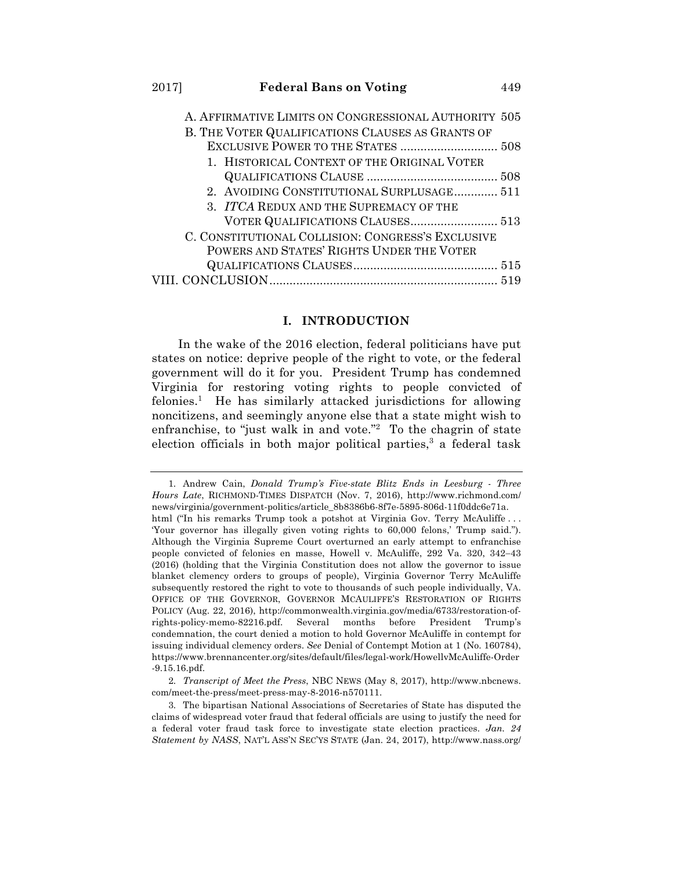| A. AFFIRMATIVE LIMITS ON CONGRESSIONAL AUTHORITY 505 |  |
|------------------------------------------------------|--|
| B. THE VOTER QUALIFICATIONS CLAUSES AS GRANTS OF     |  |
|                                                      |  |
| 1. HISTORICAL CONTEXT OF THE ORIGINAL VOTER          |  |
|                                                      |  |
| 2. AVOIDING CONSTITUTIONAL SURPLUSAGE 511            |  |
| 3. ITCA REDUX AND THE SUPREMACY OF THE               |  |
| VOTER QUALIFICATIONS CLAUSES 513                     |  |
| C. CONSTITUTIONAL COLLISION: CONGRESS'S EXCLUSIVE    |  |
| POWERS AND STATES' RIGHTS UNDER THE VOTER            |  |
|                                                      |  |
|                                                      |  |
|                                                      |  |

## **I. INTRODUCTION**

In the wake of the 2016 election, federal politicians have put states on notice: deprive people of the right to vote, or the federal government will do it for you. President Trump has condemned Virginia for restoring voting rights to people convicted of felonies.<sup>1</sup> He has similarly attacked jurisdictions for allowing noncitizens, and seemingly anyone else that a state might wish to enfranchise, to "just walk in and vote."<sup>2</sup> To the chagrin of state election officials in both major political parties,<sup>3</sup> a federal task

<sup>1.</sup> Andrew Cain, *Donald Trump's Five-state Blitz Ends in Leesburg - Three Hours Late*, RICHMOND-TIMES DISPATCH (Nov. 7, 2016), http://www.richmond.com/ news/virginia/government-politics/article\_8b8386b6-8f7e-5895-806d-11f0ddc6e71a. html ("In his remarks Trump took a potshot at Virginia Gov. Terry McAuliffe... 'Your governor has illegally given voting rights to 60,000 felons,' Trump said."). Although the Virginia Supreme Court overturned an early attempt to enfranchise people convicted of felonies en masse, Howell v. McAuliffe, 292 Va. 320, 342-43 (2016) (holding that the Virginia Constitution does not allow the governor to issue blanket clemency orders to groups of people), Virginia Governor Terry McAuliffe subsequently restored the right to vote to thousands of such people individually, VA. OFFICE OF THE GOVERNOR, GOVERNOR MCAULIFFE'S RESTORATION OF RIGHTS POLICY (Aug. 22, 2016), http://commonwealth.virginia.gov/media/6733/restoration-ofrights-policy-memo-82216.pdf. Several months before President Trump's condemnation, the court denied a motion to hold Governor McAuliffe in contempt for issuing individual clemency orders. *See* Denial of Contempt Motion at 1 (No. 160784), https://www.brennancenter.org/sites/default/files/legal-work/HowellvMcAuliffe-Order -9.15.16.pdf.

<sup>2.</sup> *Transcript of Meet the Press*, NBC NEWS (May 8, 2017), http://www.nbcnews. com/meet-the-press/meet-press-may-8-2016-n570111.

<sup>3.</sup> The bipartisan National Associations of Secretaries of State has disputed the claims of widespread voter fraud that federal officials are using to justify the need for a federal voter fraud task force to investigate state election practices. *Jan. 24 Statement by NASS*, NAT'L ASS'N SEC'YS STATE (Jan. 24, 2017), http://www.nass.org/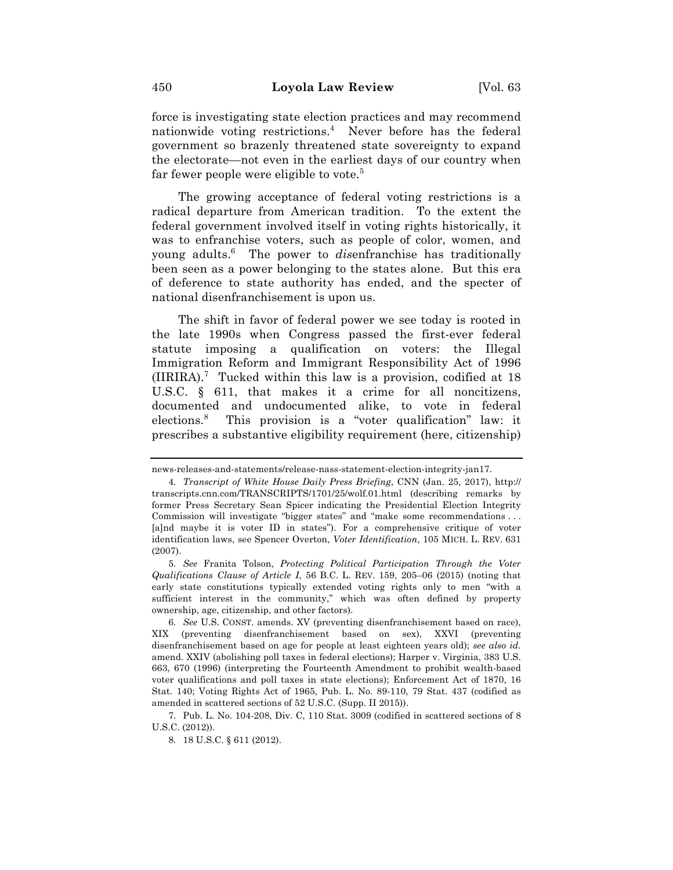force is investigating state election practices and may recommend nationwide voting restrictions.4 Never before has the federal government so brazenly threatened state sovereignty to expand the electorate—not even in the earliest days of our country when far fewer people were eligible to vote.<sup>5</sup>

The growing acceptance of federal voting restrictions is a radical departure from American tradition. To the extent the federal government involved itself in voting rights historically, it was to enfranchise voters, such as people of color, women, and young adults.6 The power to *dis*enfranchise has traditionally been seen as a power belonging to the states alone. But this era of deference to state authority has ended, and the specter of national disenfranchisement is upon us.

The shift in favor of federal power we see today is rooted in the late 1990s when Congress passed the first-ever federal statute imposing a qualification on voters: the Illegal Immigration Reform and Immigrant Responsibility Act of 1996 (IIRIRA).7 Tucked within this law is a provision, codified at 18 U.S.C. § 611, that makes it a crime for all noncitizens, documented and undocumented alike, to vote in federal elections.<sup>8</sup> This provision is a "voter qualification" law: it prescribes a substantive eligibility requirement (here, citizenship)

news-releases-and-statements/release-nass-statement-election-integrity-jan17.

<sup>4.</sup> *Transcript of White House Daily Press Briefing*, CNN (Jan. 25, 2017), http:// transcripts.cnn.com/TRANSCRIPTS/1701/25/wolf.01.html (describing remarks by former Press Secretary Sean Spicer indicating the Presidential Election Integrity Commission will investigate "bigger states" and "make some recommendations . . . [a]nd maybe it is voter ID in states"). For a comprehensive critique of voter identification laws, see Spencer Overton, *Voter Identification*, 105 MICH. L. REV. 631 (2007).

<sup>5.</sup> *See* Franita Tolson, *Protecting Political Participation Through the Voter Qualifications Clause of Article I*, 56 B.C. L. REV. 159, 205–06 (2015) (noting that early state constitutions typically extended voting rights only to men "with a sufficient interest in the community," which was often defined by property ownership, age, citizenship, and other factors).

<sup>6.</sup> *See* U.S. CONST. amends. XV (preventing disenfranchisement based on race), XIX (preventing disenfranchisement based on sex), XXVI (preventing disenfranchisement based on age for people at least eighteen years old); *see also id.*  amend. XXIV (abolishing poll taxes in federal elections); Harper v. Virginia, 383 U.S. 663, 670 (1996) (interpreting the Fourteenth Amendment to prohibit wealth-based voter qualifications and poll taxes in state elections); Enforcement Act of 1870, 16 Stat. 140; Voting Rights Act of 1965, Pub. L. No. 89-110, 79 Stat. 437 (codified as amended in scattered sections of 52 U.S.C. (Supp. II 2015)).

<sup>7.</sup> Pub. L. No. 104-208, Div. C, 110 Stat. 3009 (codified in scattered sections of 8 U.S.C. (2012)).

<sup>8.</sup> 18 U.S.C. § 611 (2012).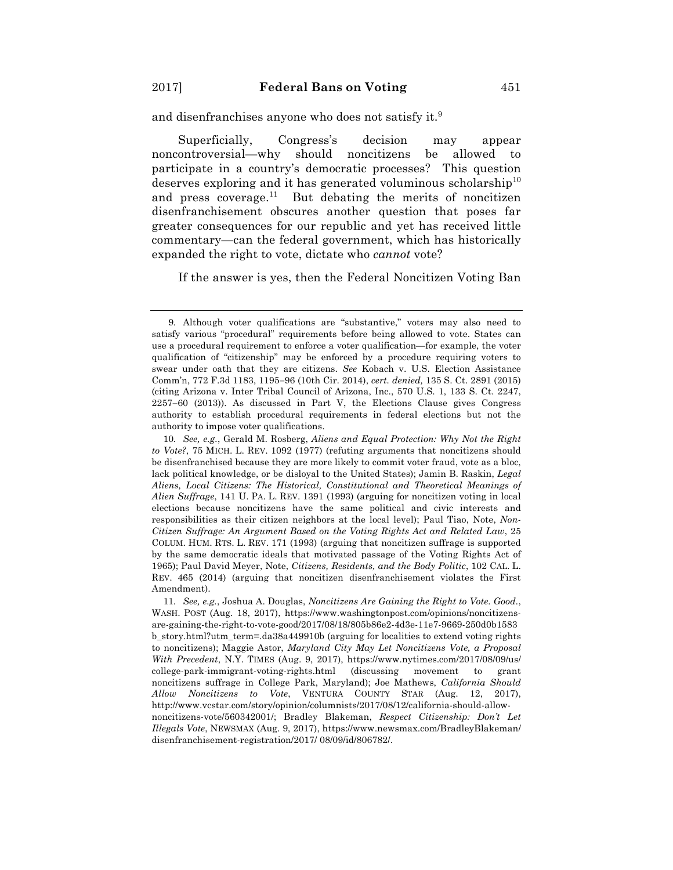and disenfranchises anyone who does not satisfy it.<sup>9</sup>

Superficially, Congress's decision may appear noncontroversial—why should noncitizens be allowed to participate in a country's democratic processes? This question deserves exploring and it has generated voluminous scholarship<sup>10</sup> and press coverage.<sup>11</sup> But debating the merits of noncitizen disenfranchisement obscures another question that poses far greater consequences for our republic and yet has received little commentary—can the federal government, which has historically expanded the right to vote, dictate who *cannot* vote?

If the answer is yes, then the Federal Noncitizen Voting Ban

10. *See, e.g.*, Gerald M. Rosberg, *Aliens and Equal Protection: Why Not the Right to Vote?*, 75 MICH. L. REV. 1092 (1977) (refuting arguments that noncitizens should be disenfranchised because they are more likely to commit voter fraud, vote as a bloc, lack political knowledge, or be disloyal to the United States); Jamin B. Raskin, *Legal Aliens, Local Citizens: The Historical, Constitutional and Theoretical Meanings of Alien Suffrage*, 141 U. PA. L. REV. 1391 (1993) (arguing for noncitizen voting in local elections because noncitizens have the same political and civic interests and responsibilities as their citizen neighbors at the local level); Paul Tiao, Note, *Non-Citizen Suffrage: An Argument Based on the Voting Rights Act and Related Law*, 25 COLUM. HUM. RTS. L. REV. 171 (1993) (arguing that noncitizen suffrage is supported by the same democratic ideals that motivated passage of the Voting Rights Act of 1965); Paul David Meyer, Note, *Citizens, Residents, and the Body Politic*, 102 CAL. L. REV. 465 (2014) (arguing that noncitizen disenfranchisement violates the First Amendment).

<sup>9.</sup> Although voter qualifications are "substantive," voters may also need to satisfy various "procedural" requirements before being allowed to vote. States can use a procedural requirement to enforce a voter qualification—for example, the voter qualification of "citizenship" may be enforced by a procedure requiring voters to swear under oath that they are citizens. *See* Kobach v. U.S. Election Assistance Comm'n, 772 F.3d 1183, 1195-96 (10th Cir. 2014), *cert. denied,* 135 S. Ct. 2891 (2015) (citing Arizona v. Inter Tribal Council of Arizona, Inc., 570 U.S. 1, 133 S. Ct. 2247, 2257-60 (2013)). As discussed in Part V, the Elections Clause gives Congress authority to establish procedural requirements in federal elections but not the authority to impose voter qualifications.

<sup>11.</sup> *See, e.g.*, Joshua A. Douglas, *Noncitizens Are Gaining the Right to Vote. Good.*, WASH. POST (Aug. 18, 2017), https://www.washingtonpost.com/opinions/noncitizensare-gaining-the-right-to-vote-good/2017/08/18/805b86e2-4d3e-11e7-9669-250d0b1583 b\_story.html?utm\_term=.da38a449910b (arguing for localities to extend voting rights to noncitizens); Maggie Astor, *Maryland City May Let Noncitizens Vote, a Proposal With Precedent*, N.Y. TIMES (Aug. 9, 2017), https://www.nytimes.com/2017/08/09/us/ college-park-immigrant-voting-rights.html (discussing movement to grant noncitizens suffrage in College Park, Maryland); Joe Mathews, *California Should Allow Noncitizens to Vote*, VENTURA COUNTY STAR (Aug. 12, 2017), http://www.vcstar.com/story/opinion/columnists/2017/08/12/california-should-allownoncitizens-vote/560342001/; Bradley Blakeman, *Respect Citizenship: Don't Let Illegals Vote*, NEWSMAX (Aug. 9, 2017), https://www.newsmax.com/BradleyBlakeman/ disenfranchisement-registration/2017/ 08/09/id/806782/.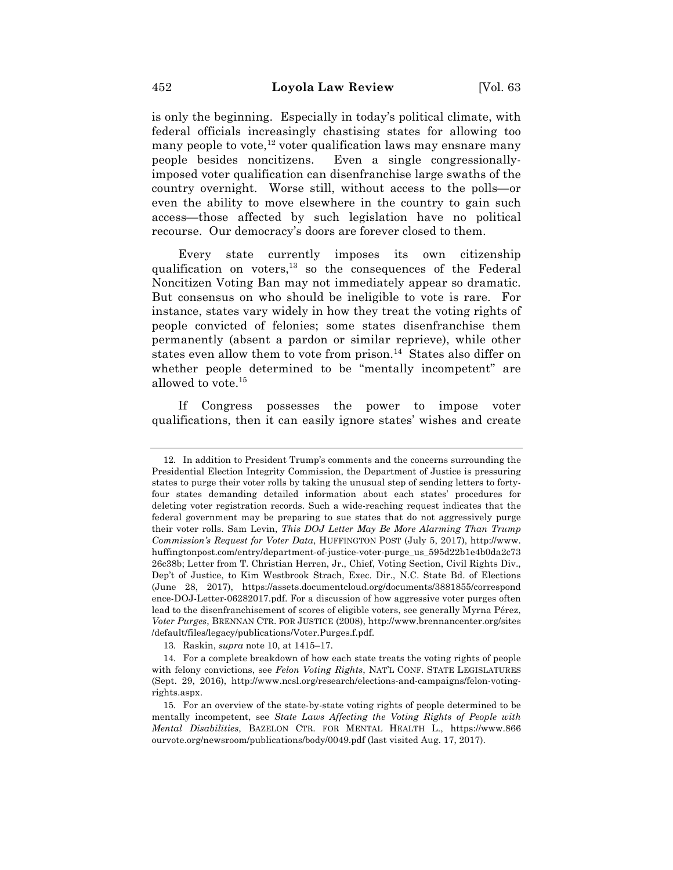is only the beginning. Especially in today's political climate, with federal officials increasingly chastising states for allowing too many people to vote,<sup>12</sup> voter qualification laws may ensnare many people besides noncitizens. Even a single congressionallyimposed voter qualification can disenfranchise large swaths of the country overnight. Worse still, without access to the polls—or even the ability to move elsewhere in the country to gain such access—those affected by such legislation have no political recourse. Our democracy's doors are forever closed to them.

Every state currently imposes its own citizenship qualification on voters, $^{13}$  so the consequences of the Federal Noncitizen Voting Ban may not immediately appear so dramatic. But consensus on who should be ineligible to vote is rare. For instance, states vary widely in how they treat the voting rights of people convicted of felonies; some states disenfranchise them permanently (absent a pardon or similar reprieve), while other states even allow them to vote from prison.<sup>14</sup> States also differ on whether people determined to be "mentally incompetent" are allowed to vote.15

If Congress possesses the power to impose voter qualifications, then it can easily ignore states' wishes and create

13. Raskin, *supra* note 10, at 1415–17.

<sup>12.</sup> In addition to President Trump's comments and the concerns surrounding the Presidential Election Integrity Commission, the Department of Justice is pressuring states to purge their voter rolls by taking the unusual step of sending letters to fortyfour states demanding detailed information about each states' procedures for deleting voter registration records. Such a wide-reaching request indicates that the federal government may be preparing to sue states that do not aggressively purge their voter rolls. Sam Levin, *This DOJ Letter May Be More Alarming Than Trump Commission's Request for Voter Data*, HUFFINGTON POST (July 5, 2017), http://www. huffingtonpost.com/entry/department-of-justice-voter-purge\_us\_595d22b1e4b0da2c73 26c38b; Letter from T. Christian Herren, Jr., Chief, Voting Section, Civil Rights Div., Dep't of Justice, to Kim Westbrook Strach, Exec. Dir., N.C. State Bd. of Elections (June 28, 2017), https://assets.documentcloud.org/documents/3881855/correspond ence-DOJ-Letter-06282017.pdf. For a discussion of how aggressive voter purges often lead to the disenfranchisement of scores of eligible voters, see generally Myrna Pérez, *Voter Purges*, BRENNAN CTR. FOR JUSTICE (2008), http://www.brennancenter.org/sites /default/files/legacy/publications/Voter.Purges.f.pdf.

<sup>14.</sup> For a complete breakdown of how each state treats the voting rights of people with felony convictions, see *Felon Voting Rights*, NAT'L CONF. STATE LEGISLATURES (Sept. 29, 2016), http://www.ncsl.org/research/elections-and-campaigns/felon-votingrights.aspx.

<sup>15.</sup> For an overview of the state-by-state voting rights of people determined to be mentally incompetent, see *State Laws Affecting the Voting Rights of People with Mental Disabilities*, BAZELON CTR. FOR MENTAL HEALTH L., https://www.866 ourvote.org/newsroom/publications/body/0049.pdf (last visited Aug. 17, 2017).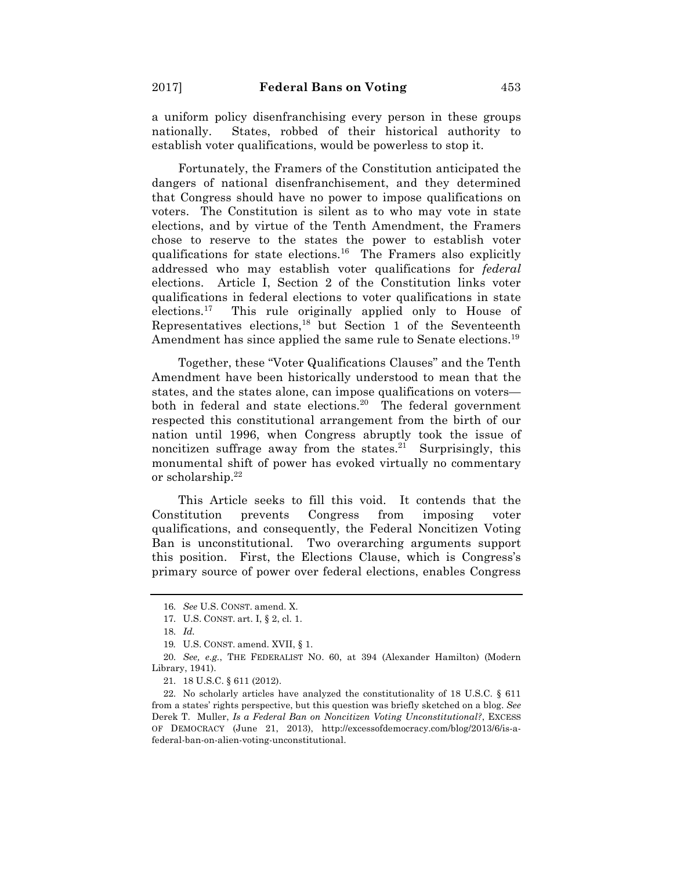a uniform policy disenfranchising every person in these groups nationally. States, robbed of their historical authority to establish voter qualifications, would be powerless to stop it.

Fortunately, the Framers of the Constitution anticipated the dangers of national disenfranchisement, and they determined that Congress should have no power to impose qualifications on voters. The Constitution is silent as to who may vote in state elections, and by virtue of the Tenth Amendment, the Framers chose to reserve to the states the power to establish voter qualifications for state elections.16 The Framers also explicitly addressed who may establish voter qualifications for *federal* elections. Article I, Section 2 of the Constitution links voter qualifications in federal elections to voter qualifications in state elections.17 This rule originally applied only to House of Representatives elections, $18$  but Section 1 of the Seventeenth Amendment has since applied the same rule to Senate elections.<sup>19</sup>

Together, these "Voter Qualifications Clauses" and the Tenth Amendment have been historically understood to mean that the states, and the states alone, can impose qualifications on voters both in federal and state elections.<sup>20</sup> The federal government respected this constitutional arrangement from the birth of our nation until 1996, when Congress abruptly took the issue of noncitizen suffrage away from the states.<sup>21</sup> Surprisingly, this monumental shift of power has evoked virtually no commentary or scholarship.22

This Article seeks to fill this void. It contends that the Constitution prevents Congress from imposing voter qualifications, and consequently, the Federal Noncitizen Voting Ban is unconstitutional. Two overarching arguments support this position. First, the Elections Clause, which is Congress's primary source of power over federal elections, enables Congress

<sup>16.</sup> *See* U.S. CONST. amend. X.

<sup>17.</sup> U.S. CONST. art. I, § 2, cl. 1.

<sup>18.</sup> *Id.*

<sup>19</sup>*.* U.S. CONST. amend. XVII, § 1.

<sup>20.</sup> *See, e.g.*, THE FEDERALIST NO. 60, at 394 (Alexander Hamilton) (Modern Library, 1941).

<sup>21.</sup> 18 U.S.C. § 611 (2012).

<sup>22.</sup> No scholarly articles have analyzed the constitutionality of 18 U.S.C. § 611 from a states' rights perspective, but this question was briefly sketched on a blog. *See*  Derek T. Muller, *Is a Federal Ban on Noncitizen Voting Unconstitutional?*, EXCESS OF DEMOCRACY (June 21, 2013), http://excessofdemocracy.com/blog/2013/6/is-afederal-ban-on-alien-voting-unconstitutional.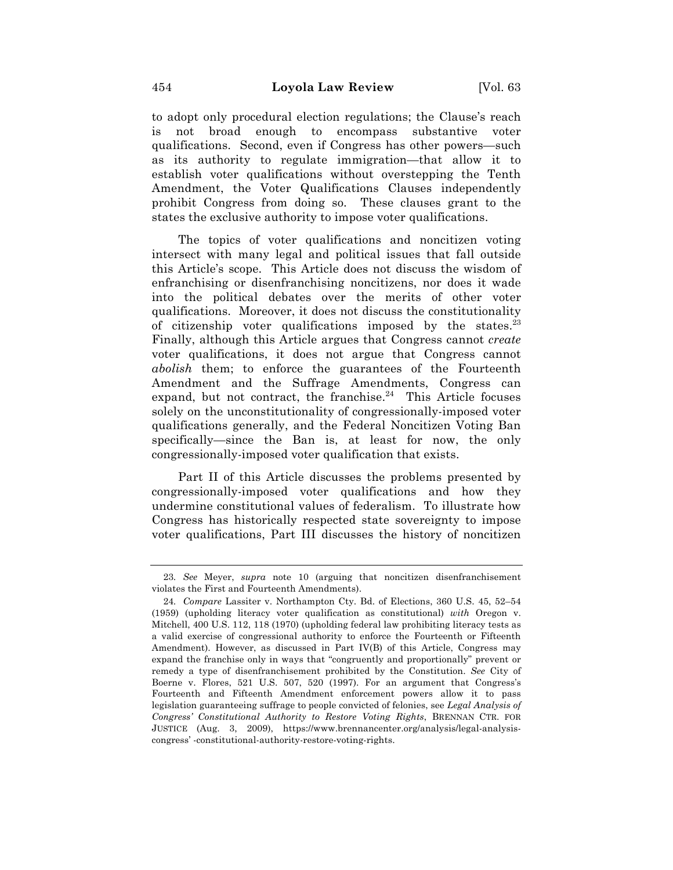to adopt only procedural election regulations; the Clause's reach is not broad enough to encompass substantive voter qualifications. Second, even if Congress has other powers—such as its authority to regulate immigration—that allow it to establish voter qualifications without overstepping the Tenth Amendment, the Voter Qualifications Clauses independently prohibit Congress from doing so. These clauses grant to the states the exclusive authority to impose voter qualifications.

The topics of voter qualifications and noncitizen voting intersect with many legal and political issues that fall outside this Article's scope. This Article does not discuss the wisdom of enfranchising or disenfranchising noncitizens, nor does it wade into the political debates over the merits of other voter qualifications. Moreover, it does not discuss the constitutionality of citizenship voter qualifications imposed by the states. $^{23}$ Finally, although this Article argues that Congress cannot *create* voter qualifications, it does not argue that Congress cannot *abolish* them; to enforce the guarantees of the Fourteenth Amendment and the Suffrage Amendments, Congress can expand, but not contract, the franchise. $24$  This Article focuses solely on the unconstitutionality of congressionally-imposed voter qualifications generally, and the Federal Noncitizen Voting Ban specifically—since the Ban is, at least for now, the only congressionally-imposed voter qualification that exists.

Part II of this Article discusses the problems presented by congressionally-imposed voter qualifications and how they undermine constitutional values of federalism. To illustrate how Congress has historically respected state sovereignty to impose voter qualifications, Part III discusses the history of noncitizen

<sup>23.</sup> *See* Meyer, *supra* note 10 (arguing that noncitizen disenfranchisement violates the First and Fourteenth Amendments).

<sup>24.</sup> *Compare* Lassiter v. Northampton Cty. Bd. of Elections, 360 U.S. 45, 52–54 (1959) (upholding literacy voter qualification as constitutional) *with* Oregon v. Mitchell, 400 U.S. 112, 118 (1970) (upholding federal law prohibiting literacy tests as a valid exercise of congressional authority to enforce the Fourteenth or Fifteenth Amendment). However, as discussed in Part IV(B) of this Article, Congress may expand the franchise only in ways that "congruently and proportionally" prevent or remedy a type of disenfranchisement prohibited by the Constitution. *See* City of Boerne v. Flores, 521 U.S. 507, 520 (1997). For an argument that Congress's Fourteenth and Fifteenth Amendment enforcement powers allow it to pass legislation guaranteeing suffrage to people convicted of felonies, see *Legal Analysis of Congress' Constitutional Authority to Restore Voting Rights*, BRENNAN CTR. FOR JUSTICE (Aug. 3, 2009), https://www.brennancenter.org/analysis/legal-analysiscongress' -constitutional-authority-restore-voting-rights.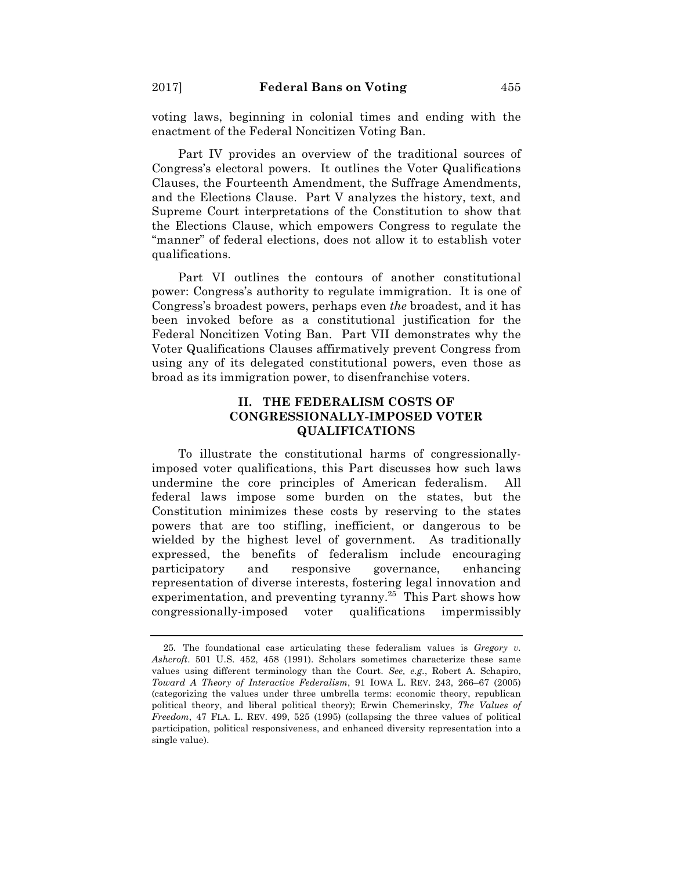voting laws, beginning in colonial times and ending with the enactment of the Federal Noncitizen Voting Ban.

Part IV provides an overview of the traditional sources of Congress's electoral powers. It outlines the Voter Qualifications Clauses, the Fourteenth Amendment, the Suffrage Amendments, and the Elections Clause. Part V analyzes the history, text, and Supreme Court interpretations of the Constitution to show that the Elections Clause, which empowers Congress to regulate the "manner" of federal elections, does not allow it to establish voter qualifications.

Part VI outlines the contours of another constitutional power: Congress's authority to regulate immigration. It is one of Congress's broadest powers, perhaps even *the* broadest, and it has been invoked before as a constitutional justification for the Federal Noncitizen Voting Ban. Part VII demonstrates why the Voter Qualifications Clauses affirmatively prevent Congress from using any of its delegated constitutional powers, even those as broad as its immigration power, to disenfranchise voters.

## **II. THE FEDERALISM COSTS OF CONGRESSIONALLY-IMPOSED VOTER QUALIFICATIONS**

To illustrate the constitutional harms of congressionallyimposed voter qualifications, this Part discusses how such laws undermine the core principles of American federalism. All federal laws impose some burden on the states, but the Constitution minimizes these costs by reserving to the states powers that are too stifling, inefficient, or dangerous to be wielded by the highest level of government. As traditionally expressed, the benefits of federalism include encouraging participatory and responsive governance, enhancing representation of diverse interests, fostering legal innovation and experimentation, and preventing tyranny.<sup>25</sup> This Part shows how congressionally-imposed voter qualifications impermissibly

<sup>25.</sup> The foundational case articulating these federalism values is *Gregory v. Ashcroft*. 501 U.S. 452, 458 (1991). Scholars sometimes characterize these same values using different terminology than the Court. *See, e.g.*, Robert A. Schapiro, *Toward A Theory of Interactive Federalism*, 91 IOWA L. REV. 243, 266–67 (2005) (categorizing the values under three umbrella terms: economic theory, republican political theory, and liberal political theory); Erwin Chemerinsky, *The Values of Freedom*, 47 FLA. L. REV. 499, 525 (1995) (collapsing the three values of political participation, political responsiveness, and enhanced diversity representation into a single value).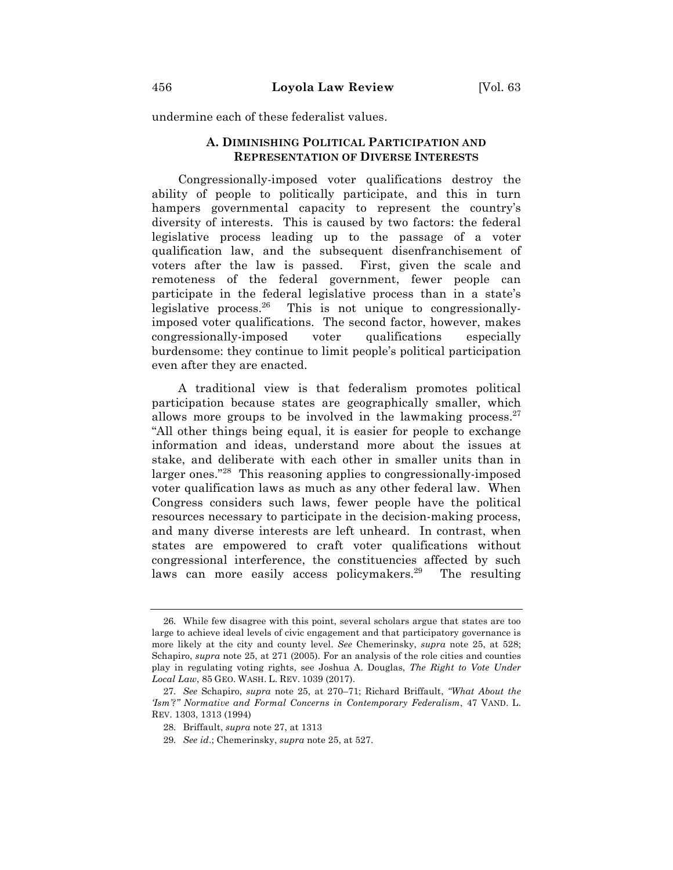undermine each of these federalist values.

## **A. DIMINISHING POLITICAL PARTICIPATION AND REPRESENTATION OF DIVERSE INTERESTS**

Congressionally-imposed voter qualifications destroy the ability of people to politically participate, and this in turn hampers governmental capacity to represent the country's diversity of interests. This is caused by two factors: the federal legislative process leading up to the passage of a voter qualification law, and the subsequent disenfranchisement of voters after the law is passed. First, given the scale and remoteness of the federal government, fewer people can participate in the federal legislative process than in a state's legislative process.26 This is not unique to congressionallyimposed voter qualifications. The second factor, however, makes congressionally-imposed voter qualifications especially burdensome: they continue to limit people's political participation even after they are enacted.

A traditional view is that federalism promotes political participation because states are geographically smaller, which allows more groups to be involved in the lawmaking process. $27$ "All other things being equal, it is easier for people to exchange information and ideas, understand more about the issues at stake, and deliberate with each other in smaller units than in larger ones."28 This reasoning applies to congressionally-imposed voter qualification laws as much as any other federal law. When Congress considers such laws, fewer people have the political resources necessary to participate in the decision-making process, and many diverse interests are left unheard. In contrast, when states are empowered to craft voter qualifications without congressional interference, the constituencies affected by such laws can more easily access policymakers.<sup>29</sup> The resulting

<sup>26.</sup> While few disagree with this point, several scholars argue that states are too large to achieve ideal levels of civic engagement and that participatory governance is more likely at the city and county level. *See* Chemerinsky, *supra* note 25, at 528; Schapiro, *supra* note 25, at 271 (2005). For an analysis of the role cities and counties play in regulating voting rights, see Joshua A. Douglas, *The Right to Vote Under Local Law*, 85 GEO. WASH. L. REV. 1039 (2017).

<sup>27.</sup> *See* Schapiro, *supra* note 25, at 270–71; Richard Briffault, *"What About the 'Ism'?" Normative and Formal Concerns in Contemporary Federalism*, 47 VAND. L. REV. 1303, 1313 (1994)

<sup>28.</sup> Briffault, *supra* note 27, at 1313

<sup>29.</sup> *See id*.; Chemerinsky, *supra* note 25, at 527.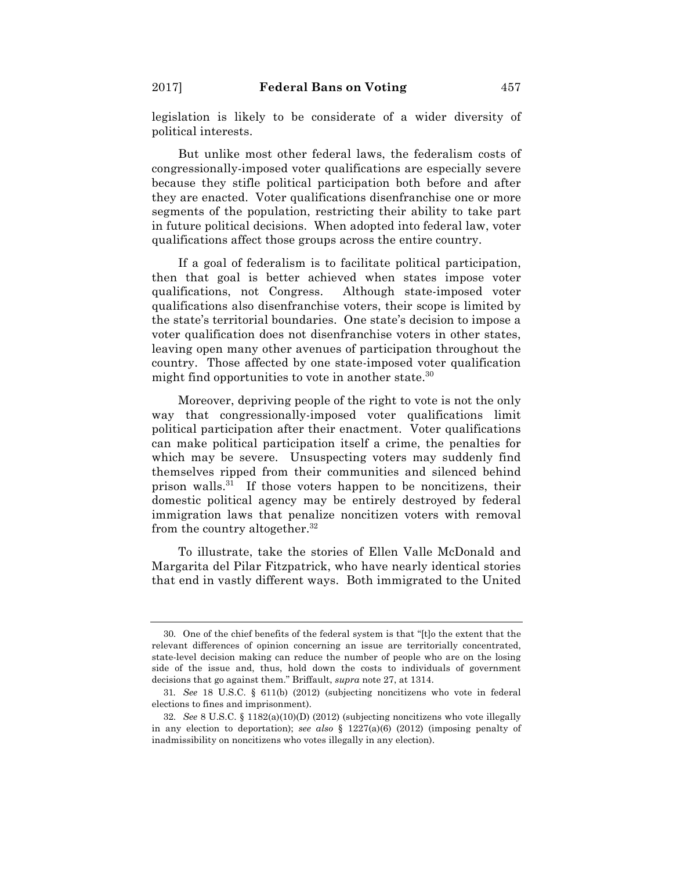legislation is likely to be considerate of a wider diversity of political interests.

But unlike most other federal laws, the federalism costs of congressionally-imposed voter qualifications are especially severe because they stifle political participation both before and after they are enacted. Voter qualifications disenfranchise one or more segments of the population, restricting their ability to take part in future political decisions. When adopted into federal law, voter qualifications affect those groups across the entire country.

If a goal of federalism is to facilitate political participation, then that goal is better achieved when states impose voter qualifications, not Congress. Although state-imposed voter qualifications also disenfranchise voters, their scope is limited by the state's territorial boundaries. One state's decision to impose a voter qualification does not disenfranchise voters in other states, leaving open many other avenues of participation throughout the country. Those affected by one state-imposed voter qualification might find opportunities to vote in another state.<sup>30</sup>

Moreover, depriving people of the right to vote is not the only way that congressionally-imposed voter qualifications limit political participation after their enactment. Voter qualifications can make political participation itself a crime, the penalties for which may be severe. Unsuspecting voters may suddenly find themselves ripped from their communities and silenced behind prison walls.<sup>31</sup> If those voters happen to be noncitizens, their domestic political agency may be entirely destroyed by federal immigration laws that penalize noncitizen voters with removal from the country altogether.<sup>32</sup>

To illustrate, take the stories of Ellen Valle McDonald and Margarita del Pilar Fitzpatrick, who have nearly identical stories that end in vastly different ways. Both immigrated to the United

<sup>30.</sup> One of the chief benefits of the federal system is that "[t]o the extent that the relevant differences of opinion concerning an issue are territorially concentrated, state-level decision making can reduce the number of people who are on the losing side of the issue and, thus, hold down the costs to individuals of government decisions that go against them." Briffault, *supra* note 27, at 1314.

<sup>31</sup>*. See* 18 U.S.C. § 611(b) (2012) (subjecting noncitizens who vote in federal elections to fines and imprisonment).

<sup>32.</sup> *See* 8 U.S.C. § 1182(a)(10)(D) (2012) (subjecting noncitizens who vote illegally in any election to deportation); *see also*  $\S$  1227(a)(6) (2012) (imposing penalty of inadmissibility on noncitizens who votes illegally in any election).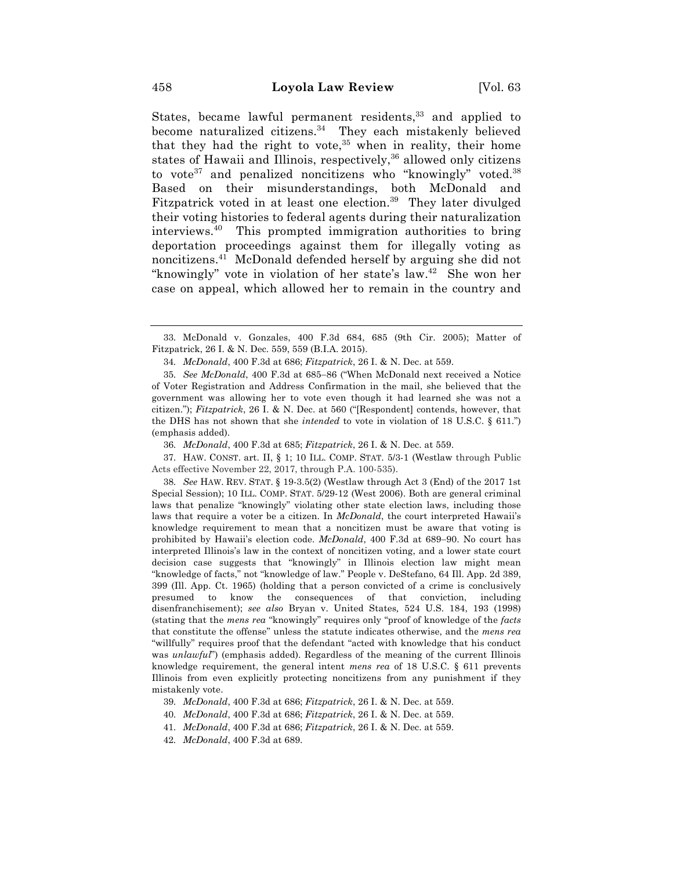States, became lawful permanent residents,<sup>33</sup> and applied to become naturalized citizens.<sup>34</sup> They each mistakenly believed that they had the right to vote, $35$  when in reality, their home states of Hawaii and Illinois, respectively,<sup>36</sup> allowed only citizens to vote<sup>37</sup> and penalized noncitizens who "knowingly" voted.<sup>38</sup> Based on their misunderstandings, both McDonald and Fitzpatrick voted in at least one election.<sup>39</sup> They later divulged their voting histories to federal agents during their naturalization interviews.40 This prompted immigration authorities to bring deportation proceedings against them for illegally voting as noncitizens.41 McDonald defended herself by arguing she did not "knowingly" vote in violation of her state's law.<sup>42</sup> She won her case on appeal, which allowed her to remain in the country and

36. *McDonald*, 400 F.3d at 685; *Fitzpatrick*, 26 I. & N. Dec. at 559.

37. HAW. CONST. art. II, § 1; 10 ILL. COMP. STAT. 5/3-1 (Westlaw through Public Acts effective November 22, 2017, through P.A. 100-535).

38. *See* HAW. REV. STAT. § 19-3.5(2) (Westlaw through Act 3 (End) of the 2017 1st Special Session); 10 ILL. COMP. STAT. 5/29-12 (West 2006). Both are general criminal laws that penalize "knowingly" violating other state election laws, including those laws that require a voter be a citizen. In *McDonald*, the court interpreted Hawaii's knowledge requirement to mean that a noncitizen must be aware that voting is prohibited by Hawaii's election code. *McDonald*, 400 F.3d at 689-90. No court has interpreted Illinois's law in the context of noncitizen voting, and a lower state court decision case suggests that "knowingly" in Illinois election law might mean "knowledge of facts," not "knowledge of law." People v. DeStefano, 64 Ill. App. 2d 389, 399 (Ill. App. Ct. 1965) (holding that a person convicted of a crime is conclusively presumed to know the consequences of that conviction, including disenfranchisement); *see also* Bryan v. United States*,* 524 U.S. 184, 193 (1998) (stating that the *mens rea* "knowingly" requires only "proof of knowledge of the *facts* that constitute the offense" unless the statute indicates otherwise, and the *mens rea*  "willfully" requires proof that the defendant "acted with knowledge that his conduct was *unlawful*") (emphasis added). Regardless of the meaning of the current Illinois knowledge requirement, the general intent *mens rea* of 18 U.S.C. § 611 prevents Illinois from even explicitly protecting noncitizens from any punishment if they mistakenly vote.

- 39. *McDonald*, 400 F.3d at 686; *Fitzpatrick*, 26 I. & N. Dec. at 559.
- 40. *McDonald*, 400 F.3d at 686; *Fitzpatrick*, 26 I. & N. Dec. at 559.
- 41. *McDonald*, 400 F.3d at 686; *Fitzpatrick*, 26 I. & N. Dec. at 559.
- 42. *McDonald*, 400 F.3d at 689.

<sup>33.</sup> McDonald v. Gonzales, 400 F.3d 684, 685 (9th Cir. 2005); Matter of Fitzpatrick, 26 I. & N. Dec. 559, 559 (B.I.A. 2015).

<sup>34.</sup> *McDonald*, 400 F.3d at 686; *Fitzpatrick*, 26 I. & N. Dec. at 559.

<sup>35.</sup> *See McDonald*, 400 F.3d at 685-86 ("When McDonald next received a Notice of Voter Registration and Address Confirmation in the mail, she believed that the government was allowing her to vote even though it had learned she was not a citizen."); *Fitzpatrick*, 26 I. & N. Dec. at 560 ("[Respondent] contends, however, that the DHS has not shown that she *intended* to vote in violation of 18 U.S.C. § 611.") (emphasis added).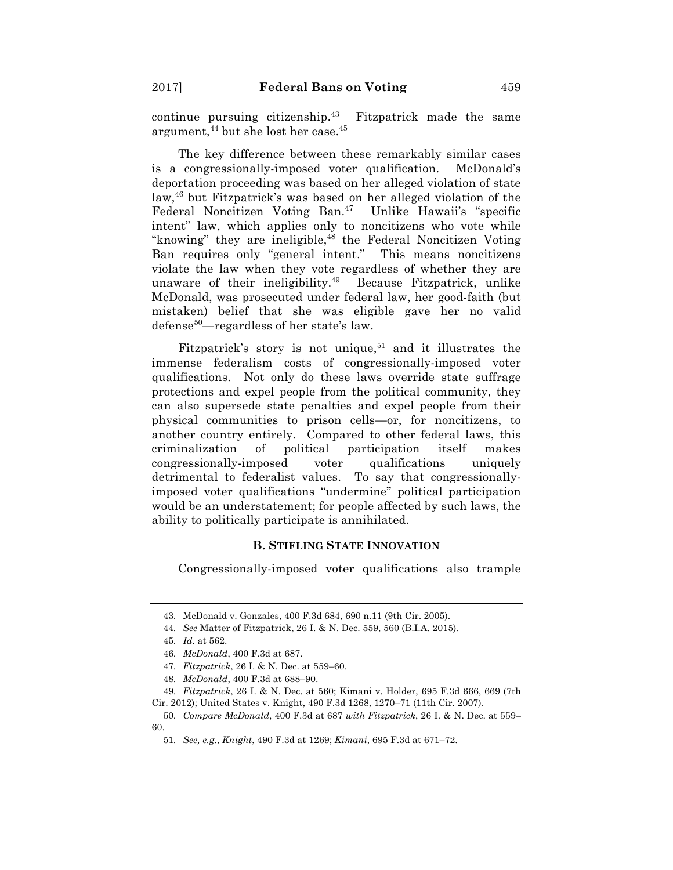continue pursuing citizenship. $43$  Fitzpatrick made the same argument,  $44$  but she lost her case.  $45$ 

The key difference between these remarkably similar cases is a congressionally-imposed voter qualification. McDonald's deportation proceeding was based on her alleged violation of state law,46 but Fitzpatrick's was based on her alleged violation of the Federal Noncitizen Voting Ban.<sup>47</sup> Unlike Hawaii's "specific intent" law, which applies only to noncitizens who vote while "knowing" they are ineligible, $48$  the Federal Noncitizen Voting Ban requires only "general intent." This means noncitizens violate the law when they vote regardless of whether they are unaware of their ineligibility.<sup>49</sup> Because Fitzpatrick, unlike McDonald, was prosecuted under federal law, her good-faith (but mistaken) belief that she was eligible gave her no valid defense<sup>50</sup>—regardless of her state's law.

Fitzpatrick's story is not unique, $51$  and it illustrates the immense federalism costs of congressionally-imposed voter qualifications. Not only do these laws override state suffrage protections and expel people from the political community, they can also supersede state penalties and expel people from their physical communities to prison cells—or, for noncitizens, to another country entirely. Compared to other federal laws, this criminalization of political participation itself makes congressionally-imposed voter qualifications uniquely detrimental to federalist values. To say that congressionallyimposed voter qualifications "undermine" political participation would be an understatement; for people affected by such laws, the ability to politically participate is annihilated.

#### **B. STIFLING STATE INNOVATION**

Congressionally-imposed voter qualifications also trample

<sup>43.</sup> McDonald v. Gonzales, 400 F.3d 684, 690 n.11 (9th Cir. 2005).

<sup>44.</sup> *See* Matter of Fitzpatrick, 26 I. & N. Dec. 559, 560 (B.I.A. 2015).

<sup>45.</sup> *Id.* at 562.

<sup>46.</sup> *McDonald*, 400 F.3d at 687.

<sup>47.</sup> *Fitzpatrick*, 26 I. & N. Dec. at 559–60.

<sup>48.</sup> *McDonald*, 400 F.3d at 688–90.

<sup>49.</sup> *Fitzpatrick*, 26 I. & N. Dec. at 560; Kimani v. Holder, 695 F.3d 666, 669 (7th Cir. 2012); United States v. Knight, 490 F.3d 1268, 1270–71 (11th Cir. 2007).

<sup>50.</sup> *Compare McDonald*, 400 F.3d at 687 *with Fitzpatrick*, 26 I. & N. Dec. at 559– 60.

<sup>51.</sup> *See, e.g.*, *Knight*, 490 F.3d at 1269; *Kimani*, 695 F.3d at 671–72.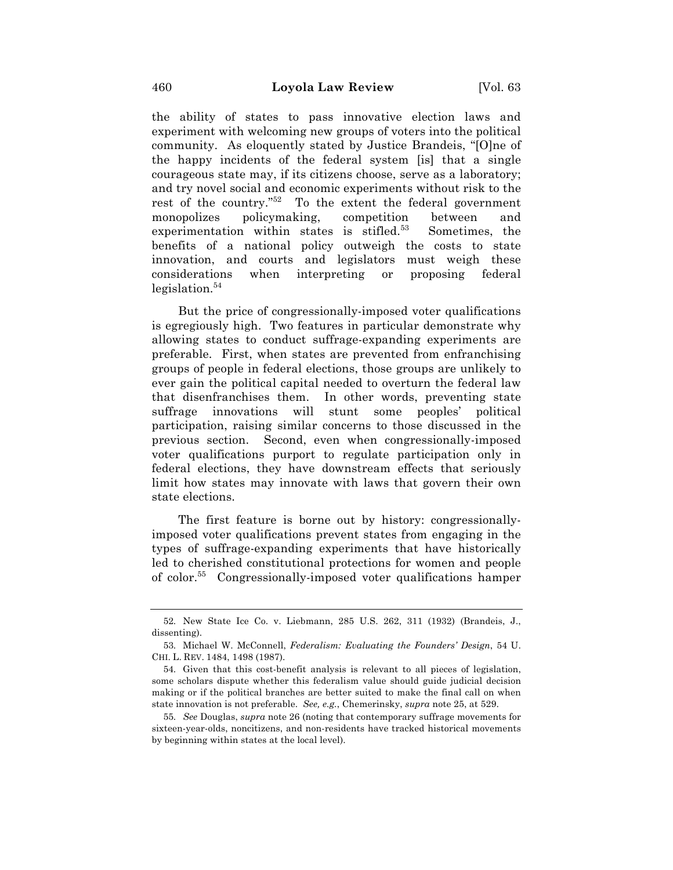the ability of states to pass innovative election laws and experiment with welcoming new groups of voters into the political community. As eloquently stated by Justice Brandeis, "[O]ne of the happy incidents of the federal system [is] that a single courageous state may, if its citizens choose, serve as a laboratory; and try novel social and economic experiments without risk to the rest of the country."52 To the extent the federal government monopolizes policymaking, competition between and experimentation within states is stifled.<sup>53</sup> Sometimes, the benefits of a national policy outweigh the costs to state innovation, and courts and legislators must weigh these considerations when interpreting or proposing federal  $leqislation.<sup>54</sup>$ 

But the price of congressionally-imposed voter qualifications is egregiously high. Two features in particular demonstrate why allowing states to conduct suffrage-expanding experiments are preferable. First, when states are prevented from enfranchising groups of people in federal elections, those groups are unlikely to ever gain the political capital needed to overturn the federal law that disenfranchises them. In other words, preventing state suffrage innovations will stunt some peoples' political participation, raising similar concerns to those discussed in the previous section. Second, even when congressionally-imposed voter qualifications purport to regulate participation only in federal elections, they have downstream effects that seriously limit how states may innovate with laws that govern their own state elections.

The first feature is borne out by history: congressionallyimposed voter qualifications prevent states from engaging in the types of suffrage-expanding experiments that have historically led to cherished constitutional protections for women and people of color.55 Congressionally-imposed voter qualifications hamper

<sup>52.</sup> New State Ice Co. v. Liebmann, 285 U.S. 262, 311 (1932) (Brandeis, J., dissenting).

<sup>53.</sup> Michael W. McConnell, *Federalism: Evaluating the Founders' Design*, 54 U. CHI. L. REV. 1484, 1498 (1987).

<sup>54.</sup> Given that this cost-benefit analysis is relevant to all pieces of legislation, some scholars dispute whether this federalism value should guide judicial decision making or if the political branches are better suited to make the final call on when state innovation is not preferable. *See, e.g.*, Chemerinsky, *supra* note 25, at 529.

<sup>55.</sup> *See* Douglas, *supra* note 26 (noting that contemporary suffrage movements for sixteen-year-olds, noncitizens, and non-residents have tracked historical movements by beginning within states at the local level).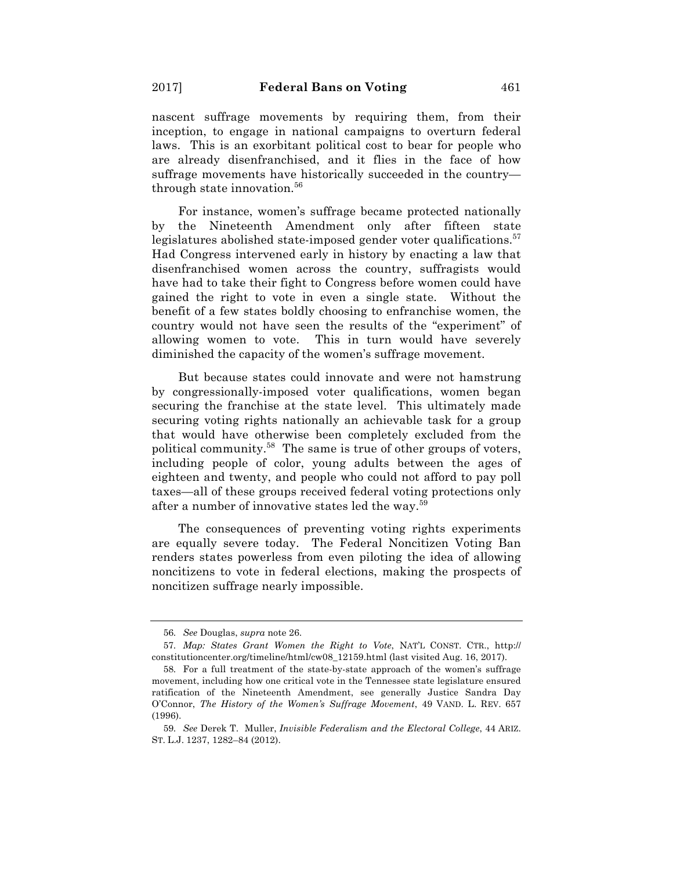nascent suffrage movements by requiring them, from their inception, to engage in national campaigns to overturn federal laws. This is an exorbitant political cost to bear for people who are already disenfranchised, and it flies in the face of how suffrage movements have historically succeeded in the country through state innovation.<sup>56</sup>

For instance, women's suffrage became protected nationally by the Nineteenth Amendment only after fifteen state legislatures abolished state-imposed gender voter qualifications.<sup>57</sup> Had Congress intervened early in history by enacting a law that disenfranchised women across the country, suffragists would have had to take their fight to Congress before women could have gained the right to vote in even a single state. Without the benefit of a few states boldly choosing to enfranchise women, the country would not have seen the results of the "experiment" of allowing women to vote. This in turn would have severely diminished the capacity of the women's suffrage movement.

But because states could innovate and were not hamstrung by congressionally-imposed voter qualifications, women began securing the franchise at the state level. This ultimately made securing voting rights nationally an achievable task for a group that would have otherwise been completely excluded from the political community.58 The same is true of other groups of voters, including people of color, young adults between the ages of eighteen and twenty, and people who could not afford to pay poll taxes—all of these groups received federal voting protections only after a number of innovative states led the way.59

The consequences of preventing voting rights experiments are equally severe today. The Federal Noncitizen Voting Ban renders states powerless from even piloting the idea of allowing noncitizens to vote in federal elections, making the prospects of noncitizen suffrage nearly impossible.

<sup>56.</sup> *See* Douglas, *supra* note 26.

<sup>57.</sup> *Map: States Grant Women the Right to Vote*, NAT'L CONST. CTR., http:// constitutioncenter.org/timeline/html/cw08\_12159.html (last visited Aug. 16, 2017).

<sup>58.</sup> For a full treatment of the state-by-state approach of the women's suffrage movement, including how one critical vote in the Tennessee state legislature ensured ratification of the Nineteenth Amendment, see generally Justice Sandra Day O'Connor, *The History of the Women's Suffrage Movement*, 49 VAND. L. REV. 657 (1996).

<sup>59.</sup> *See* Derek T. Muller, *Invisible Federalism and the Electoral College*, 44 ARIZ. ST. L.J. 1237, 1282–84 (2012).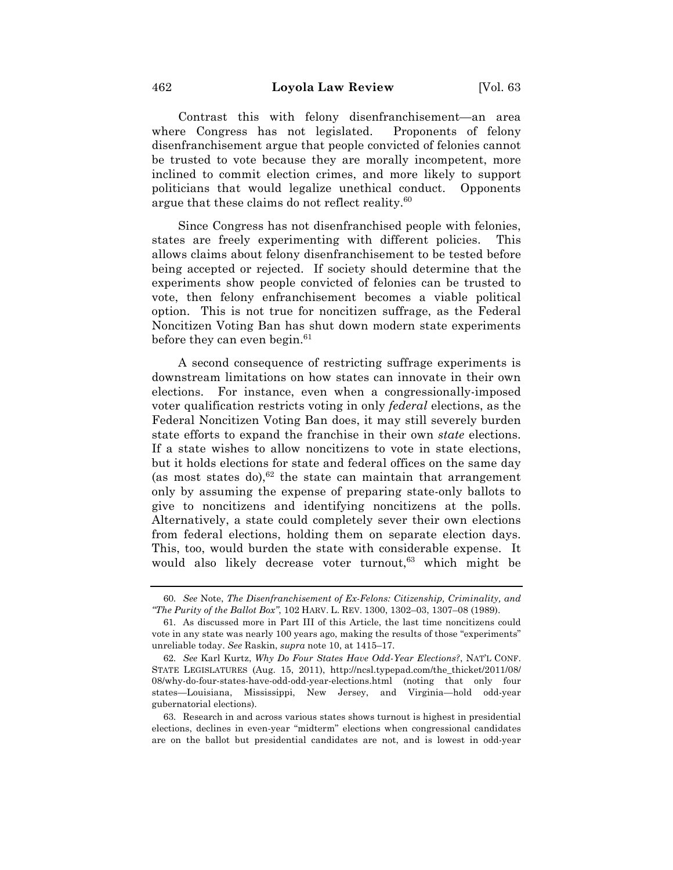Contrast this with felony disenfranchisement—an area where Congress has not legislated. Proponents of felony disenfranchisement argue that people convicted of felonies cannot be trusted to vote because they are morally incompetent, more inclined to commit election crimes, and more likely to support politicians that would legalize unethical conduct. Opponents argue that these claims do not reflect reality.<sup>60</sup>

Since Congress has not disenfranchised people with felonies, states are freely experimenting with different policies. This allows claims about felony disenfranchisement to be tested before being accepted or rejected. If society should determine that the experiments show people convicted of felonies can be trusted to vote, then felony enfranchisement becomes a viable political option. This is not true for noncitizen suffrage, as the Federal Noncitizen Voting Ban has shut down modern state experiments before they can even begin. $61$ 

A second consequence of restricting suffrage experiments is downstream limitations on how states can innovate in their own elections. For instance, even when a congressionally-imposed voter qualification restricts voting in only *federal* elections, as the Federal Noncitizen Voting Ban does, it may still severely burden state efforts to expand the franchise in their own *state* elections. If a state wishes to allow noncitizens to vote in state elections, but it holds elections for state and federal offices on the same day (as most states do),  $62$  the state can maintain that arrangement only by assuming the expense of preparing state-only ballots to give to noncitizens and identifying noncitizens at the polls. Alternatively, a state could completely sever their own elections from federal elections, holding them on separate election days. This, too, would burden the state with considerable expense. It would also likely decrease voter turnout,<sup>63</sup> which might be

<sup>60.</sup> *See* Note, *The Disenfranchisement of Ex-Felons: Citizenship, Criminality, and "The Purity of the Ballot Box"*, 102 HARV. L. REV. 1300, 1302–03, 1307–08 (1989).

<sup>61.</sup> As discussed more in Part III of this Article, the last time noncitizens could vote in any state was nearly 100 years ago, making the results of those "experiments" unreliable today. *See* Raskin, *supra* note 10, at 1415–17.

<sup>62.</sup> *See* Karl Kurtz, *Why Do Four States Have Odd-Year Elections?*, NAT'L CONF. STATE LEGISLATURES (Aug. 15, 2011), http://ncsl.typepad.com/the\_thicket/2011/08/ 08/why-do-four-states-have-odd-odd-year-elections.html (noting that only four states—Louisiana, Mississippi, New Jersey, and Virginia—hold odd-year gubernatorial elections).

<sup>63.</sup> Research in and across various states shows turnout is highest in presidential elections, declines in even-year "midterm" elections when congressional candidates are on the ballot but presidential candidates are not, and is lowest in odd-year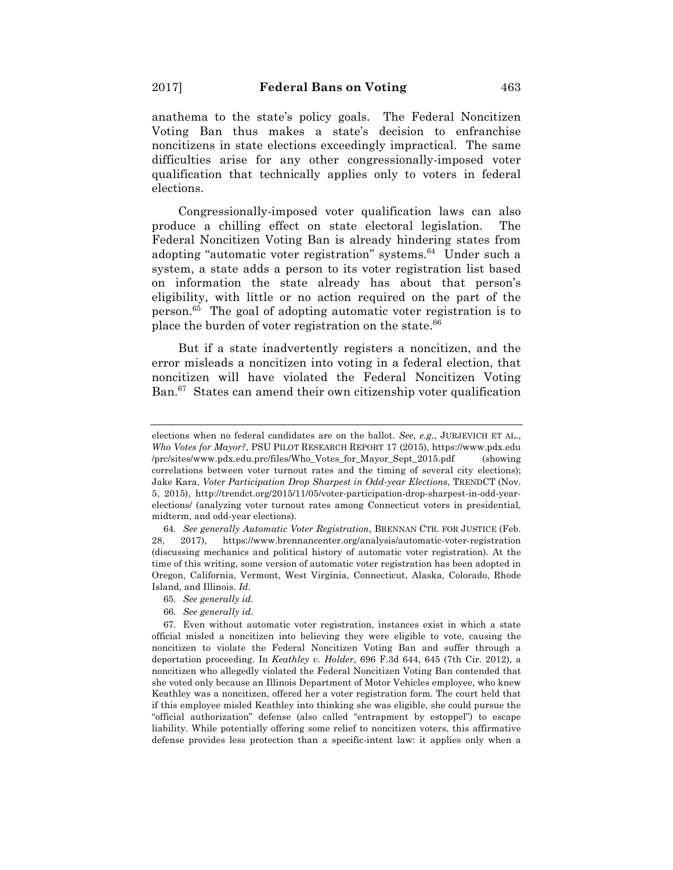anathema to the state's policy goals. The Federal Noncitizen Voting Ban thus makes a state's decision to enfranchise noncitizens in state elections exceedingly impractical. The same difficulties arise for any other congressionally-imposed voter qualification that technically applies only to voters in federal elections.

Congressionally-imposed voter qualification laws can also produce a chilling effect on state electoral legislation. The Federal Noncitizen Voting Ban is already hindering states from adopting "automatic voter registration" systems.<sup>64</sup> Under such a system, a state adds a person to its voter registration list based on information the state already has about that person's eligibility, with little or no action required on the part of the person.65 The goal of adopting automatic voter registration is to place the burden of voter registration on the state.<sup>66</sup>

But if a state inadvertently registers a noncitizen, and the error misleads a noncitizen into voting in a federal election, that noncitizen will have violated the Federal Noncitizen Voting Ban.67 States can amend their own citizenship voter qualification

elections when no federal candidates are on the ballot. *See, e.g*., JURJEVICH ET AL., *Who Votes for Mayor?*, PSU PILOT RESEARCH REPORT 17 (2015), https://www.pdx.edu /prc/sites/www.pdx.edu.prc/files/Who\_Votes\_for\_Mayor\_Sept\_2015.pdf (showing correlations between voter turnout rates and the timing of several city elections); Jake Kara, *Voter Participation Drop Sharpest in Odd-year Elections*, TRENDCT (Nov. 5, 2015), http://trendct.org/2015/11/05/voter-participation-drop-sharpest-in-odd-yearelections/ (analyzing voter turnout rates among Connecticut voters in presidential, midterm, and odd-year elections).

<sup>64.</sup> *See generally Automatic Voter Registration*, BRENNAN CTR. FOR JUSTICE (Feb. 28, 2017), https://www.brennancenter.org/analysis/automatic-voter-registration (discussing mechanics and political history of automatic voter registration). At the time of this writing, some version of automatic voter registration has been adopted in Oregon, California, Vermont, West Virginia, Connecticut, Alaska, Colorado, Rhode Island, and Illinois. *Id*.

<sup>65.</sup> *See generally id.*

<sup>66.</sup> *See generally id.*

<sup>67.</sup> Even without automatic voter registration, instances exist in which a state official misled a noncitizen into believing they were eligible to vote, causing the noncitizen to violate the Federal Noncitizen Voting Ban and suffer through a deportation proceeding. In *Keathley v. Holder*, 696 F.3d 644, 645 (7th Cir. 2012), a noncitizen who allegedly violated the Federal Noncitizen Voting Ban contended that she voted only because an Illinois Department of Motor Vehicles employee, who knew Keathley was a noncitizen, offered her a voter registration form. The court held that if this employee misled Keathley into thinking she was eligible, she could pursue the "official authorization" defense (also called "entrapment by estoppel") to escape liability. While potentially offering some relief to noncitizen voters, this affirmative defense provides less protection than a specific-intent law: it applies only when a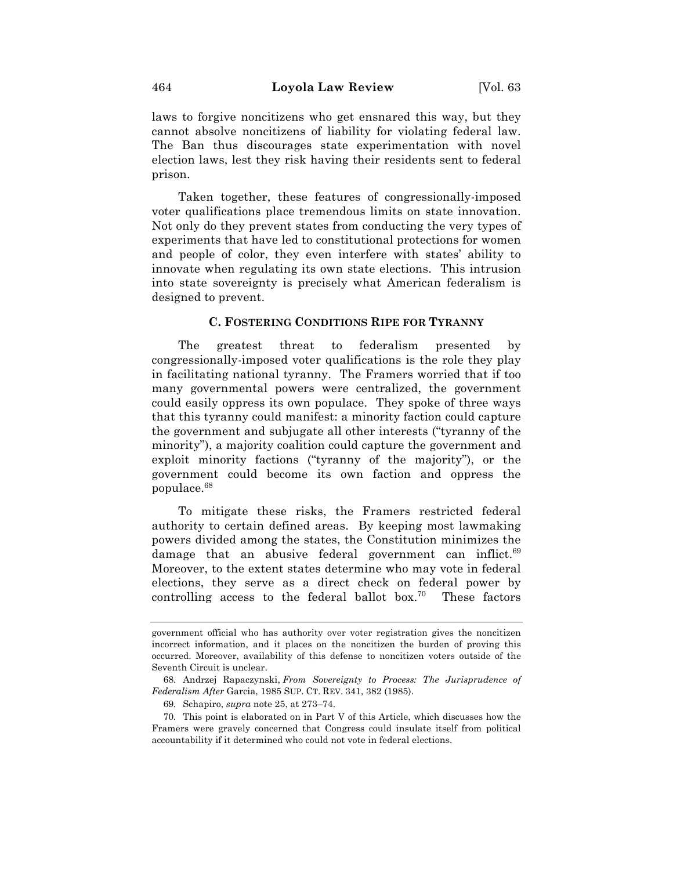laws to forgive noncitizens who get ensnared this way, but they cannot absolve noncitizens of liability for violating federal law. The Ban thus discourages state experimentation with novel election laws, lest they risk having their residents sent to federal prison.

Taken together, these features of congressionally-imposed voter qualifications place tremendous limits on state innovation. Not only do they prevent states from conducting the very types of experiments that have led to constitutional protections for women and people of color, they even interfere with states' ability to innovate when regulating its own state elections. This intrusion into state sovereignty is precisely what American federalism is designed to prevent.

#### **C. FOSTERING CONDITIONS RIPE FOR TYRANNY**

The greatest threat to federalism presented by congressionally-imposed voter qualifications is the role they play in facilitating national tyranny. The Framers worried that if too many governmental powers were centralized, the government could easily oppress its own populace. They spoke of three ways that this tyranny could manifest: a minority faction could capture the government and subjugate all other interests ("tyranny of the minority"), a majority coalition could capture the government and exploit minority factions ("tyranny of the majority"), or the government could become its own faction and oppress the populace.68

To mitigate these risks, the Framers restricted federal authority to certain defined areas. By keeping most lawmaking powers divided among the states, the Constitution minimizes the damage that an abusive federal government can inflict.<sup>69</sup> Moreover, to the extent states determine who may vote in federal elections, they serve as a direct check on federal power by controlling access to the federal ballot  $box.^{70}$  These factors

government official who has authority over voter registration gives the noncitizen incorrect information, and it places on the noncitizen the burden of proving this occurred. Moreover, availability of this defense to noncitizen voters outside of the Seventh Circuit is unclear.

<sup>68.</sup> Andrzej Rapaczynski, *From Sovereignty to Process: The Jurisprudence of Federalism After* Garcia, 1985 SUP. CT. REV. 341, 382 (1985).

<sup>69.</sup> Schapiro, *supra* note 25, at 273–74.

<sup>70.</sup> This point is elaborated on in Part V of this Article, which discusses how the Framers were gravely concerned that Congress could insulate itself from political accountability if it determined who could not vote in federal elections.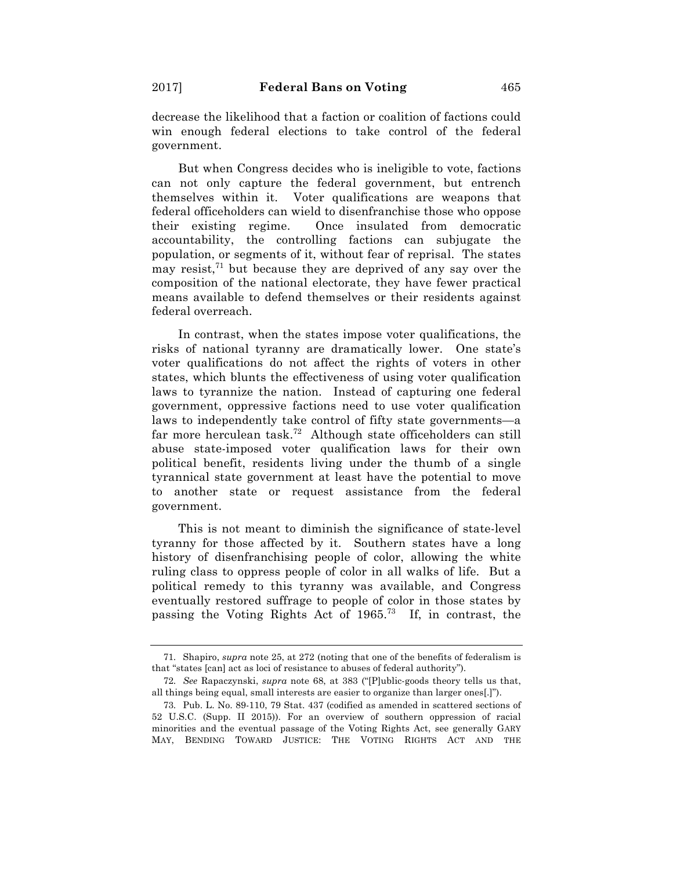decrease the likelihood that a faction or coalition of factions could win enough federal elections to take control of the federal government.

But when Congress decides who is ineligible to vote, factions can not only capture the federal government, but entrench themselves within it. Voter qualifications are weapons that federal officeholders can wield to disenfranchise those who oppose their existing regime. Once insulated from democratic accountability, the controlling factions can subjugate the population, or segments of it, without fear of reprisal. The states may resist, $71$  but because they are deprived of any say over the composition of the national electorate, they have fewer practical means available to defend themselves or their residents against federal overreach.

In contrast, when the states impose voter qualifications, the risks of national tyranny are dramatically lower. One state's voter qualifications do not affect the rights of voters in other states, which blunts the effectiveness of using voter qualification laws to tyrannize the nation. Instead of capturing one federal government, oppressive factions need to use voter qualification laws to independently take control of fifty state governments—a far more herculean task.72 Although state officeholders can still abuse state-imposed voter qualification laws for their own political benefit, residents living under the thumb of a single tyrannical state government at least have the potential to move to another state or request assistance from the federal government.

This is not meant to diminish the significance of state-level tyranny for those affected by it. Southern states have a long history of disenfranchising people of color, allowing the white ruling class to oppress people of color in all walks of life. But a political remedy to this tyranny was available, and Congress eventually restored suffrage to people of color in those states by passing the Voting Rights Act of 1965.73 If, in contrast, the

<sup>71.</sup> Shapiro, *supra* note 25, at 272 (noting that one of the benefits of federalism is that "states [can] act as loci of resistance to abuses of federal authority").

<sup>72.</sup> *See* Rapaczynski, *supra* note 68, at 383 ("[P]ublic-goods theory tells us that, all things being equal, small interests are easier to organize than larger ones[.]").

<sup>73.</sup> Pub. L. No. 89-110, 79 Stat. 437 (codified as amended in scattered sections of 52 U.S.C. (Supp. II 2015)). For an overview of southern oppression of racial minorities and the eventual passage of the Voting Rights Act, see generally GARY MAY, BENDING TOWARD JUSTICE: THE VOTING RIGHTS ACT AND THE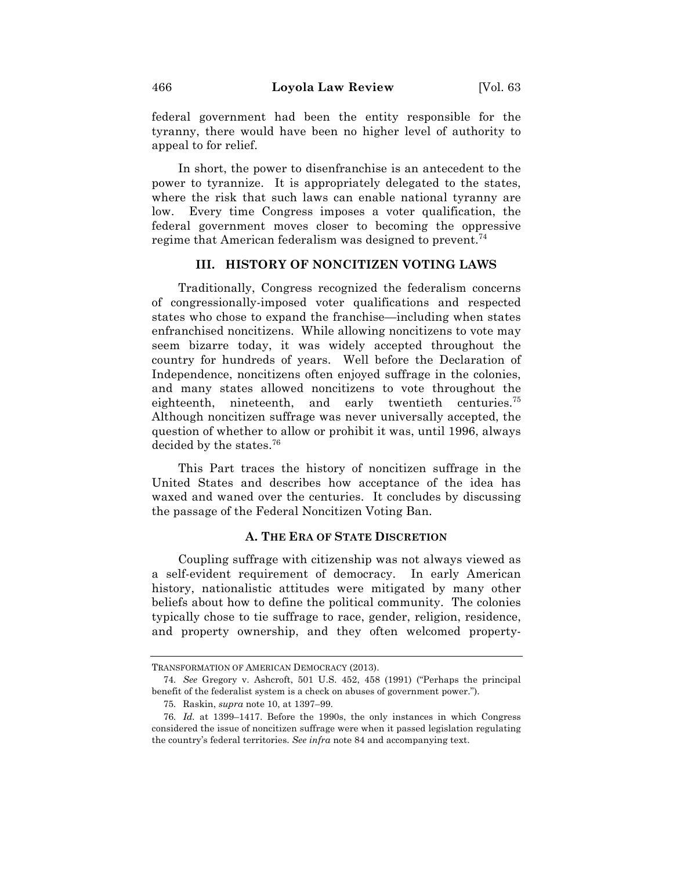federal government had been the entity responsible for the tyranny, there would have been no higher level of authority to appeal to for relief.

In short, the power to disenfranchise is an antecedent to the power to tyrannize. It is appropriately delegated to the states, where the risk that such laws can enable national tyranny are low. Every time Congress imposes a voter qualification, the federal government moves closer to becoming the oppressive regime that American federalism was designed to prevent.<sup>74</sup>

## **III. HISTORY OF NONCITIZEN VOTING LAWS**

Traditionally, Congress recognized the federalism concerns of congressionally-imposed voter qualifications and respected states who chose to expand the franchise—including when states enfranchised noncitizens. While allowing noncitizens to vote may seem bizarre today, it was widely accepted throughout the country for hundreds of years. Well before the Declaration of Independence, noncitizens often enjoyed suffrage in the colonies, and many states allowed noncitizens to vote throughout the eighteenth, nineteenth, and early twentieth centuries.<sup>75</sup> Although noncitizen suffrage was never universally accepted, the question of whether to allow or prohibit it was, until 1996, always decided by the states.76

This Part traces the history of noncitizen suffrage in the United States and describes how acceptance of the idea has waxed and waned over the centuries. It concludes by discussing the passage of the Federal Noncitizen Voting Ban.

#### **A. THE ERA OF STATE DISCRETION**

Coupling suffrage with citizenship was not always viewed as a self-evident requirement of democracy. In early American history, nationalistic attitudes were mitigated by many other beliefs about how to define the political community. The colonies typically chose to tie suffrage to race, gender, religion, residence, and property ownership, and they often welcomed property-

TRANSFORMATION OF AMERICAN DEMOCRACY (2013).

<sup>74.</sup> *See* Gregory v. Ashcroft, 501 U.S. 452, 458 (1991) ("Perhaps the principal benefit of the federalist system is a check on abuses of government power.").

<sup>75.</sup> Raskin, *supra* note 10, at 1397–99.

<sup>76.</sup> *Id.* at 1399–1417. Before the 1990s, the only instances in which Congress considered the issue of noncitizen suffrage were when it passed legislation regulating the country's federal territories. *See infra* note 84 and accompanying text.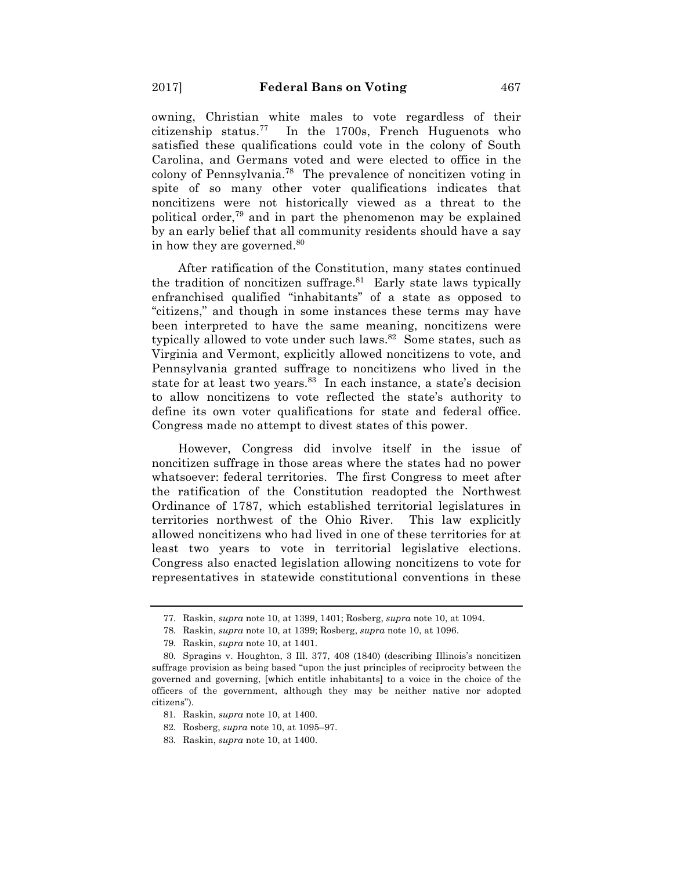owning, Christian white males to vote regardless of their citizenship status.<sup>77</sup> In the 1700s, French Huguenots who satisfied these qualifications could vote in the colony of South Carolina, and Germans voted and were elected to office in the colony of Pennsylvania.78 The prevalence of noncitizen voting in spite of so many other voter qualifications indicates that noncitizens were not historically viewed as a threat to the political order,79 and in part the phenomenon may be explained by an early belief that all community residents should have a say in how they are governed.<sup>80</sup>

After ratification of the Constitution, many states continued the tradition of noncitizen suffrage. $81$  Early state laws typically enfranchised qualified "inhabitants" of a state as opposed to "citizens," and though in some instances these terms may have been interpreted to have the same meaning, noncitizens were typically allowed to vote under such laws.<sup>82</sup> Some states, such as Virginia and Vermont, explicitly allowed noncitizens to vote, and Pennsylvania granted suffrage to noncitizens who lived in the state for at least two years.<sup>83</sup> In each instance, a state's decision to allow noncitizens to vote reflected the state's authority to define its own voter qualifications for state and federal office. Congress made no attempt to divest states of this power.

However, Congress did involve itself in the issue of noncitizen suffrage in those areas where the states had no power whatsoever: federal territories. The first Congress to meet after the ratification of the Constitution readopted the Northwest Ordinance of 1787, which established territorial legislatures in territories northwest of the Ohio River. This law explicitly allowed noncitizens who had lived in one of these territories for at least two years to vote in territorial legislative elections. Congress also enacted legislation allowing noncitizens to vote for representatives in statewide constitutional conventions in these

<sup>77.</sup> Raskin, *supra* note 10, at 1399, 1401; Rosberg, *supra* note 10, at 1094.

<sup>78.</sup> Raskin, *supra* note 10, at 1399; Rosberg, *supra* note 10, at 1096.

<sup>79.</sup> Raskin, *supra* note 10, at 1401.

<sup>80.</sup> Spragins v. Houghton, 3 Ill. 377, 408 (1840) (describing Illinois's noncitizen suffrage provision as being based "upon the just principles of reciprocity between the governed and governing, [which entitle inhabitants] to a voice in the choice of the officers of the government, although they may be neither native nor adopted citizens").

<sup>81.</sup> Raskin, *supra* note 10, at 1400.

<sup>82.</sup> Rosberg, *supra* note 10, at 1095–97.

<sup>83.</sup> Raskin, *supra* note 10, at 1400.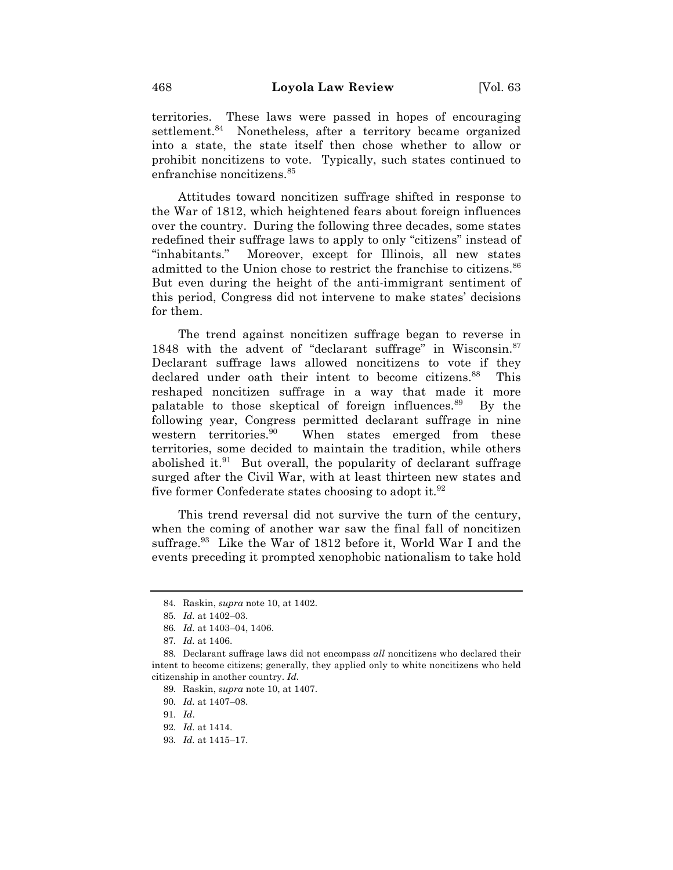territories. These laws were passed in hopes of encouraging settlement.<sup>84</sup> Nonetheless, after a territory became organized into a state, the state itself then chose whether to allow or prohibit noncitizens to vote. Typically, such states continued to enfranchise noncitizens.<sup>85</sup>

Attitudes toward noncitizen suffrage shifted in response to the War of 1812, which heightened fears about foreign influences over the country. During the following three decades, some states redefined their suffrage laws to apply to only "citizens" instead of "inhabitants." Moreover, except for Illinois, all new states admitted to the Union chose to restrict the franchise to citizens.<sup>86</sup> But even during the height of the anti-immigrant sentiment of this period, Congress did not intervene to make states' decisions for them.

The trend against noncitizen suffrage began to reverse in 1848 with the advent of "declarant suffrage" in Wisconsin.<sup>87</sup> Declarant suffrage laws allowed noncitizens to vote if they declared under oath their intent to become citizens.<sup>88</sup> This reshaped noncitizen suffrage in a way that made it more palatable to those skeptical of foreign influences.89 By the following year, Congress permitted declarant suffrage in nine western territories.<sup>90</sup> When states emerged from these territories, some decided to maintain the tradition, while others abolished it. $91$  But overall, the popularity of declarant suffrage surged after the Civil War, with at least thirteen new states and five former Confederate states choosing to adopt it.  $92$ 

This trend reversal did not survive the turn of the century, when the coming of another war saw the final fall of noncitizen suffrage.<sup>93</sup> Like the War of 1812 before it, World War I and the events preceding it prompted xenophobic nationalism to take hold

<sup>84.</sup> Raskin, *supra* note 10, at 1402.

<sup>85.</sup> *Id.* at 1402–03.

<sup>86.</sup> *Id.* at 1403–04, 1406.

<sup>87.</sup> *Id.* at 1406.

<sup>88.</sup> Declarant suffrage laws did not encompass *all* noncitizens who declared their intent to become citizens; generally, they applied only to white noncitizens who held citizenship in another country. *Id.*

<sup>89.</sup> Raskin, *supra* note 10, at 1407.

<sup>90.</sup> *Id.* at 1407–08.

<sup>91.</sup> *Id*.

<sup>92.</sup> *Id.* at 1414.

<sup>93.</sup> *Id.* at 1415–17.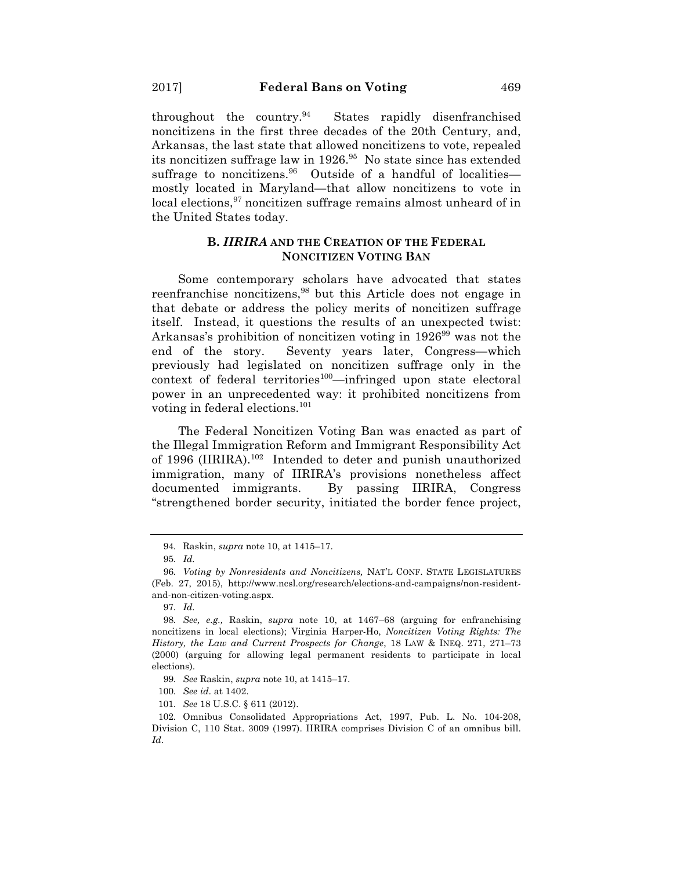throughout the country. $94$  States rapidly disenfranchised noncitizens in the first three decades of the 20th Century, and, Arkansas, the last state that allowed noncitizens to vote, repealed its noncitizen suffrage law in 1926.<sup>95</sup> No state since has extended suffrage to noncitizens.<sup>96</sup> Outside of a handful of localities mostly located in Maryland—that allow noncitizens to vote in local elections,<sup>97</sup> noncitizen suffrage remains almost unheard of in the United States today.

## **B.** *IIRIRA* **AND THE CREATION OF THE FEDERAL NONCITIZEN VOTING BAN**

Some contemporary scholars have advocated that states reenfranchise noncitizens,<sup>98</sup> but this Article does not engage in that debate or address the policy merits of noncitizen suffrage itself. Instead, it questions the results of an unexpected twist: Arkansas's prohibition of noncitizen voting in 192699 was not the end of the story. Seventy years later, Congress—which previously had legislated on noncitizen suffrage only in the context of federal territories<sup>100</sup>—infringed upon state electoral power in an unprecedented way: it prohibited noncitizens from voting in federal elections.<sup>101</sup>

The Federal Noncitizen Voting Ban was enacted as part of the Illegal Immigration Reform and Immigrant Responsibility Act of 1996 (IIRIRA).102 Intended to deter and punish unauthorized immigration, many of IIRIRA's provisions nonetheless affect documented immigrants. By passing IIRIRA, Congress "strengthened border security, initiated the border fence project,

100. *See id.* at 1402.

101. *See* 18 U.S.C. § 611 (2012).

<sup>94.</sup> Raskin, *supra* note 10, at 1415–17.

<sup>95.</sup> *Id.*

<sup>96.</sup> *Voting by Nonresidents and Noncitizens,* NAT'L CONF. STATE LEGISLATURES (Feb. 27, 2015), http://www.ncsl.org/research/elections-and-campaigns/non-residentand-non-citizen-voting.aspx.

<sup>97.</sup> *Id.*

<sup>98.</sup> *See, e.g.,* Raskin, *supra* note 10, at 1467–68 (arguing for enfranchising noncitizens in local elections); Virginia Harper-Ho, *Noncitizen Voting Rights: The History, the Law and Current Prospects for Change*, 18 LAW & INEQ. 271, 271–73 (2000) (arguing for allowing legal permanent residents to participate in local elections).

<sup>99.</sup> *See* Raskin, *supra* note 10, at 1415–17.

<sup>102.</sup> Omnibus Consolidated Appropriations Act, 1997, Pub. L. No. 104-208, Division C, 110 Stat. 3009 (1997). IIRIRA comprises Division C of an omnibus bill. *Id*.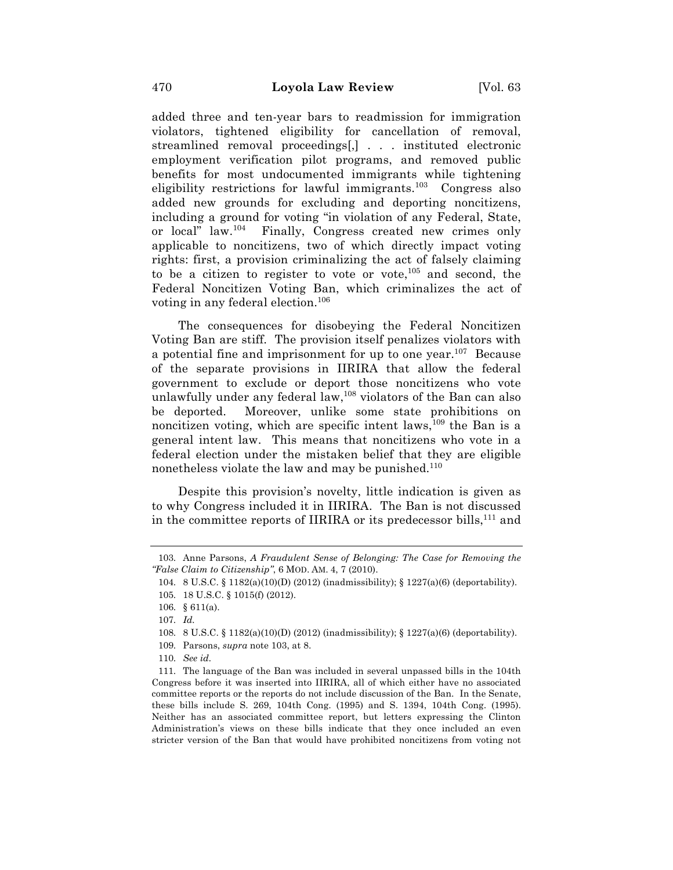added three and ten-year bars to readmission for immigration violators, tightened eligibility for cancellation of removal, streamlined removal proceedings[,] . . . instituted electronic employment verification pilot programs, and removed public benefits for most undocumented immigrants while tightening eligibility restrictions for lawful immigrants.<sup>103</sup> Congress also added new grounds for excluding and deporting noncitizens, including a ground for voting "in violation of any Federal, State, or local" law.104 Finally, Congress created new crimes only applicable to noncitizens, two of which directly impact voting rights: first, a provision criminalizing the act of falsely claiming to be a citizen to register to vote or vote, <sup>105</sup> and second, the Federal Noncitizen Voting Ban, which criminalizes the act of voting in any federal election.106

The consequences for disobeying the Federal Noncitizen Voting Ban are stiff. The provision itself penalizes violators with a potential fine and imprisonment for up to one year.<sup>107</sup> Because of the separate provisions in IIRIRA that allow the federal government to exclude or deport those noncitizens who vote unlawfully under any federal law, $108$  violators of the Ban can also be deported. Moreover, unlike some state prohibitions on noncitizen voting, which are specific intent laws,  $109$  the Ban is a general intent law. This means that noncitizens who vote in a federal election under the mistaken belief that they are eligible nonetheless violate the law and may be punished. $110$ 

Despite this provision's novelty, little indication is given as to why Congress included it in IIRIRA. The Ban is not discussed in the committee reports of IIRIRA or its predecessor bills, $^{111}$  and

<sup>103.</sup> Anne Parsons, *A Fraudulent Sense of Belonging: The Case for Removing the "False Claim to Citizenship"*, 6 MOD. AM. 4, 7 (2010).

<sup>104.</sup> 8 U.S.C. § 1182(a)(10)(D) (2012) (inadmissibility); § 1227(a)(6) (deportability).

<sup>105.</sup> 18 U.S.C. § 1015(f) (2012).

<sup>106.</sup> § 611(a).

<sup>107.</sup> *Id.*

<sup>108.</sup> 8 U.S.C. § 1182(a)(10)(D) (2012) (inadmissibility); § 1227(a)(6) (deportability).

<sup>109.</sup> Parsons, *supra* note 103, at 8.

<sup>110.</sup> *See id.*

<sup>111.</sup> The language of the Ban was included in several unpassed bills in the 104th Congress before it was inserted into IIRIRA, all of which either have no associated committee reports or the reports do not include discussion of the Ban. In the Senate, these bills include S. 269, 104th Cong. (1995) and S. 1394, 104th Cong. (1995). Neither has an associated committee report, but letters expressing the Clinton Administration's views on these bills indicate that they once included an even stricter version of the Ban that would have prohibited noncitizens from voting not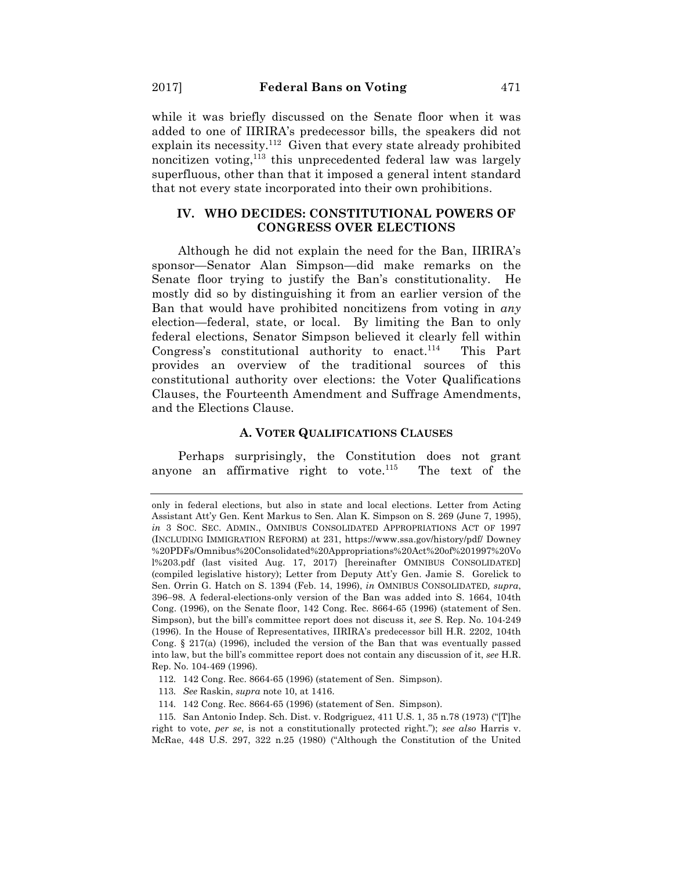while it was briefly discussed on the Senate floor when it was added to one of IIRIRA's predecessor bills, the speakers did not explain its necessity.112 Given that every state already prohibited noncitizen voting,<sup>113</sup> this unprecedented federal law was largely superfluous, other than that it imposed a general intent standard that not every state incorporated into their own prohibitions.

## **IV. WHO DECIDES: CONSTITUTIONAL POWERS OF CONGRESS OVER ELECTIONS**

Although he did not explain the need for the Ban, IIRIRA's sponsor—Senator Alan Simpson—did make remarks on the Senate floor trying to justify the Ban's constitutionality. He mostly did so by distinguishing it from an earlier version of the Ban that would have prohibited noncitizens from voting in *any* election—federal, state, or local. By limiting the Ban to only federal elections, Senator Simpson believed it clearly fell within Congress's constitutional authority to enact.<sup>114</sup> This Part provides an overview of the traditional sources of this constitutional authority over elections: the Voter Qualifications Clauses, the Fourteenth Amendment and Suffrage Amendments, and the Elections Clause.

# **A. VOTER QUALIFICATIONS CLAUSES**

Perhaps surprisingly, the Constitution does not grant anyone an affirmative right to vote. $115$  The text of the

- 112. 142 Cong. Rec. 8664-65 (1996) (statement of Sen. Simpson).
- 113. *See* Raskin, *supra* note 10, at 1416.
- 114. 142 Cong. Rec. 8664-65 (1996) (statement of Sen. Simpson).

only in federal elections, but also in state and local elections. Letter from Acting Assistant Att'y Gen. Kent Markus to Sen. Alan K. Simpson on S. 269 (June 7, 1995), *in* 3 SOC. SEC. ADMIN., OMNIBUS CONSOLIDATED APPROPRIATIONS ACT OF 1997 (INCLUDING IMMIGRATION REFORM) at 231, https://www.ssa.gov/history/pdf/ Downey %20PDFs/Omnibus%20Consolidated%20Appropriations%20Act%20of%201997%20Vo l%203.pdf (last visited Aug. 17, 2017) [hereinafter OMNIBUS CONSOLIDATED] (compiled legislative history); Letter from Deputy Att'y Gen. Jamie S. Gorelick to Sen. Orrin G. Hatch on S. 1394 (Feb. 14, 1996), *in* OMNIBUS CONSOLIDATED*, supra*, 396-98. A federal-elections-only version of the Ban was added into S. 1664, 104th Cong. (1996), on the Senate floor, 142 Cong. Rec. 8664-65 (1996) (statement of Sen. Simpson), but the bill's committee report does not discuss it, *see* S. Rep. No. 104-249 (1996). In the House of Representatives, IIRIRA's predecessor bill H.R. 2202, 104th Cong. § 217(a) (1996), included the version of the Ban that was eventually passed into law, but the bill's committee report does not contain any discussion of it, *see* H.R. Rep. No. 104-469 (1996).

<sup>115.</sup> San Antonio Indep. Sch. Dist. v. Rodgriguez, 411 U.S. 1, 35 n.78 (1973) ("[T]he right to vote, *per se*, is not a constitutionally protected right."); *see also* Harris v. McRae, 448 U.S. 297, 322 n.25 (1980) ("Although the Constitution of the United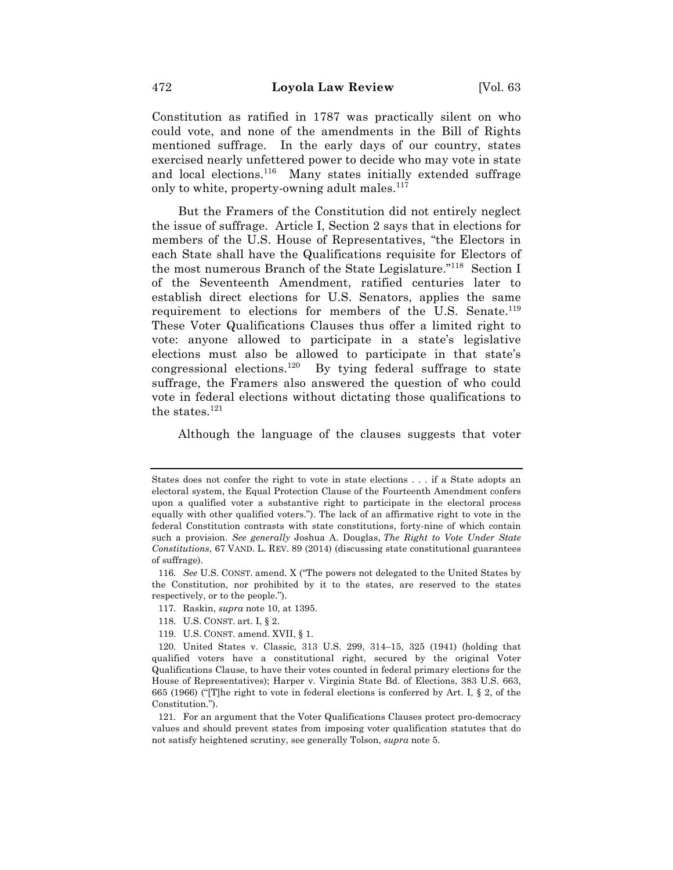Constitution as ratified in 1787 was practically silent on who could vote, and none of the amendments in the Bill of Rights mentioned suffrage. In the early days of our country, states exercised nearly unfettered power to decide who may vote in state and local elections.<sup>116</sup> Many states initially extended suffrage only to white, property-owning adult males.<sup>117</sup>

But the Framers of the Constitution did not entirely neglect the issue of suffrage. Article I, Section 2 says that in elections for members of the U.S. House of Representatives, "the Electors in each State shall have the Qualifications requisite for Electors of the most numerous Branch of the State Legislature."118 Section I of the Seventeenth Amendment, ratified centuries later to establish direct elections for U.S. Senators, applies the same requirement to elections for members of the U.S. Senate.<sup>119</sup> These Voter Qualifications Clauses thus offer a limited right to vote: anyone allowed to participate in a state's legislative elections must also be allowed to participate in that state's congressional elections.<sup>120</sup> By tying federal suffrage to state suffrage, the Framers also answered the question of who could vote in federal elections without dictating those qualifications to the states.<sup>121</sup>

Although the language of the clauses suggests that voter

- 117. Raskin, *supra* note 10, at 1395.
- 118. U.S. CONST. art. I, § 2.
- 119. U.S. CONST. amend. XVII, § 1.

States does not confer the right to vote in state elections . . . if a State adopts an electoral system, the Equal Protection Clause of the Fourteenth Amendment confers upon a qualified voter a substantive right to participate in the electoral process equally with other qualified voters."). The lack of an affirmative right to vote in the federal Constitution contrasts with state constitutions, forty-nine of which contain such a provision. *See generally* Joshua A. Douglas, *The Right to Vote Under State Constitutions*, 67 VAND. L. REV. 89 (2014) (discussing state constitutional guarantees of suffrage).

<sup>116.</sup> *See* U.S. CONST. amend. X ("The powers not delegated to the United States by the Constitution, nor prohibited by it to the states, are reserved to the states respectively, or to the people.").

<sup>120.</sup> United States v. Classic*,* 313 U.S. 299, 314–15, 325 (1941) (holding that qualified voters have a constitutional right, secured by the original Voter Qualifications Clause, to have their votes counted in federal primary elections for the House of Representatives); Harper v. Virginia State Bd. of Elections, 383 U.S. 663, 665 (1966) ("[T]he right to vote in federal elections is conferred by Art. I, § 2, of the Constitution.").

<sup>121.</sup> For an argument that the Voter Qualifications Clauses protect pro-democracy values and should prevent states from imposing voter qualification statutes that do not satisfy heightened scrutiny, see generally Tolson, *supra* note 5.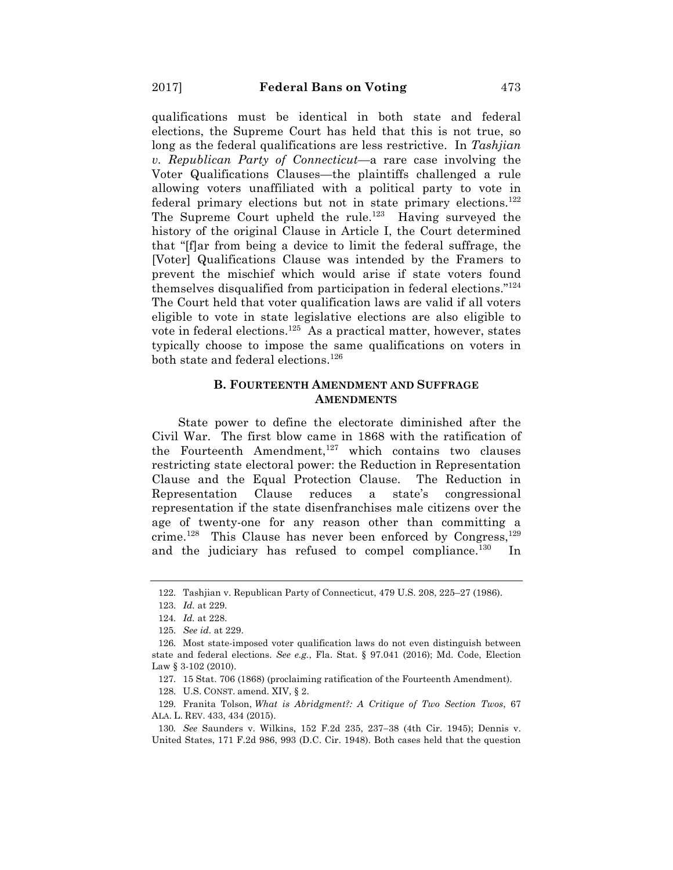qualifications must be identical in both state and federal elections, the Supreme Court has held that this is not true, so long as the federal qualifications are less restrictive. In *Tashjian v. Republican Party of Connecticut*—a rare case involving the Voter Qualifications Clauses—the plaintiffs challenged a rule allowing voters unaffiliated with a political party to vote in federal primary elections but not in state primary elections.<sup>122</sup> The Supreme Court upheld the rule.<sup>123</sup> Having surveyed the history of the original Clause in Article I, the Court determined that "[f]ar from being a device to limit the federal suffrage, the [Voter] Qualifications Clause was intended by the Framers to prevent the mischief which would arise if state voters found themselves disqualified from participation in federal elections."124 The Court held that voter qualification laws are valid if all voters eligible to vote in state legislative elections are also eligible to vote in federal elections.<sup>125</sup> As a practical matter, however, states typically choose to impose the same qualifications on voters in both state and federal elections.<sup>126</sup>

## **B. FOURTEENTH AMENDMENT AND SUFFRAGE AMENDMENTS**

State power to define the electorate diminished after the Civil War. The first blow came in 1868 with the ratification of the Fourteenth Amendment, $127$  which contains two clauses restricting state electoral power: the Reduction in Representation Clause and the Equal Protection Clause. The Reduction in Representation Clause reduces a state's congressional representation if the state disenfranchises male citizens over the age of twenty-one for any reason other than committing a crime.<sup>128</sup> This Clause has never been enforced by Congress,<sup>129</sup> and the judiciary has refused to compel compliance.<sup>130</sup> In

<sup>122.</sup> Tashjian v. Republican Party of Connecticut, 479 U.S. 208, 225–27 (1986).

<sup>123.</sup> *Id.* at 229.

<sup>124.</sup> *Id.* at 228.

<sup>125.</sup> *See id.* at 229.

<sup>126.</sup> Most state-imposed voter qualification laws do not even distinguish between state and federal elections. *See e.g.*, Fla. Stat. § 97.041 (2016); Md. Code, Election Law  $\S 3-102$  (2010).

<sup>127.</sup> 15 Stat. 706 (1868) (proclaiming ratification of the Fourteenth Amendment).

<sup>128.</sup> U.S. CONST. amend. XIV, § 2.

<sup>129.</sup> Franita Tolson, *What is Abridgment?: A Critique of Two Section Twos*, 67 ALA. L. REV. 433, 434 (2015).

<sup>130</sup>*. See* Saunders v. Wilkins, 152 F.2d 235, 237-38 (4th Cir. 1945); Dennis v. United States, 171 F.2d 986, 993 (D.C. Cir. 1948). Both cases held that the question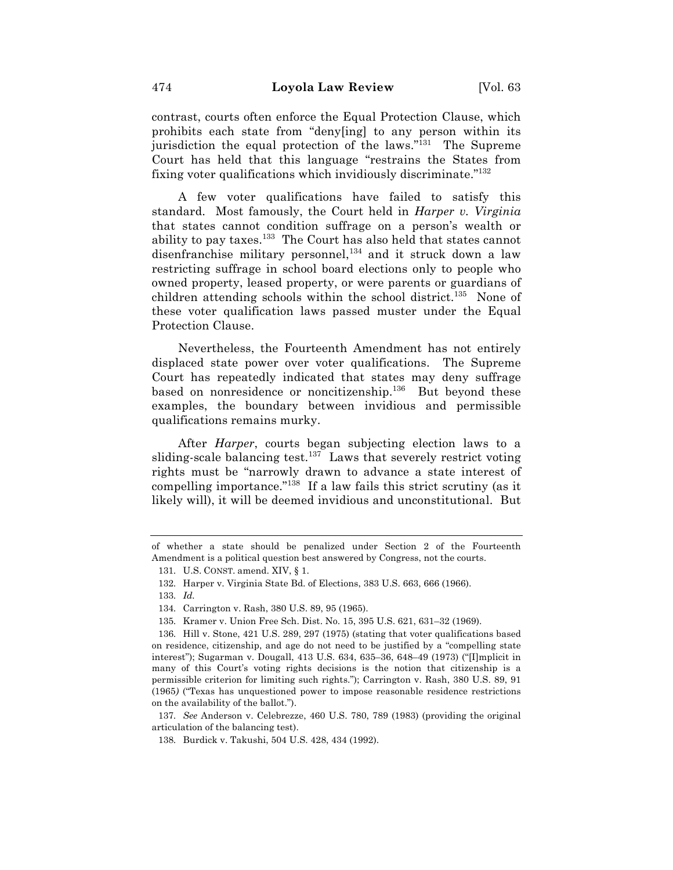contrast, courts often enforce the Equal Protection Clause, which prohibits each state from "deny[ing] to any person within its jurisdiction the equal protection of the laws."<sup>131</sup> The Supreme Court has held that this language "restrains the States from fixing voter qualifications which invidiously discriminate."132

A few voter qualifications have failed to satisfy this standard. Most famously, the Court held in *Harper v. Virginia*  that states cannot condition suffrage on a person's wealth or ability to pay taxes.<sup>133</sup> The Court has also held that states cannot disenfranchise military personnel, $134$  and it struck down a law restricting suffrage in school board elections only to people who owned property, leased property, or were parents or guardians of children attending schools within the school district.<sup>135</sup> None of these voter qualification laws passed muster under the Equal Protection Clause.

Nevertheless, the Fourteenth Amendment has not entirely displaced state power over voter qualifications. The Supreme Court has repeatedly indicated that states may deny suffrage based on nonresidence or noncitizenship.<sup>136</sup> But beyond these examples, the boundary between invidious and permissible qualifications remains murky.

After *Harper*, courts began subjecting election laws to a sliding-scale balancing test.<sup>137</sup> Laws that severely restrict voting rights must be "narrowly drawn to advance a state interest of compelling importance."138 If a law fails this strict scrutiny (as it likely will), it will be deemed invidious and unconstitutional. But

of whether a state should be penalized under Section 2 of the Fourteenth Amendment is a political question best answered by Congress, not the courts.

<sup>131.</sup> U.S. CONST. amend. XIV, § 1.

<sup>132.</sup> Harper v. Virginia State Bd. of Elections, 383 U.S. 663, 666 (1966).

<sup>133.</sup> *Id.*

<sup>134.</sup> Carrington v. Rash, 380 U.S. 89, 95 (1965).

<sup>135.</sup> Kramer v. Union Free Sch. Dist. No. 15, 395 U.S. 621, 631–32 (1969).

<sup>136.</sup> Hill v. Stone, 421 U.S. 289, 297 (1975) (stating that voter qualifications based on residence, citizenship, and age do not need to be justified by a "compelling state interest"); Sugarman v. Dougall, 413 U.S. 634, 635–36, 648–49 (1973) ("[I]mplicit in many of this Court's voting rights decisions is the notion that citizenship is a permissible criterion for limiting such rights."); Carrington v. Rash, 380 U.S. 89, 91 (1965*)* ("Texas has unquestioned power to impose reasonable residence restrictions on the availability of the ballot.").

<sup>137.</sup> *See* Anderson v. Celebrezze, 460 U.S. 780, 789 (1983) (providing the original articulation of the balancing test).

<sup>138.</sup> Burdick v. Takushi, 504 U.S. 428, 434 (1992).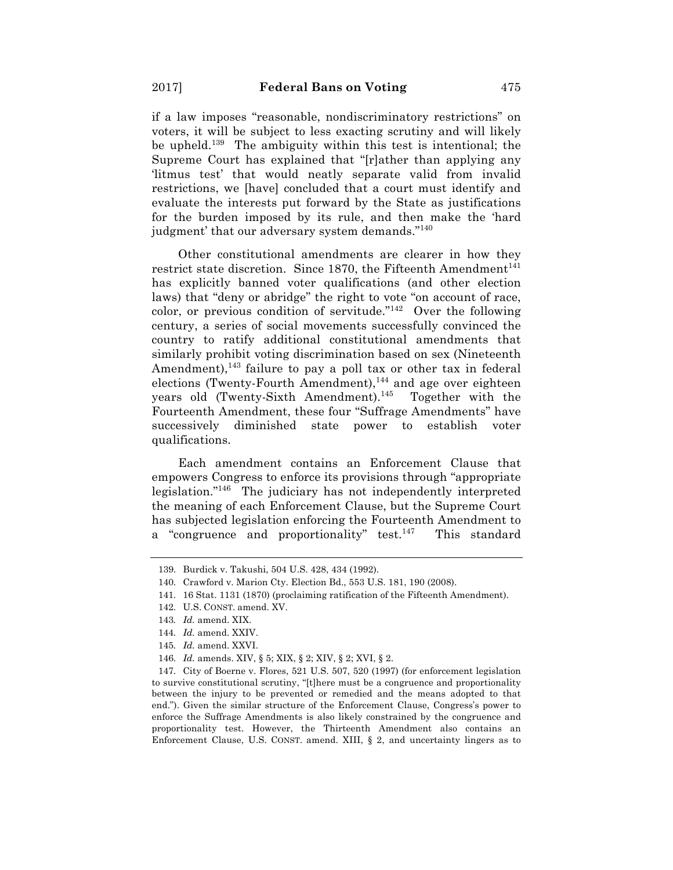if a law imposes "reasonable, nondiscriminatory restrictions" on voters, it will be subject to less exacting scrutiny and will likely be upheld.139 The ambiguity within this test is intentional; the Supreme Court has explained that "[r]ather than applying any 'litmus test' that would neatly separate valid from invalid restrictions, we [have] concluded that a court must identify and evaluate the interests put forward by the State as justifications for the burden imposed by its rule, and then make the 'hard judgment' that our adversary system demands."<sup>140</sup>

Other constitutional amendments are clearer in how they restrict state discretion. Since 1870, the Fifteenth Amendment<sup>141</sup> has explicitly banned voter qualifications (and other election laws) that "deny or abridge" the right to vote "on account of race, color, or previous condition of servitude."142 Over the following century, a series of social movements successfully convinced the country to ratify additional constitutional amendments that similarly prohibit voting discrimination based on sex (Nineteenth Amendment),  $143$  failure to pay a poll tax or other tax in federal elections (Twenty-Fourth Amendment),<sup>144</sup> and age over eighteen years old (Twenty-Sixth Amendment).<sup>145</sup> Together with the Fourteenth Amendment, these four "Suffrage Amendments" have successively diminished state power to establish voter qualifications.

Each amendment contains an Enforcement Clause that empowers Congress to enforce its provisions through "appropriate legislation."146 The judiciary has not independently interpreted the meaning of each Enforcement Clause, but the Supreme Court has subjected legislation enforcing the Fourteenth Amendment to a "congruence and proportionality" test.<sup>147</sup> This standard

147. City of Boerne v. Flores, 521 U.S. 507, 520 (1997) (for enforcement legislation to survive constitutional scrutiny, "[t]here must be a congruence and proportionality between the injury to be prevented or remedied and the means adopted to that end."). Given the similar structure of the Enforcement Clause, Congress's power to enforce the Suffrage Amendments is also likely constrained by the congruence and proportionality test. However, the Thirteenth Amendment also contains an Enforcement Clause, U.S. CONST. amend. XIII, § 2, and uncertainty lingers as to

<sup>139.</sup> Burdick v. Takushi, 504 U.S. 428, 434 (1992).

<sup>140.</sup> Crawford v. Marion Cty. Election Bd., 553 U.S. 181, 190 (2008).

<sup>141.</sup> 16 Stat. 1131 (1870) (proclaiming ratification of the Fifteenth Amendment).

<sup>142.</sup> U.S. CONST. amend. XV.

<sup>143</sup>*. Id.* amend. XIX.

<sup>144.</sup> *Id.* amend. XXIV.

<sup>145.</sup> *Id.* amend. XXVI.

<sup>146.</sup> *Id.* amends. XIV, § 5; XIX, § 2; XIV, § 2; XVI, § 2.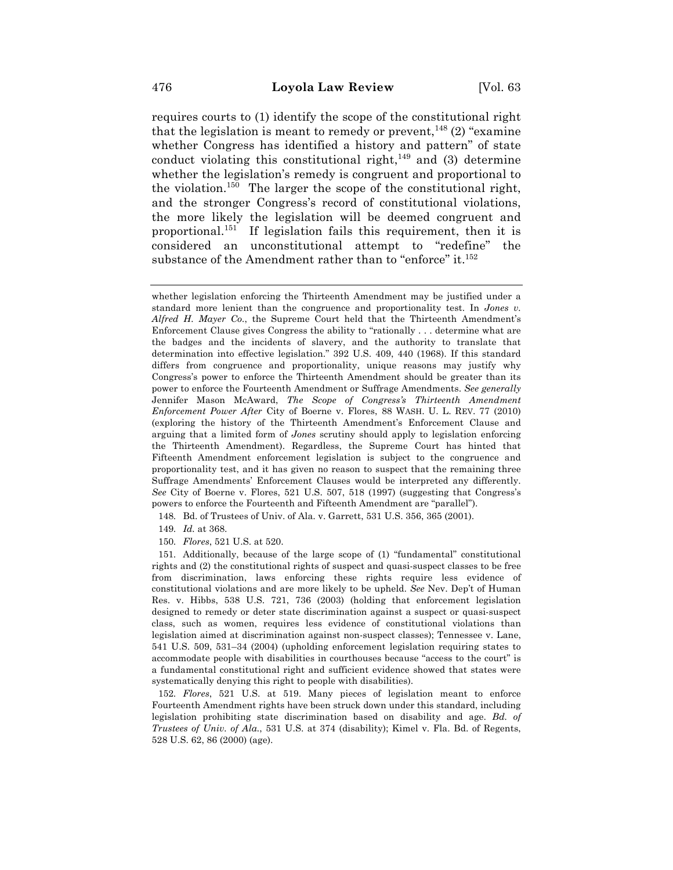requires courts to (1) identify the scope of the constitutional right that the legislation is meant to remedy or prevent,  $^{148}$  (2) "examine whether Congress has identified a history and pattern" of state conduct violating this constitutional right, $^{149}$  and (3) determine whether the legislation's remedy is congruent and proportional to the violation.<sup>150</sup> The larger the scope of the constitutional right, and the stronger Congress's record of constitutional violations, the more likely the legislation will be deemed congruent and proportional.151 If legislation fails this requirement, then it is considered an unconstitutional attempt to "redefine" the substance of the Amendment rather than to "enforce" it.<sup>152</sup>

- 148. Bd. of Trustees of Univ. of Ala. v. Garrett, 531 U.S. 356, 365 (2001).
- 149. *Id.* at 368.
- 150. *Flores*, 521 U.S. at 520.

151. Additionally, because of the large scope of (1) "fundamental" constitutional rights and (2) the constitutional rights of suspect and quasi-suspect classes to be free from discrimination, laws enforcing these rights require less evidence of constitutional violations and are more likely to be upheld. *See* Nev. Dep't of Human Res. v. Hibbs, 538 U.S. 721, 736 (2003) (holding that enforcement legislation designed to remedy or deter state discrimination against a suspect or quasi-suspect class, such as women, requires less evidence of constitutional violations than legislation aimed at discrimination against non-suspect classes); Tennessee v. Lane, 541 U.S. 509, 531–34 (2004) (upholding enforcement legislation requiring states to accommodate people with disabilities in courthouses because "access to the court" is a fundamental constitutional right and sufficient evidence showed that states were systematically denying this right to people with disabilities).

152. *Flores*, 521 U.S. at 519. Many pieces of legislation meant to enforce Fourteenth Amendment rights have been struck down under this standard, including legislation prohibiting state discrimination based on disability and age. *Bd. of Trustees of Univ. of Ala.*, 531 U.S. at 374 (disability); Kimel v. Fla. Bd. of Regents, 528 U.S. 62, 86 (2000) (age).

whether legislation enforcing the Thirteenth Amendment may be justified under a standard more lenient than the congruence and proportionality test. In *Jones v. Alfred H. Mayer Co.*, the Supreme Court held that the Thirteenth Amendment's Enforcement Clause gives Congress the ability to "rationally . . . determine what are the badges and the incidents of slavery, and the authority to translate that determination into effective legislation." 392 U.S. 409, 440 (1968). If this standard differs from congruence and proportionality, unique reasons may justify why Congress's power to enforce the Thirteenth Amendment should be greater than its power to enforce the Fourteenth Amendment or Suffrage Amendments. *See generally* Jennifer Mason McAward, *The Scope of Congress's Thirteenth Amendment Enforcement Power After* City of Boerne v. Flores, 88 WASH. U. L. REV. 77 (2010) (exploring the history of the Thirteenth Amendment's Enforcement Clause and arguing that a limited form of *Jones* scrutiny should apply to legislation enforcing the Thirteenth Amendment). Regardless, the Supreme Court has hinted that Fifteenth Amendment enforcement legislation is subject to the congruence and proportionality test, and it has given no reason to suspect that the remaining three Suffrage Amendments' Enforcement Clauses would be interpreted any differently. *See* City of Boerne v. Flores, 521 U.S. 507, 518 (1997) (suggesting that Congress's powers to enforce the Fourteenth and Fifteenth Amendment are "parallel").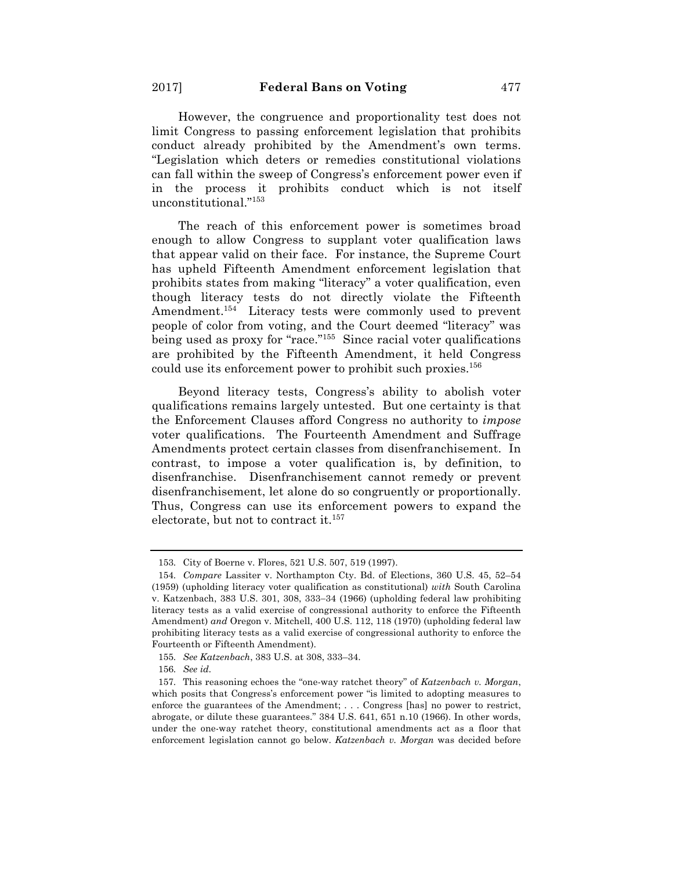However, the congruence and proportionality test does not limit Congress to passing enforcement legislation that prohibits conduct already prohibited by the Amendment's own terms. "Legislation which deters or remedies constitutional violations can fall within the sweep of Congress's enforcement power even if in the process it prohibits conduct which is not itself unconstitutional."153

The reach of this enforcement power is sometimes broad enough to allow Congress to supplant voter qualification laws that appear valid on their face. For instance, the Supreme Court has upheld Fifteenth Amendment enforcement legislation that prohibits states from making "literacy" a voter qualification, even though literacy tests do not directly violate the Fifteenth Amendment.<sup>154</sup> Literacy tests were commonly used to prevent people of color from voting, and the Court deemed "literacy" was being used as proxy for "race."155 Since racial voter qualifications are prohibited by the Fifteenth Amendment, it held Congress could use its enforcement power to prohibit such proxies.<sup>156</sup>

Beyond literacy tests, Congress's ability to abolish voter qualifications remains largely untested. But one certainty is that the Enforcement Clauses afford Congress no authority to *impose*  voter qualifications. The Fourteenth Amendment and Suffrage Amendments protect certain classes from disenfranchisement. In contrast, to impose a voter qualification is, by definition, to disenfranchise. Disenfranchisement cannot remedy or prevent disenfranchisement, let alone do so congruently or proportionally. Thus, Congress can use its enforcement powers to expand the electorate, but not to contract it.<sup>157</sup>

<sup>153.</sup> City of Boerne v. Flores, 521 U.S. 507, 519 (1997).

<sup>154.</sup> *Compare* Lassiter v. Northampton Cty. Bd. of Elections, 360 U.S. 45, 52–54 (1959) (upholding literacy voter qualification as constitutional) *with* South Carolina v. Katzenbach, 383 U.S. 301, 308, 333-34 (1966) (upholding federal law prohibiting literacy tests as a valid exercise of congressional authority to enforce the Fifteenth Amendment) *and* Oregon v. Mitchell, 400 U.S. 112, 118 (1970) (upholding federal law prohibiting literacy tests as a valid exercise of congressional authority to enforce the Fourteenth or Fifteenth Amendment).

<sup>155.</sup> *See Katzenbach*, 383 U.S. at 308, 333–34.

<sup>156.</sup> *See id.*

<sup>157.</sup> This reasoning echoes the "one-way ratchet theory" of *Katzenbach v. Morgan*, which posits that Congress's enforcement power "is limited to adopting measures to enforce the guarantees of the Amendment; . . . Congress [has] no power to restrict, abrogate, or dilute these guarantees." 384 U.S. 641, 651 n.10 (1966). In other words, under the one-way ratchet theory, constitutional amendments act as a floor that enforcement legislation cannot go below. *Katzenbach v. Morgan* was decided before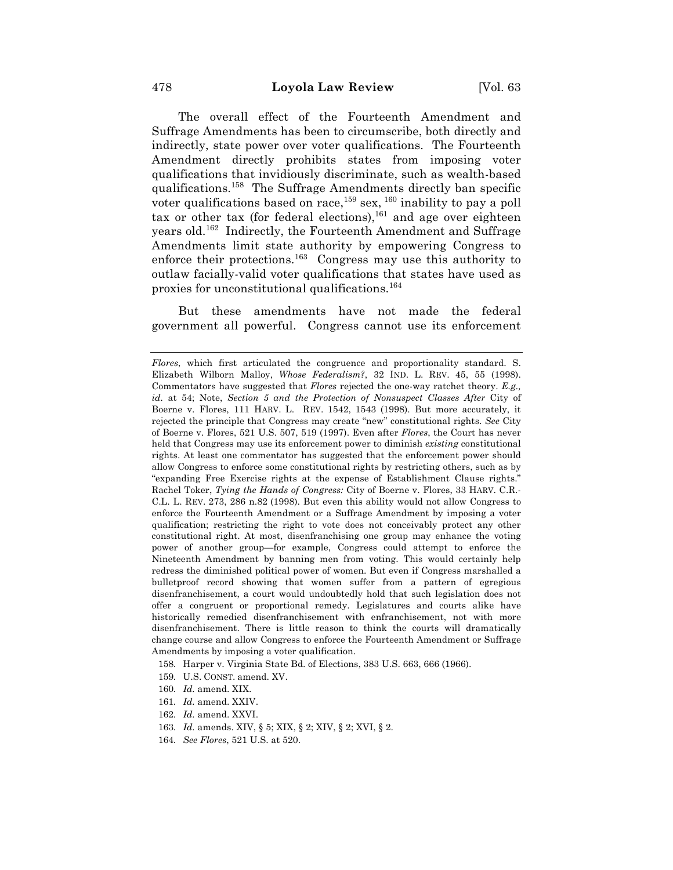The overall effect of the Fourteenth Amendment and Suffrage Amendments has been to circumscribe, both directly and indirectly, state power over voter qualifications. The Fourteenth Amendment directly prohibits states from imposing voter qualifications that invidiously discriminate, such as wealth-based qualifications.158 The Suffrage Amendments directly ban specific voter qualifications based on race,  $159$  sex,  $160$  inability to pay a poll tax or other tax (for federal elections),  $^{161}$  and age over eighteen years old.162 Indirectly, the Fourteenth Amendment and Suffrage Amendments limit state authority by empowering Congress to enforce their protections.<sup>163</sup> Congress may use this authority to outlaw facially-valid voter qualifications that states have used as proxies for unconstitutional qualifications.164

But these amendments have not made the federal government all powerful. Congress cannot use its enforcement

158. Harper v. Virginia State Bd. of Elections, 383 U.S. 663, 666 (1966).

- 159. U.S. CONST. amend. XV.
- 160. *Id.* amend. XIX.
- 161. *Id.* amend. XXIV.
- 162. *Id.* amend. XXVI.
- 163. *Id.* amends. XIV, § 5; XIX, § 2; XIV, § 2; XVI, § 2.
- 164. *See Flores*, 521 U.S. at 520.

*Flores*, which first articulated the congruence and proportionality standard. S. Elizabeth Wilborn Malloy, *Whose Federalism?*, 32 IND. L. REV. 45, 55 (1998). Commentators have suggested that *Flores* rejected the one-way ratchet theory. *E.g., id.* at 54; Note, *Section 5 and the Protection of Nonsuspect Classes After City of* Boerne v. Flores, 111 HARV. L. REV. 1542, 1543 (1998). But more accurately, it rejected the principle that Congress may create "new" constitutional rights. *See* City of Boerne v. Flores, 521 U.S. 507, 519 (1997). Even after *Flores*, the Court has never held that Congress may use its enforcement power to diminish *existing* constitutional rights. At least one commentator has suggested that the enforcement power should allow Congress to enforce some constitutional rights by restricting others, such as by "expanding Free Exercise rights at the expense of Establishment Clause rights." Rachel Toker, *Tying the Hands of Congress:* City of Boerne v. Flores, 33 HARV. C.R.- C.L. L. REV. 273, 286 n.82 (1998). But even this ability would not allow Congress to enforce the Fourteenth Amendment or a Suffrage Amendment by imposing a voter qualification; restricting the right to vote does not conceivably protect any other constitutional right. At most, disenfranchising one group may enhance the voting power of another group—for example, Congress could attempt to enforce the Nineteenth Amendment by banning men from voting. This would certainly help redress the diminished political power of women. But even if Congress marshalled a bulletproof record showing that women suffer from a pattern of egregious disenfranchisement, a court would undoubtedly hold that such legislation does not offer a congruent or proportional remedy. Legislatures and courts alike have historically remedied disenfranchisement with enfranchisement, not with more disenfranchisement. There is little reason to think the courts will dramatically change course and allow Congress to enforce the Fourteenth Amendment or Suffrage Amendments by imposing a voter qualification.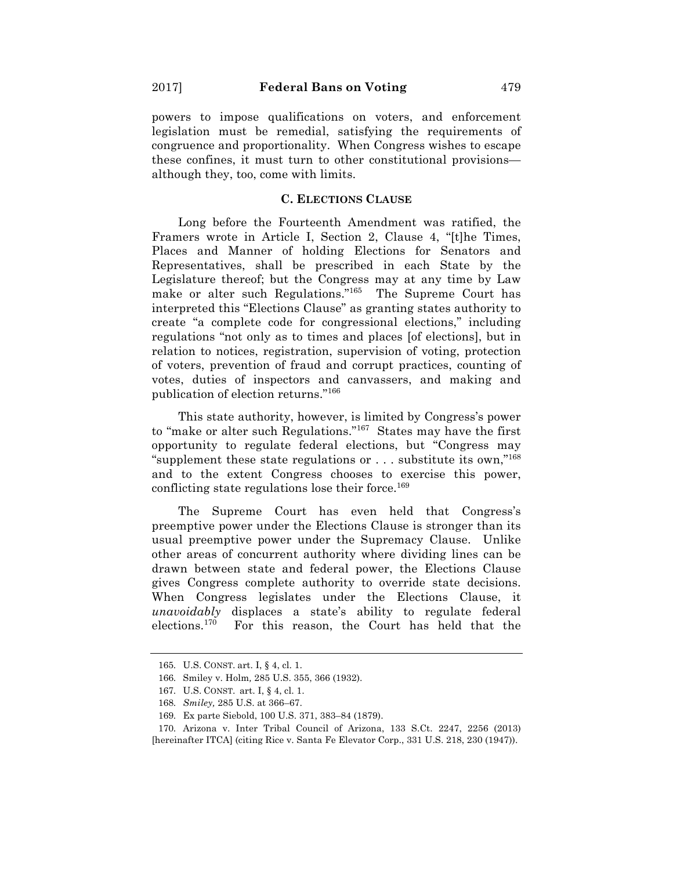powers to impose qualifications on voters, and enforcement legislation must be remedial, satisfying the requirements of congruence and proportionality. When Congress wishes to escape these confines, it must turn to other constitutional provisions although they, too, come with limits.

#### **C. ELECTIONS CLAUSE**

Long before the Fourteenth Amendment was ratified, the Framers wrote in Article I, Section 2, Clause 4, "[t]he Times, Places and Manner of holding Elections for Senators and Representatives, shall be prescribed in each State by the Legislature thereof; but the Congress may at any time by Law make or alter such Regulations."<sup>165</sup> The Supreme Court has interpreted this "Elections Clause" as granting states authority to create "a complete code for congressional elections," including regulations "not only as to times and places [of elections], but in relation to notices, registration, supervision of voting, protection of voters, prevention of fraud and corrupt practices, counting of votes, duties of inspectors and canvassers, and making and publication of election returns."166

This state authority, however, is limited by Congress's power to "make or alter such Regulations."167 States may have the first opportunity to regulate federal elections, but "Congress may "supplement these state regulations or  $\dots$  substitute its own,"<sup>168</sup> and to the extent Congress chooses to exercise this power, conflicting state regulations lose their force.<sup>169</sup>

The Supreme Court has even held that Congress's preemptive power under the Elections Clause is stronger than its usual preemptive power under the Supremacy Clause. Unlike other areas of concurrent authority where dividing lines can be drawn between state and federal power, the Elections Clause gives Congress complete authority to override state decisions. When Congress legislates under the Elections Clause, it *unavoidably* displaces a state's ability to regulate federal elections.170 For this reason, the Court has held that the

<sup>165.</sup> U.S. CONST. art. I, § 4, cl. 1.

<sup>166.</sup> Smiley v. Holm*,* 285 U.S. 355, 366 (1932).

<sup>167.</sup> U.S. CONST. art. I, § 4, cl. 1.

<sup>168.</sup> *Smiley,* 285 U.S. at 366–67.

<sup>169.</sup> Ex parte Siebold, 100 U.S. 371, 383–84 (1879).

<sup>170.</sup> Arizona v. Inter Tribal Council of Arizona, 133 S.Ct. 2247, 2256 (2013) [hereinafter ITCA] (citing Rice v. Santa Fe Elevator Corp., 331 U.S. 218, 230 (1947)).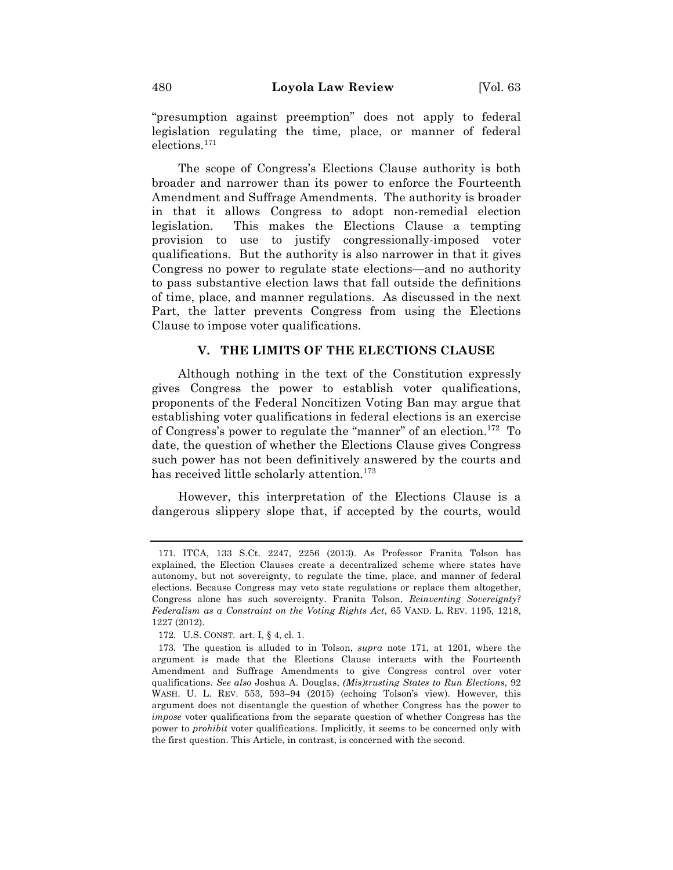"presumption against preemption" does not apply to federal legislation regulating the time, place, or manner of federal elections.171

The scope of Congress's Elections Clause authority is both broader and narrower than its power to enforce the Fourteenth Amendment and Suffrage Amendments. The authority is broader in that it allows Congress to adopt non-remedial election legislation. This makes the Elections Clause a tempting provision to use to justify congressionally-imposed voter qualifications. But the authority is also narrower in that it gives Congress no power to regulate state elections—and no authority to pass substantive election laws that fall outside the definitions of time, place, and manner regulations. As discussed in the next Part, the latter prevents Congress from using the Elections Clause to impose voter qualifications.

#### **V. THE LIMITS OF THE ELECTIONS CLAUSE**

Although nothing in the text of the Constitution expressly gives Congress the power to establish voter qualifications, proponents of the Federal Noncitizen Voting Ban may argue that establishing voter qualifications in federal elections is an exercise of Congress's power to regulate the "manner" of an election.172 To date, the question of whether the Elections Clause gives Congress such power has not been definitively answered by the courts and has received little scholarly attention.<sup>173</sup>

However, this interpretation of the Elections Clause is a dangerous slippery slope that, if accepted by the courts, would

<sup>171.</sup> ITCA, 133 S.Ct. 2247, 2256 (2013). As Professor Franita Tolson has explained, the Election Clauses create a decentralized scheme where states have autonomy, but not sovereignty, to regulate the time, place, and manner of federal elections. Because Congress may veto state regulations or replace them altogether, Congress alone has such sovereignty. Franita Tolson, *Reinventing Sovereignty? Federalism as a Constraint on the Voting Rights Act*, 65 VAND. L. REV. 1195, 1218, 1227 (2012).

<sup>172.</sup> U.S. CONST. art. I, § 4, cl. 1.

<sup>173.</sup> The question is alluded to in Tolson, *supra* note 171, at 1201, where the argument is made that the Elections Clause interacts with the Fourteenth Amendment and Suffrage Amendments to give Congress control over voter qualifications. *See also* Joshua A. Douglas, *(Mis)trusting States to Run Elections*, 92 WASH. U. L. REV. 553, 593-94 (2015) (echoing Tolson's view). However, this argument does not disentangle the question of whether Congress has the power to *impose* voter qualifications from the separate question of whether Congress has the power to *prohibit* voter qualifications. Implicitly, it seems to be concerned only with the first question. This Article, in contrast, is concerned with the second.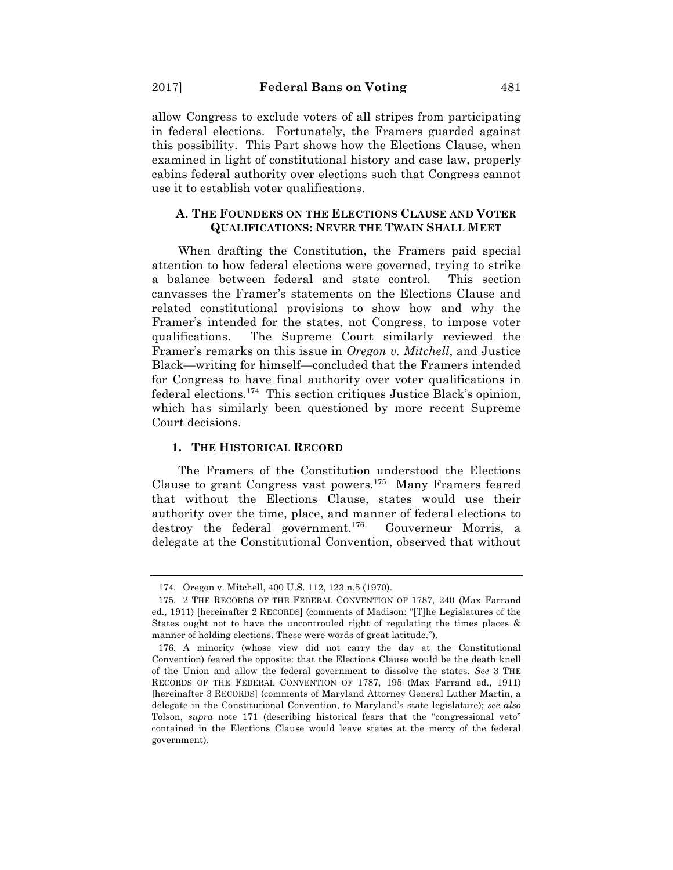allow Congress to exclude voters of all stripes from participating in federal elections. Fortunately, the Framers guarded against this possibility. This Part shows how the Elections Clause, when examined in light of constitutional history and case law, properly cabins federal authority over elections such that Congress cannot use it to establish voter qualifications.

## **A. THE FOUNDERS ON THE ELECTIONS CLAUSE AND VOTER QUALIFICATIONS: NEVER THE TWAIN SHALL MEET**

When drafting the Constitution, the Framers paid special attention to how federal elections were governed, trying to strike a balance between federal and state control. This section canvasses the Framer's statements on the Elections Clause and related constitutional provisions to show how and why the Framer's intended for the states, not Congress, to impose voter qualifications. The Supreme Court similarly reviewed the Framer's remarks on this issue in *Oregon v. Mitchell*, and Justice Black—writing for himself—concluded that the Framers intended for Congress to have final authority over voter qualifications in federal elections.174 This section critiques Justice Black's opinion, which has similarly been questioned by more recent Supreme Court decisions.

### **1. THE HISTORICAL RECORD**

The Framers of the Constitution understood the Elections Clause to grant Congress vast powers.175 Many Framers feared that without the Elections Clause, states would use their authority over the time, place, and manner of federal elections to destroy the federal government.<sup>176</sup> Gouverneur Morris, a delegate at the Constitutional Convention, observed that without

<sup>174.</sup> Oregon v. Mitchell, 400 U.S. 112, 123 n.5 (1970).

<sup>175.</sup> 2 THE RECORDS OF THE FEDERAL CONVENTION OF 1787, 240 (Max Farrand ed., 1911) [hereinafter 2 RECORDS] (comments of Madison: "[T]he Legislatures of the States ought not to have the uncontrouled right of regulating the times places & manner of holding elections. These were words of great latitude.").

<sup>176.</sup> A minority (whose view did not carry the day at the Constitutional Convention) feared the opposite: that the Elections Clause would be the death knell of the Union and allow the federal government to dissolve the states. *See* 3 THE RECORDS OF THE FEDERAL CONVENTION OF 1787, 195 (Max Farrand ed., 1911) [hereinafter 3 RECORDS] (comments of Maryland Attorney General Luther Martin, a delegate in the Constitutional Convention, to Maryland's state legislature); *see also* Tolson, *supra* note 171 (describing historical fears that the "congressional veto" contained in the Elections Clause would leave states at the mercy of the federal government).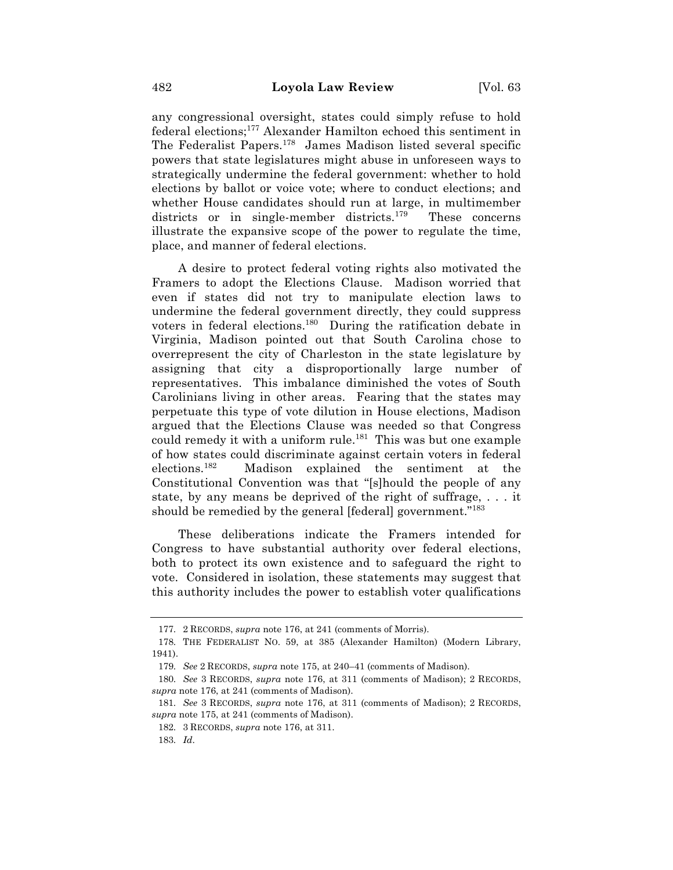any congressional oversight, states could simply refuse to hold federal elections;177 Alexander Hamilton echoed this sentiment in The Federalist Papers.178 James Madison listed several specific powers that state legislatures might abuse in unforeseen ways to strategically undermine the federal government: whether to hold elections by ballot or voice vote; where to conduct elections; and whether House candidates should run at large, in multimember districts or in single-member districts.<sup>179</sup> These concerns illustrate the expansive scope of the power to regulate the time, place, and manner of federal elections.

A desire to protect federal voting rights also motivated the Framers to adopt the Elections Clause. Madison worried that even if states did not try to manipulate election laws to undermine the federal government directly, they could suppress voters in federal elections.180 During the ratification debate in Virginia, Madison pointed out that South Carolina chose to overrepresent the city of Charleston in the state legislature by assigning that city a disproportionally large number of representatives. This imbalance diminished the votes of South Carolinians living in other areas. Fearing that the states may perpetuate this type of vote dilution in House elections, Madison argued that the Elections Clause was needed so that Congress could remedy it with a uniform rule. $181$  This was but one example of how states could discriminate against certain voters in federal elections.182 Madison explained the sentiment at the Constitutional Convention was that "[s]hould the people of any state, by any means be deprived of the right of suffrage, . . . it should be remedied by the general [federal] government."<sup>183</sup>

These deliberations indicate the Framers intended for Congress to have substantial authority over federal elections, both to protect its own existence and to safeguard the right to vote. Considered in isolation, these statements may suggest that this authority includes the power to establish voter qualifications

178. THE FEDERALIST NO. 59, at 385 (Alexander Hamilton) (Modern Library, 1941).

<sup>177.</sup> 2 RECORDS, *supra* note 176, at 241 (comments of Morris).

<sup>179.</sup> *See* 2 RECORDS, *supra* note 175, at 240–41 (comments of Madison).

<sup>180.</sup> *See* 3 RECORDS, *supra* note 176, at 311 (comments of Madison); 2 RECORDS, *supra* note 176, at 241 (comments of Madison).

<sup>181.</sup> *See* 3 RECORDS, *supra* note 176, at 311 (comments of Madison); 2 RECORDS, *supra* note 175, at 241 (comments of Madison).

<sup>182.</sup> 3 RECORDS, *supra* note 176, at 311.

<sup>183.</sup> *Id*.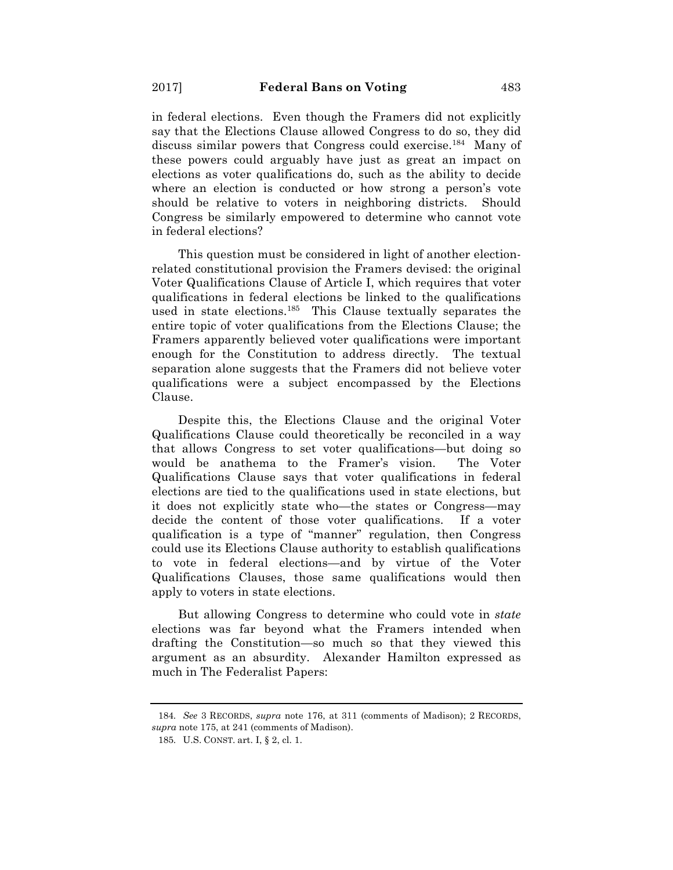in federal elections. Even though the Framers did not explicitly say that the Elections Clause allowed Congress to do so, they did discuss similar powers that Congress could exercise.<sup>184</sup> Many of these powers could arguably have just as great an impact on elections as voter qualifications do, such as the ability to decide where an election is conducted or how strong a person's vote should be relative to voters in neighboring districts. Should Congress be similarly empowered to determine who cannot vote in federal elections?

This question must be considered in light of another electionrelated constitutional provision the Framers devised: the original Voter Qualifications Clause of Article I, which requires that voter qualifications in federal elections be linked to the qualifications used in state elections.<sup>185</sup> This Clause textually separates the entire topic of voter qualifications from the Elections Clause; the Framers apparently believed voter qualifications were important enough for the Constitution to address directly. The textual separation alone suggests that the Framers did not believe voter qualifications were a subject encompassed by the Elections Clause.

Despite this, the Elections Clause and the original Voter Qualifications Clause could theoretically be reconciled in a way that allows Congress to set voter qualifications—but doing so would be anathema to the Framer's vision. The Voter Qualifications Clause says that voter qualifications in federal elections are tied to the qualifications used in state elections, but it does not explicitly state who—the states or Congress—may decide the content of those voter qualifications. If a voter qualification is a type of "manner" regulation, then Congress could use its Elections Clause authority to establish qualifications to vote in federal elections—and by virtue of the Voter Qualifications Clauses, those same qualifications would then apply to voters in state elections.

But allowing Congress to determine who could vote in *state* elections was far beyond what the Framers intended when drafting the Constitution—so much so that they viewed this argument as an absurdity. Alexander Hamilton expressed as much in The Federalist Papers:

<sup>184.</sup> *See* 3 RECORDS, *supra* note 176, at 311 (comments of Madison); 2 RECORDS, *supra* note 175, at 241 (comments of Madison).

<sup>185.</sup> U.S. CONST. art. I, § 2, cl. 1.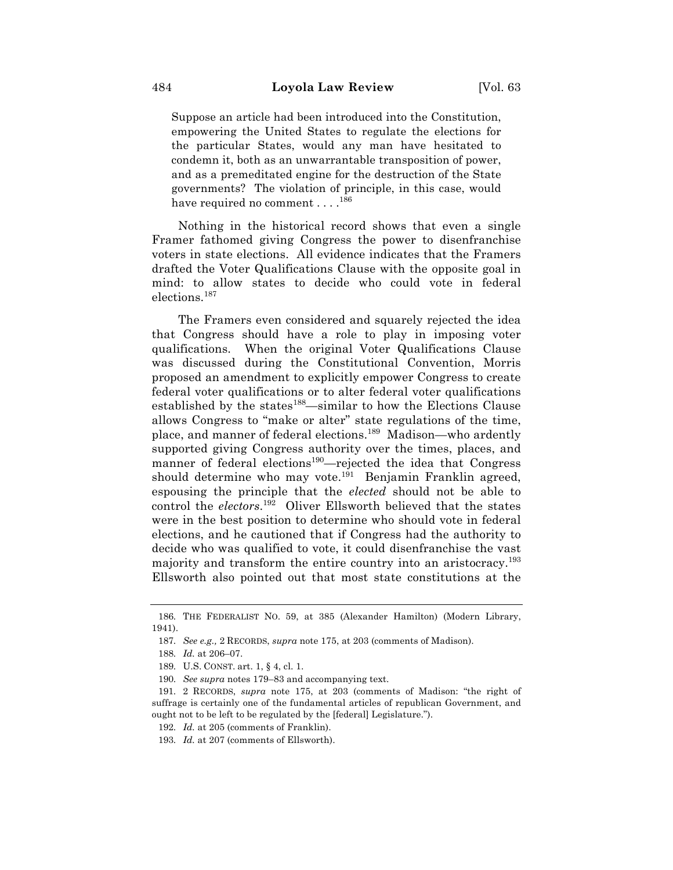Suppose an article had been introduced into the Constitution, empowering the United States to regulate the elections for the particular States, would any man have hesitated to condemn it, both as an unwarrantable transposition of power, and as a premeditated engine for the destruction of the State governments? The violation of principle, in this case, would have required no comment . . . .  $^{186}$ 

Nothing in the historical record shows that even a single Framer fathomed giving Congress the power to disenfranchise voters in state elections. All evidence indicates that the Framers drafted the Voter Qualifications Clause with the opposite goal in mind: to allow states to decide who could vote in federal elections.187

The Framers even considered and squarely rejected the idea that Congress should have a role to play in imposing voter qualifications. When the original Voter Qualifications Clause was discussed during the Constitutional Convention, Morris proposed an amendment to explicitly empower Congress to create federal voter qualifications or to alter federal voter qualifications established by the states<sup>188</sup>—similar to how the Elections Clause allows Congress to "make or alter" state regulations of the time, place, and manner of federal elections.189 Madison—who ardently supported giving Congress authority over the times, places, and manner of federal elections<sup>190</sup>—rejected the idea that Congress should determine who may vote.<sup>191</sup> Benjamin Franklin agreed, espousing the principle that the *elected* should not be able to control the *electors*. 192 Oliver Ellsworth believed that the states were in the best position to determine who should vote in federal elections, and he cautioned that if Congress had the authority to decide who was qualified to vote, it could disenfranchise the vast majority and transform the entire country into an aristocracy.<sup>193</sup> Ellsworth also pointed out that most state constitutions at the

<sup>186.</sup> THE FEDERALIST NO. 59, at 385 (Alexander Hamilton) (Modern Library, 1941).

<sup>187.</sup> *See e.g.,* 2 RECORDS, *supra* note 175, at 203 (comments of Madison).

<sup>188.</sup> *Id.* at 206–07.

<sup>189.</sup> U.S. CONST. art. 1, § 4, cl. 1.

<sup>190.</sup> *See supra* notes 179–83 and accompanying text.

<sup>191.</sup> 2 RECORDS, *supra* note 175, at 203 (comments of Madison: "the right of suffrage is certainly one of the fundamental articles of republican Government, and ought not to be left to be regulated by the [federal] Legislature.").

<sup>192.</sup> *Id.* at 205 (comments of Franklin).

<sup>193.</sup> *Id.* at 207 (comments of Ellsworth).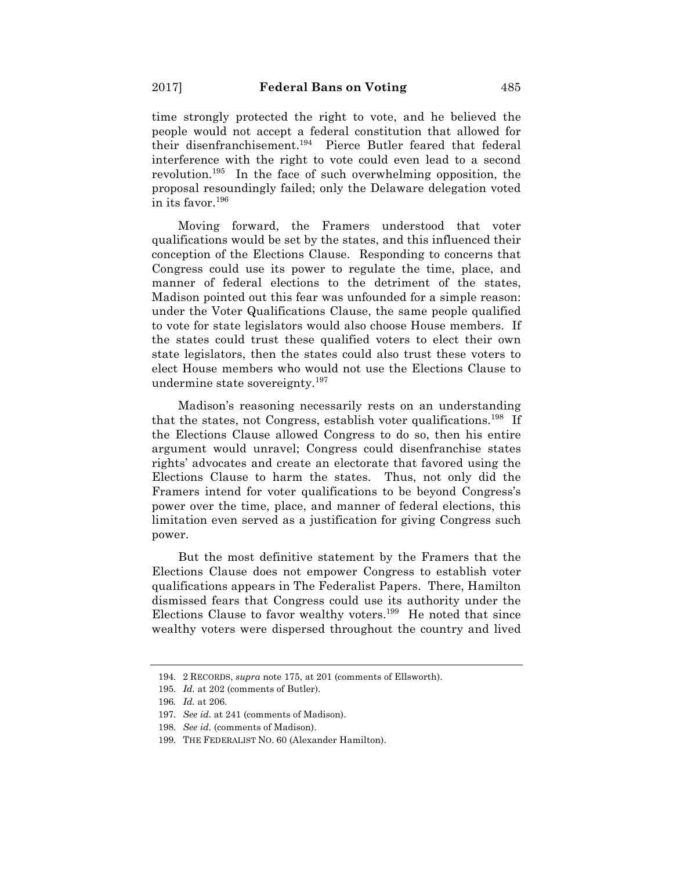time strongly protected the right to vote, and he believed the people would not accept a federal constitution that allowed for their disenfranchisement.194 Pierce Butler feared that federal interference with the right to vote could even lead to a second revolution.195 In the face of such overwhelming opposition, the proposal resoundingly failed; only the Delaware delegation voted in its favor.196

Moving forward, the Framers understood that voter qualifications would be set by the states, and this influenced their conception of the Elections Clause. Responding to concerns that Congress could use its power to regulate the time, place, and manner of federal elections to the detriment of the states, Madison pointed out this fear was unfounded for a simple reason: under the Voter Qualifications Clause, the same people qualified to vote for state legislators would also choose House members. If the states could trust these qualified voters to elect their own state legislators, then the states could also trust these voters to elect House members who would not use the Elections Clause to undermine state sovereignty.197

Madison's reasoning necessarily rests on an understanding that the states, not Congress, establish voter qualifications.<sup>198</sup> If the Elections Clause allowed Congress to do so, then his entire argument would unravel; Congress could disenfranchise states rights' advocates and create an electorate that favored using the Elections Clause to harm the states. Thus, not only did the Framers intend for voter qualifications to be beyond Congress's power over the time, place, and manner of federal elections, this limitation even served as a justification for giving Congress such power.

But the most definitive statement by the Framers that the Elections Clause does not empower Congress to establish voter qualifications appears in The Federalist Papers. There, Hamilton dismissed fears that Congress could use its authority under the Elections Clause to favor wealthy voters.<sup>199</sup> He noted that since wealthy voters were dispersed throughout the country and lived

<sup>194.</sup> 2 RECORDS, *supra* note 175, at 201 (comments of Ellsworth).

<sup>195.</sup> *Id.* at 202 (comments of Butler).

<sup>196</sup>*. Id.* at 206.

<sup>197.</sup> *See id.* at 241 (comments of Madison).

<sup>198.</sup> *See id.* (comments of Madison).

<sup>199.</sup> THE FEDERALIST NO. 60 (Alexander Hamilton).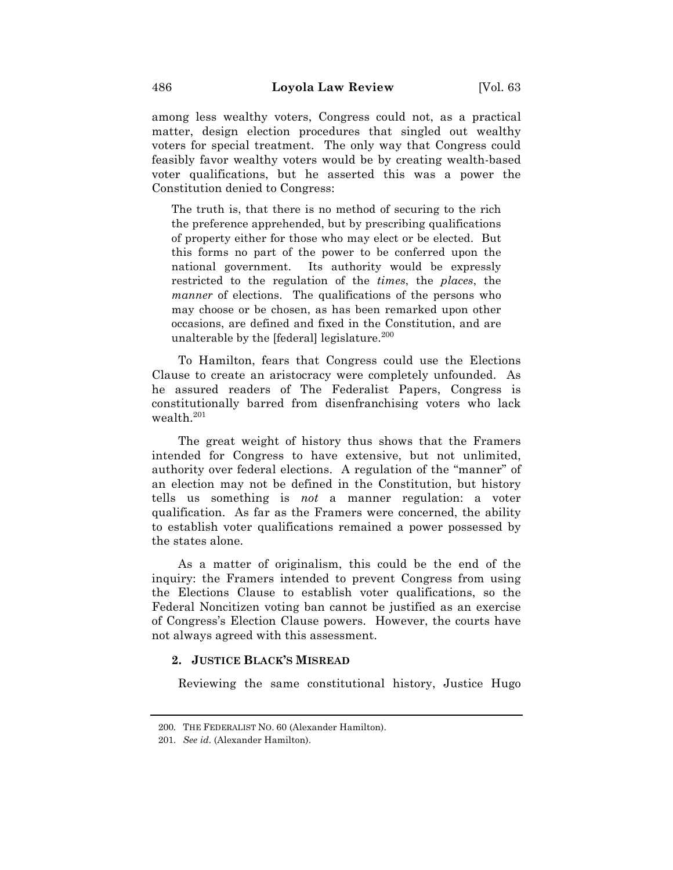among less wealthy voters, Congress could not, as a practical matter, design election procedures that singled out wealthy voters for special treatment. The only way that Congress could feasibly favor wealthy voters would be by creating wealth-based voter qualifications, but he asserted this was a power the Constitution denied to Congress:

The truth is, that there is no method of securing to the rich the preference apprehended, but by prescribing qualifications of property either for those who may elect or be elected. But this forms no part of the power to be conferred upon the national government. Its authority would be expressly restricted to the regulation of the *times*, the *places*, the *manner* of elections. The qualifications of the persons who may choose or be chosen, as has been remarked upon other occasions, are defined and fixed in the Constitution, and are unalterable by the [federal] legislature.<sup>200</sup>

To Hamilton, fears that Congress could use the Elections Clause to create an aristocracy were completely unfounded. As he assured readers of The Federalist Papers, Congress is constitutionally barred from disenfranchising voters who lack wealth.201

The great weight of history thus shows that the Framers intended for Congress to have extensive, but not unlimited, authority over federal elections. A regulation of the "manner" of an election may not be defined in the Constitution, but history tells us something is *not* a manner regulation: a voter qualification. As far as the Framers were concerned, the ability to establish voter qualifications remained a power possessed by the states alone.

As a matter of originalism, this could be the end of the inquiry: the Framers intended to prevent Congress from using the Elections Clause to establish voter qualifications, so the Federal Noncitizen voting ban cannot be justified as an exercise of Congress's Election Clause powers. However, the courts have not always agreed with this assessment.

### **2. JUSTICE BLACK'S MISREAD**

Reviewing the same constitutional history, Justice Hugo

<sup>200.</sup> THE FEDERALIST NO. 60 (Alexander Hamilton).

<sup>201.</sup> *See id.* (Alexander Hamilton).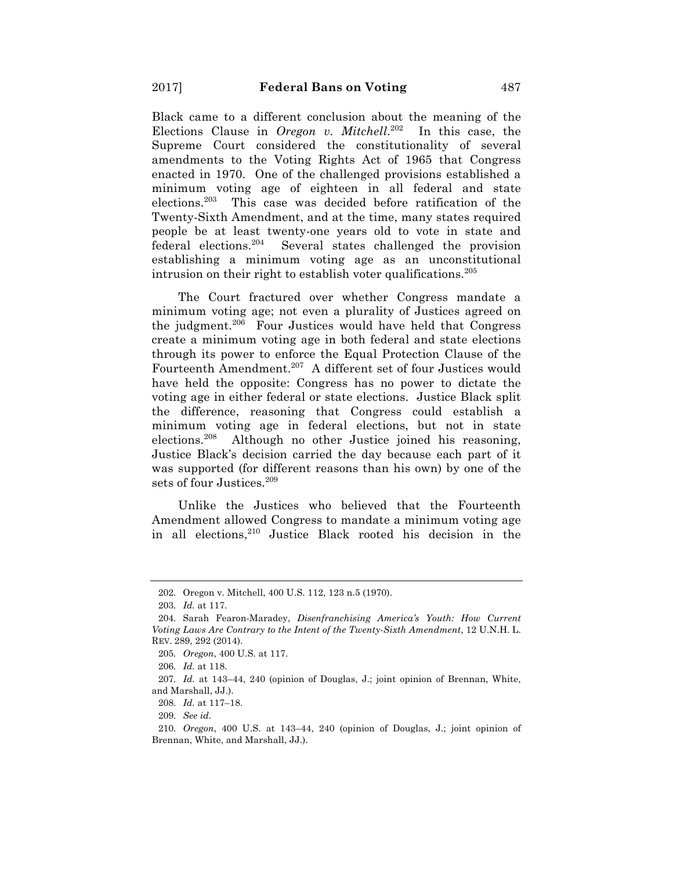Black came to a different conclusion about the meaning of the Elections Clause in *Oregon v. Mitchell*. <sup>202</sup> In this case, the Supreme Court considered the constitutionality of several amendments to the Voting Rights Act of 1965 that Congress enacted in 1970. One of the challenged provisions established a minimum voting age of eighteen in all federal and state elections.203 This case was decided before ratification of the Twenty-Sixth Amendment, and at the time, many states required people be at least twenty-one years old to vote in state and federal elections.204 Several states challenged the provision establishing a minimum voting age as an unconstitutional intrusion on their right to establish voter qualifications.<sup>205</sup>

The Court fractured over whether Congress mandate a minimum voting age; not even a plurality of Justices agreed on the judgment.<sup>206</sup> Four Justices would have held that Congress create a minimum voting age in both federal and state elections through its power to enforce the Equal Protection Clause of the Fourteenth Amendment.<sup>207</sup> A different set of four Justices would have held the opposite: Congress has no power to dictate the voting age in either federal or state elections. Justice Black split the difference, reasoning that Congress could establish a minimum voting age in federal elections, but not in state elections.208 Although no other Justice joined his reasoning, Justice Black's decision carried the day because each part of it was supported (for different reasons than his own) by one of the sets of four Justices.<sup>209</sup>

Unlike the Justices who believed that the Fourteenth Amendment allowed Congress to mandate a minimum voting age in all elections,<sup>210</sup> Justice Black rooted his decision in the

<sup>202.</sup> Oregon v. Mitchell, 400 U.S. 112, 123 n.5 (1970).

<sup>203.</sup> *Id.* at 117.

<sup>204.</sup> Sarah Fearon-Maradey, *Disenfranchising America's Youth: How Current Voting Laws Are Contrary to the Intent of the Twenty-Sixth Amendment*, 12 U.N.H. L. REV. 289, 292 (2014).

<sup>205.</sup> *Oregon*, 400 U.S. at 117.

<sup>206.</sup> *Id.* at 118.

<sup>207.</sup> *Id.* at 143–44, 240 (opinion of Douglas, J.; joint opinion of Brennan, White, and Marshall, JJ.).

<sup>208.</sup> *Id.* at 117–18.

<sup>209.</sup> *See id.*

<sup>210.</sup> *Oregon*, 400 U.S. at 143–44, 240 (opinion of Douglas, J.; joint opinion of Brennan, White, and Marshall, JJ.).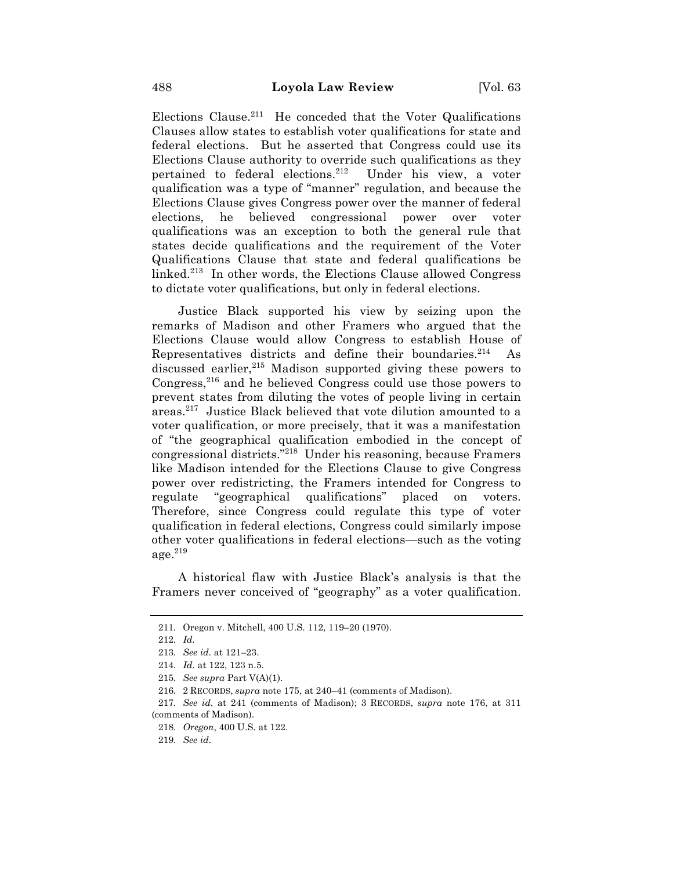Elections Clause.<sup>211</sup> He conceded that the Voter Qualifications Clauses allow states to establish voter qualifications for state and federal elections. But he asserted that Congress could use its Elections Clause authority to override such qualifications as they pertained to federal elections.212 Under his view, a voter qualification was a type of "manner" regulation, and because the Elections Clause gives Congress power over the manner of federal elections, he believed congressional power over voter qualifications was an exception to both the general rule that states decide qualifications and the requirement of the Voter Qualifications Clause that state and federal qualifications be linked.213 In other words, the Elections Clause allowed Congress to dictate voter qualifications, but only in federal elections.

Justice Black supported his view by seizing upon the remarks of Madison and other Framers who argued that the Elections Clause would allow Congress to establish House of Representatives districts and define their boundaries. $214$  As discussed earlier,  $215$  Madison supported giving these powers to Congress,<sup>216</sup> and he believed Congress could use those powers to prevent states from diluting the votes of people living in certain areas.217 Justice Black believed that vote dilution amounted to a voter qualification, or more precisely, that it was a manifestation of "the geographical qualification embodied in the concept of congressional districts."218 Under his reasoning, because Framers like Madison intended for the Elections Clause to give Congress power over redistricting, the Framers intended for Congress to regulate "geographical qualifications" placed on voters. Therefore, since Congress could regulate this type of voter qualification in federal elections, Congress could similarly impose other voter qualifications in federal elections—such as the voting  $age.<sup>219</sup>$ 

A historical flaw with Justice Black's analysis is that the Framers never conceived of "geography" as a voter qualification.

<sup>211.</sup> Oregon v. Mitchell, 400 U.S. 112, 119–20 (1970).

<sup>212.</sup> *Id.*

<sup>213.</sup> *See id.* at 121–23.

<sup>214.</sup> *Id.* at 122, 123 n.5.

<sup>215.</sup> *See supra* Part V(A)(1).

<sup>216.</sup> 2 RECORDS, *supra* note 175, at 240–41 (comments of Madison).

<sup>217.</sup> *See id.* at 241 (comments of Madison); 3 RECORDS, *supra* note 176, at 311 (comments of Madison).

<sup>218.</sup> *Oregon*, 400 U.S. at 122.

<sup>219.</sup> *See id.*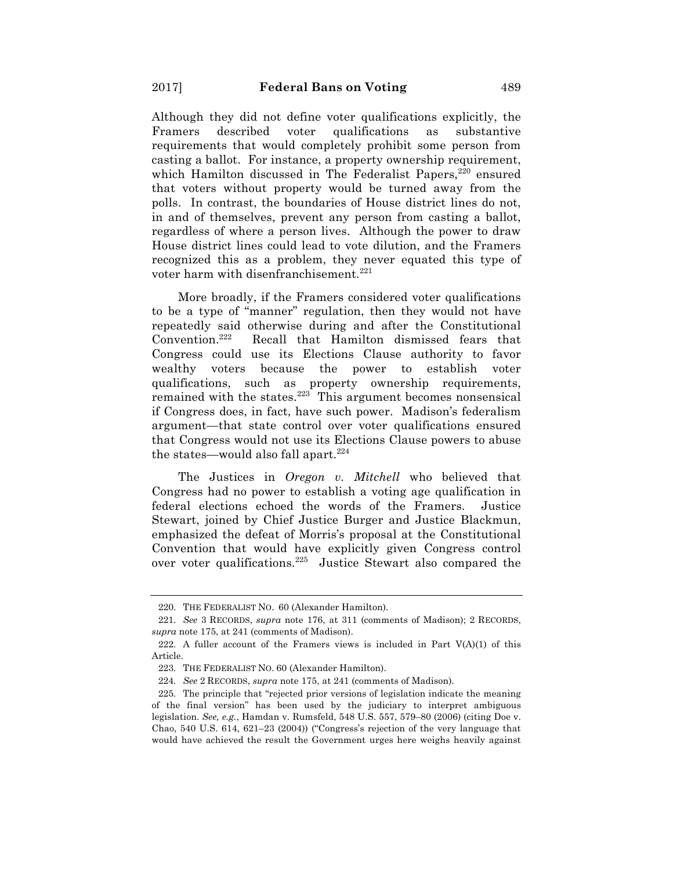Although they did not define voter qualifications explicitly, the Framers described voter qualifications as substantive requirements that would completely prohibit some person from casting a ballot. For instance, a property ownership requirement, which Hamilton discussed in The Federalist Papers,<sup>220</sup> ensured that voters without property would be turned away from the polls. In contrast, the boundaries of House district lines do not, in and of themselves, prevent any person from casting a ballot, regardless of where a person lives. Although the power to draw House district lines could lead to vote dilution, and the Framers recognized this as a problem, they never equated this type of voter harm with disenfranchisement.<sup>221</sup>

More broadly, if the Framers considered voter qualifications to be a type of "manner" regulation, then they would not have repeatedly said otherwise during and after the Constitutional Convention.222 Recall that Hamilton dismissed fears that Congress could use its Elections Clause authority to favor wealthy voters because the power to establish voter qualifications, such as property ownership requirements, remained with the states. $223$  This argument becomes nonsensical if Congress does, in fact, have such power. Madison's federalism argument—that state control over voter qualifications ensured that Congress would not use its Elections Clause powers to abuse the states—would also fall apart. $224$ 

The Justices in *Oregon v. Mitchell* who believed that Congress had no power to establish a voting age qualification in federal elections echoed the words of the Framers. Justice Stewart, joined by Chief Justice Burger and Justice Blackmun, emphasized the defeat of Morris's proposal at the Constitutional Convention that would have explicitly given Congress control over voter qualifications.225 Justice Stewart also compared the

<sup>220.</sup> THE FEDERALIST NO. 60 (Alexander Hamilton).

<sup>221.</sup> *See* 3 RECORDS, *supra* note 176, at 311 (comments of Madison); 2 RECORDS, *supra* note 175, at 241 (comments of Madison).

<sup>222.</sup> A fuller account of the Framers views is included in Part  $V(A)(1)$  of this Article.

<sup>223.</sup> THE FEDERALIST NO. 60 (Alexander Hamilton).

<sup>224.</sup> *See* 2 RECORDS, *supra* note 175, at 241 (comments of Madison).

<sup>225.</sup> The principle that "rejected prior versions of legislation indicate the meaning of the final version" has been used by the judiciary to interpret ambiguous legislation. *See, e.g.*, Hamdan v. Rumsfeld, 548 U.S. 557, 579–80 (2006) (citing Doe v. Chao, 540 U.S. 614, 621–23 (2004)) ("Congress's rejection of the very language that would have achieved the result the Government urges here weighs heavily against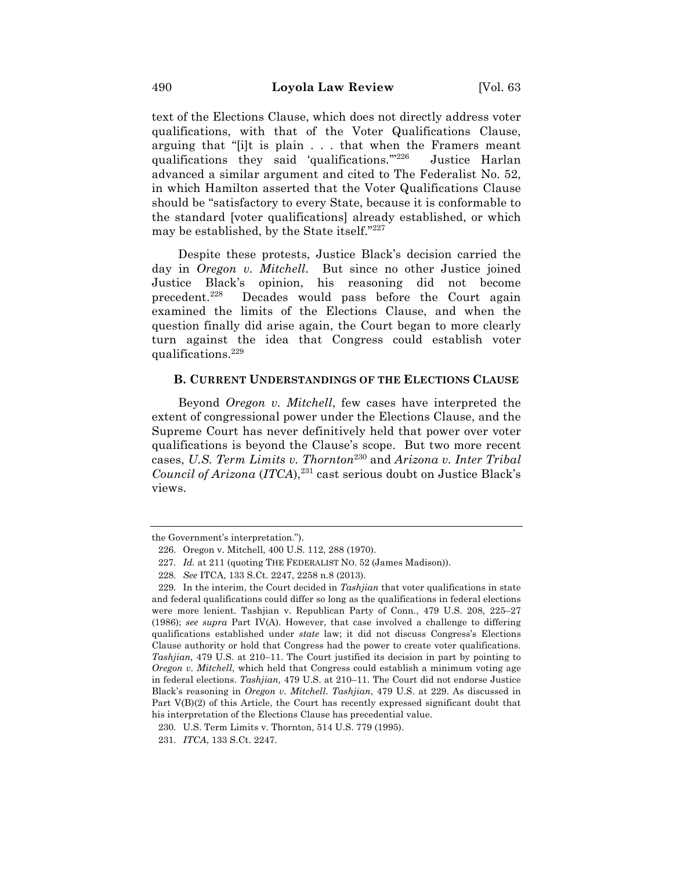text of the Elections Clause, which does not directly address voter qualifications, with that of the Voter Qualifications Clause, arguing that "[i]t is plain . . . that when the Framers meant qualifications they said 'qualifications."<sup>226</sup> Justice Harlan advanced a similar argument and cited to The Federalist No. 52, in which Hamilton asserted that the Voter Qualifications Clause should be "satisfactory to every State, because it is conformable to the standard [voter qualifications] already established, or which may be established, by the State itself."227

Despite these protests, Justice Black's decision carried the day in *Oregon v. Mitchell*. But since no other Justice joined Justice Black's opinion, his reasoning did not become precedent.<sup>228</sup> Decades would pass before the Court again examined the limits of the Elections Clause, and when the question finally did arise again, the Court began to more clearly turn against the idea that Congress could establish voter qualifications. $^{229}$ 

### **B. CURRENT UNDERSTANDINGS OF THE ELECTIONS CLAUSE**

Beyond *Oregon v. Mitchell*, few cases have interpreted the extent of congressional power under the Elections Clause, and the Supreme Court has never definitively held that power over voter qualifications is beyond the Clause's scope. But two more recent cases, *U.S. Term Limits v. Thornton*<sup>230</sup> and *Arizona v. Inter Tribal Council of Arizona (ITCA)*,<sup>231</sup> cast serious doubt on Justice Black's views.

the Government's interpretation.").

<sup>226.</sup> Oregon v. Mitchell, 400 U.S. 112, 288 (1970).

<sup>227.</sup> *Id.* at 211 (quoting THE FEDERALIST NO. 52 (James Madison)).

<sup>228.</sup> *See* ITCA, 133 S.Ct. 2247, 2258 n.8 (2013).

<sup>229.</sup> In the interim, the Court decided in *Tashjian* that voter qualifications in state and federal qualifications could differ so long as the qualifications in federal elections were more lenient. Tashjian v. Republican Party of Conn., 479 U.S. 208, 225–27 (1986); *see supra* Part IV(A). However, that case involved a challenge to differing qualifications established under *state* law; it did not discuss Congress's Elections Clause authority or hold that Congress had the power to create voter qualifications. *Tashjian,* 479 U.S. at 210-11. The Court justified its decision in part by pointing to *Oregon v. Mitchell*, which held that Congress could establish a minimum voting age in federal elections. *Tashjian,* 479 U.S. at 210–11. The Court did not endorse Justice Black's reasoning in *Oregon v. Mitchell*. *Tashjian*, 479 U.S. at 229. As discussed in Part V(B)(2) of this Article, the Court has recently expressed significant doubt that his interpretation of the Elections Clause has precedential value.

<sup>230.</sup> U.S. Term Limits v. Thornton, 514 U.S. 779 (1995).

<sup>231.</sup> *ITCA*, 133 S.Ct. 2247.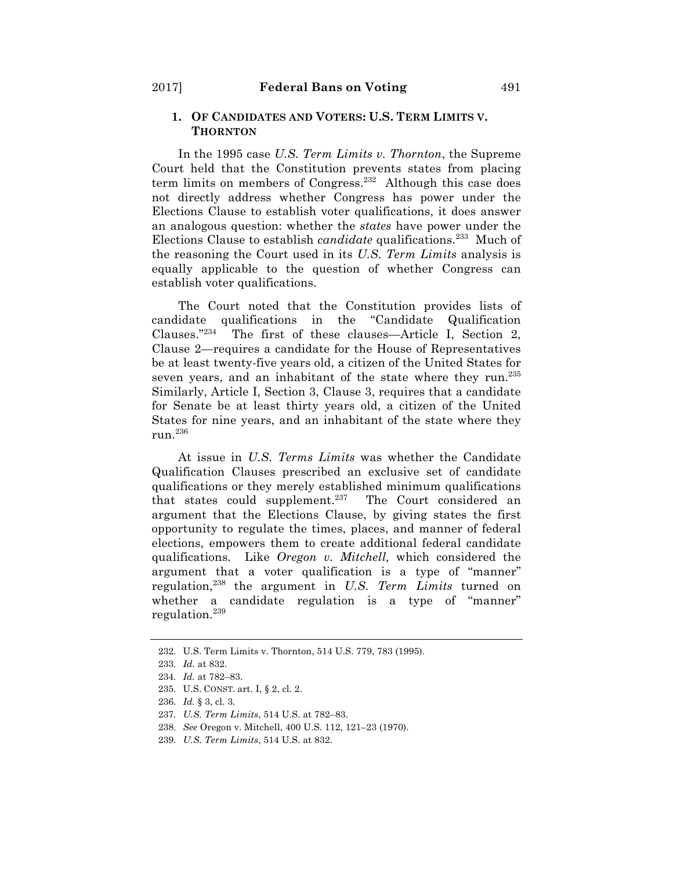## **1. OF CANDIDATES AND VOTERS: U.S. TERM LIMITS V. THORNTON**

In the 1995 case *U.S. Term Limits v. Thornton*, the Supreme Court held that the Constitution prevents states from placing term limits on members of Congress.<sup>232</sup> Although this case does not directly address whether Congress has power under the Elections Clause to establish voter qualifications, it does answer an analogous question: whether the *states* have power under the Elections Clause to establish *candidate* qualifications.233 Much of the reasoning the Court used in its *U.S. Term Limits* analysis is equally applicable to the question of whether Congress can establish voter qualifications.

The Court noted that the Constitution provides lists of candidate qualifications in the "Candidate Qualification Clauses."234 The first of these clauses—Article I, Section 2, Clause 2—requires a candidate for the House of Representatives be at least twenty-five years old, a citizen of the United States for seven years, and an inhabitant of the state where they run.<sup>235</sup> Similarly, Article I, Section 3, Clause 3, requires that a candidate for Senate be at least thirty years old, a citizen of the United States for nine years, and an inhabitant of the state where they run.236

At issue in *U.S. Terms Limits* was whether the Candidate Qualification Clauses prescribed an exclusive set of candidate qualifications or they merely established minimum qualifications that states could supplement.<sup>237</sup> The Court considered an argument that the Elections Clause, by giving states the first opportunity to regulate the times, places, and manner of federal elections, empowers them to create additional federal candidate qualifications. Like *Oregon v. Mitchell,* which considered the argument that a voter qualification is a type of "manner" regulation,238 the argument in *U.S. Term Limits* turned on whether a candidate regulation is a type of "manner" regulation.239

<sup>232.</sup> U.S. Term Limits v. Thornton, 514 U.S. 779, 783 (1995).

<sup>233.</sup> *Id.* at 832.

<sup>234.</sup> *Id.* at 782–83.

<sup>235.</sup> U.S. CONST. art. I, § 2, cl. 2.

<sup>236.</sup> *Id.* § 3, cl. 3.

<sup>237.</sup> *U.S. Term Limits*, 514 U.S. at 782–83.

<sup>238.</sup> *See* Oregon v. Mitchell, 400 U.S. 112, 121–23 (1970).

<sup>239.</sup> *U.S. Term Limits*, 514 U.S. at 832.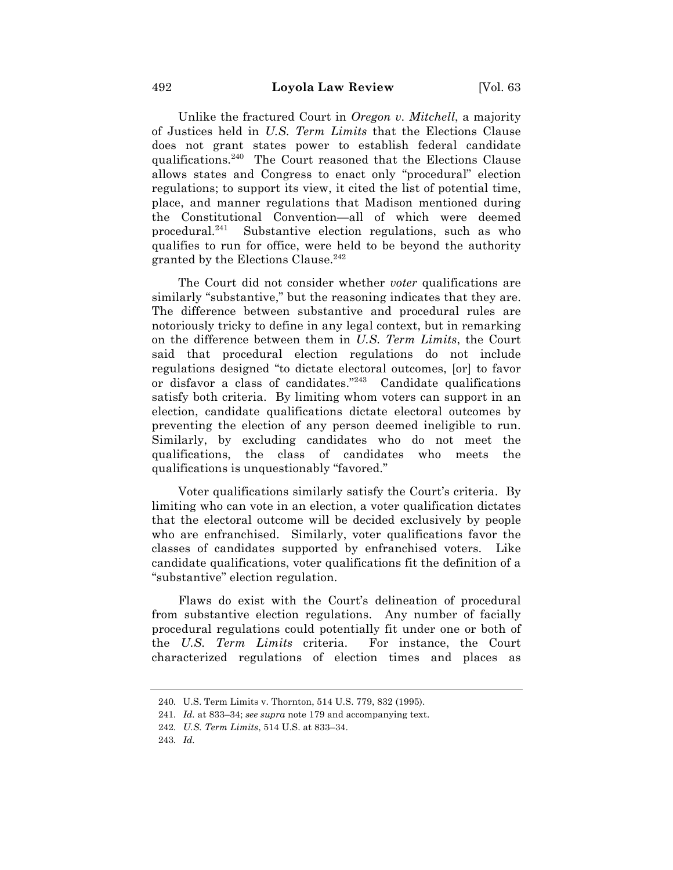Unlike the fractured Court in *Oregon v. Mitchell*, a majority of Justices held in *U.S. Term Limits* that the Elections Clause does not grant states power to establish federal candidate qualifications.240 The Court reasoned that the Elections Clause allows states and Congress to enact only "procedural" election regulations; to support its view, it cited the list of potential time, place, and manner regulations that Madison mentioned during the Constitutional Convention—all of which were deemed procedural.241 Substantive election regulations, such as who qualifies to run for office, were held to be beyond the authority granted by the Elections Clause. $242$ 

The Court did not consider whether *voter* qualifications are similarly "substantive," but the reasoning indicates that they are. The difference between substantive and procedural rules are notoriously tricky to define in any legal context, but in remarking on the difference between them in *U.S. Term Limits*, the Court said that procedural election regulations do not include regulations designed "to dictate electoral outcomes, [or] to favor or disfavor a class of candidates."243 Candidate qualifications satisfy both criteria. By limiting whom voters can support in an election, candidate qualifications dictate electoral outcomes by preventing the election of any person deemed ineligible to run. Similarly, by excluding candidates who do not meet the qualifications, the class of candidates who meets the qualifications is unquestionably "favored."

Voter qualifications similarly satisfy the Court's criteria. By limiting who can vote in an election, a voter qualification dictates that the electoral outcome will be decided exclusively by people who are enfranchised. Similarly, voter qualifications favor the classes of candidates supported by enfranchised voters. Like candidate qualifications, voter qualifications fit the definition of a "substantive" election regulation.

Flaws do exist with the Court's delineation of procedural from substantive election regulations. Any number of facially procedural regulations could potentially fit under one or both of the *U.S. Term Limits* criteria. For instance, the Court characterized regulations of election times and places as

<sup>240.</sup> U.S. Term Limits v. Thornton, 514 U.S. 779, 832 (1995).

<sup>241.</sup> *Id.* at 833–34; *see supra* note 179 and accompanying text.

<sup>242.</sup> *U.S. Term Limits*, 514 U.S. at 833–34.

<sup>243.</sup> *Id.*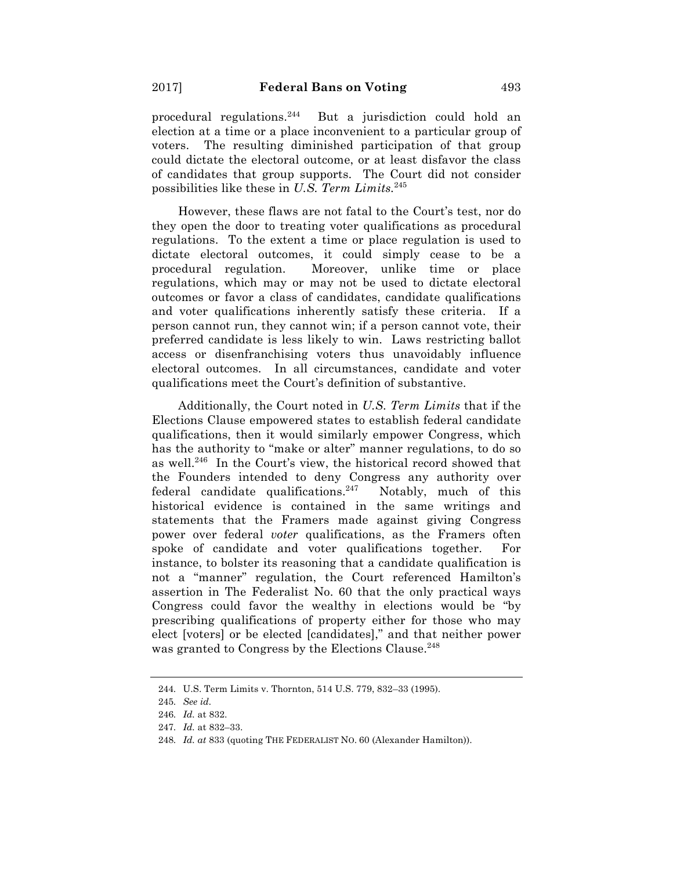procedural regulations. $244$  But a jurisdiction could hold an election at a time or a place inconvenient to a particular group of voters. The resulting diminished participation of that group could dictate the electoral outcome, or at least disfavor the class of candidates that group supports. The Court did not consider possibilities like these in *U.S. Term Limits.*<sup>245</sup>

However, these flaws are not fatal to the Court's test, nor do they open the door to treating voter qualifications as procedural regulations. To the extent a time or place regulation is used to dictate electoral outcomes, it could simply cease to be a procedural regulation. Moreover, unlike time or place regulations, which may or may not be used to dictate electoral outcomes or favor a class of candidates, candidate qualifications and voter qualifications inherently satisfy these criteria. If a person cannot run, they cannot win; if a person cannot vote, their preferred candidate is less likely to win. Laws restricting ballot access or disenfranchising voters thus unavoidably influence electoral outcomes. In all circumstances, candidate and voter qualifications meet the Court's definition of substantive.

Additionally, the Court noted in *U.S. Term Limits* that if the Elections Clause empowered states to establish federal candidate qualifications, then it would similarly empower Congress, which has the authority to "make or alter" manner regulations, to do so as well.246 In the Court's view, the historical record showed that the Founders intended to deny Congress any authority over federal candidate qualifications.<sup>247</sup> Notably, much of this historical evidence is contained in the same writings and statements that the Framers made against giving Congress power over federal *voter* qualifications, as the Framers often spoke of candidate and voter qualifications together. For instance, to bolster its reasoning that a candidate qualification is not a "manner" regulation, the Court referenced Hamilton's assertion in The Federalist No. 60 that the only practical ways Congress could favor the wealthy in elections would be "by prescribing qualifications of property either for those who may elect [voters] or be elected [candidates]," and that neither power was granted to Congress by the Elections Clause.<sup>248</sup>

<sup>244.</sup> U.S. Term Limits v. Thornton, 514 U.S. 779, 832–33 (1995).

<sup>245.</sup> *See id.*

<sup>246.</sup> *Id.* at 832.

<sup>247.</sup> *Id.* at 832–33.

<sup>248.</sup> *Id. at* 833 (quoting THE FEDERALIST NO. 60 (Alexander Hamilton)).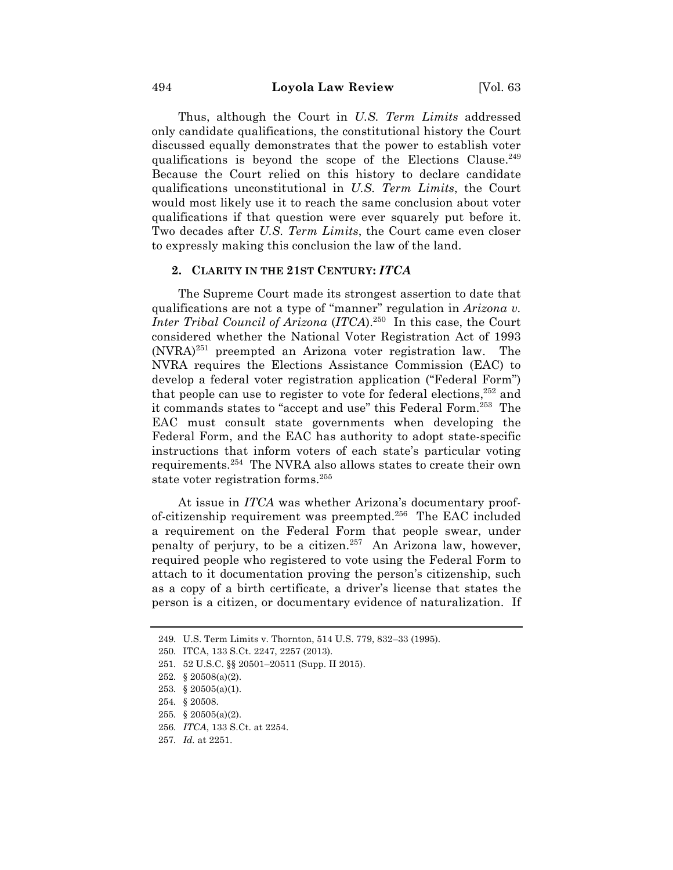Thus, although the Court in *U.S. Term Limits* addressed only candidate qualifications, the constitutional history the Court discussed equally demonstrates that the power to establish voter qualifications is beyond the scope of the Elections Clause.<sup>249</sup> Because the Court relied on this history to declare candidate qualifications unconstitutional in *U.S. Term Limits*, the Court would most likely use it to reach the same conclusion about voter qualifications if that question were ever squarely put before it. Two decades after *U.S. Term Limits*, the Court came even closer to expressly making this conclusion the law of the land.

### **2. CLARITY IN THE 21ST CENTURY:** *ITCA*

The Supreme Court made its strongest assertion to date that qualifications are not a type of "manner" regulation in *Arizona v. Inter Tribal Council of Arizona* (*ITCA*).250 In this case, the Court considered whether the National Voter Registration Act of 1993  $(NVRA)^{251}$  preempted an Arizona voter registration law. The NVRA requires the Elections Assistance Commission (EAC) to develop a federal voter registration application ("Federal Form") that people can use to register to vote for federal elections,  $252$  and it commands states to "accept and use" this Federal Form.253 The EAC must consult state governments when developing the Federal Form, and the EAC has authority to adopt state-specific instructions that inform voters of each state's particular voting requirements.254 The NVRA also allows states to create their own state voter registration forms.<sup>255</sup>

At issue in *ITCA* was whether Arizona's documentary proofof-citizenship requirement was preempted. 256 The EAC included a requirement on the Federal Form that people swear, under penalty of perjury, to be a citizen.<sup>257</sup> An Arizona law, however, required people who registered to vote using the Federal Form to attach to it documentation proving the person's citizenship, such as a copy of a birth certificate, a driver's license that states the person is a citizen, or documentary evidence of naturalization. If

- 255. § 20505(a)(2).
- 256. *ITCA*, 133 S.Ct. at 2254.

<sup>249.</sup> U.S. Term Limits v. Thornton, 514 U.S. 779, 832–33 (1995).

<sup>250.</sup> ITCA, 133 S.Ct. 2247, 2257 (2013).

<sup>251.</sup> 52 U.S.C. §§ 20501–20511 (Supp. II 2015).

<sup>252.</sup> § 20508(a)(2).

<sup>253.</sup> § 20505(a)(1).

<sup>254.</sup> § 20508.

<sup>257.</sup> *Id.* at 2251.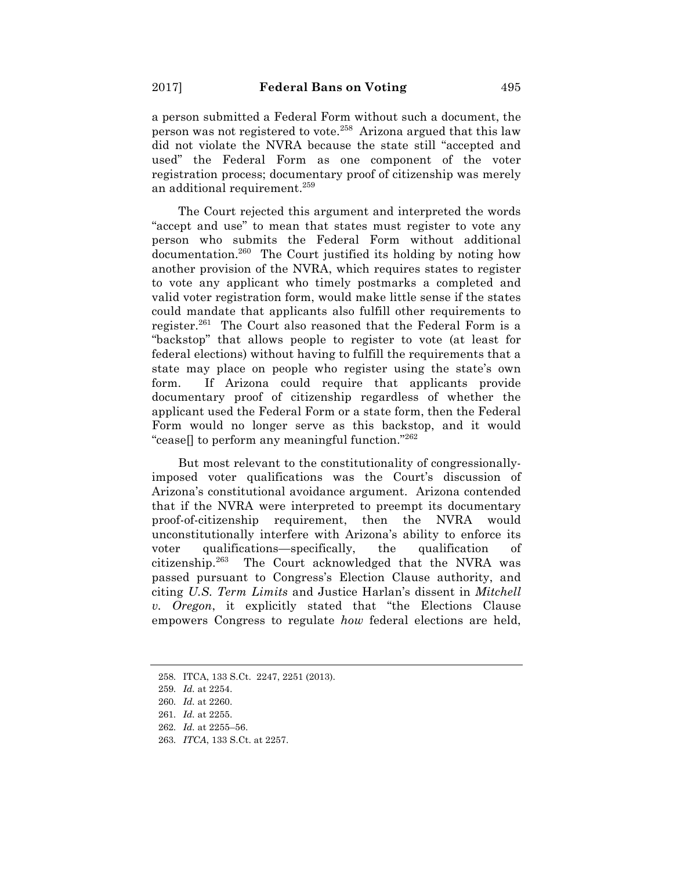a person submitted a Federal Form without such a document, the person was not registered to vote.<sup>258</sup> Arizona argued that this law did not violate the NVRA because the state still "accepted and used" the Federal Form as one component of the voter registration process; documentary proof of citizenship was merely an additional requirement.259

The Court rejected this argument and interpreted the words "accept and use" to mean that states must register to vote any person who submits the Federal Form without additional documentation.260 The Court justified its holding by noting how another provision of the NVRA, which requires states to register to vote any applicant who timely postmarks a completed and valid voter registration form, would make little sense if the states could mandate that applicants also fulfill other requirements to register.<sup>261</sup> The Court also reasoned that the Federal Form is a "backstop" that allows people to register to vote (at least for federal elections) without having to fulfill the requirements that a state may place on people who register using the state's own form. If Arizona could require that applicants provide documentary proof of citizenship regardless of whether the applicant used the Federal Form or a state form, then the Federal Form would no longer serve as this backstop, and it would "cease. to perform any meaningful function."<sup>262</sup>"

But most relevant to the constitutionality of congressionallyimposed voter qualifications was the Court's discussion of Arizona's constitutional avoidance argument. Arizona contended that if the NVRA were interpreted to preempt its documentary proof-of-citizenship requirement, then the NVRA would unconstitutionally interfere with Arizona's ability to enforce its voter qualifications—specifically, the qualification of citizenship.263 The Court acknowledged that the NVRA was passed pursuant to Congress's Election Clause authority, and citing *U.S. Term Limits* and Justice Harlan's dissent in *Mitchell v. Oregon*, it explicitly stated that "the Elections Clause empowers Congress to regulate *how* federal elections are held,

<sup>258.</sup> ITCA, 133 S.Ct. 2247, 2251 (2013).

<sup>259.</sup> *Id.* at 2254.

<sup>260.</sup> *Id.* at 2260.

<sup>261.</sup> *Id.* at 2255.

<sup>262.</sup> *Id.* at 2255–56.

<sup>263.</sup> *ITCA*, 133 S.Ct. at 2257.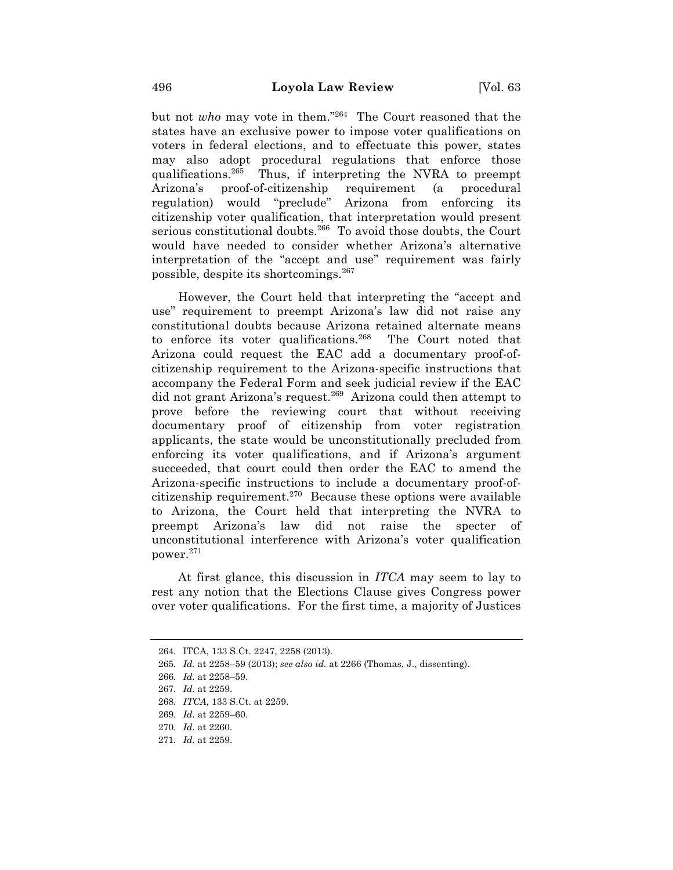but not *who* may vote in them."264 The Court reasoned that the states have an exclusive power to impose voter qualifications on voters in federal elections, and to effectuate this power, states may also adopt procedural regulations that enforce those qualifications.265 Thus, if interpreting the NVRA to preempt Arizona's proof-of-citizenship requirement (a procedural regulation) would "preclude" Arizona from enforcing its citizenship voter qualification, that interpretation would present serious constitutional doubts.<sup>266</sup> To avoid those doubts, the Court would have needed to consider whether Arizona's alternative interpretation of the "accept and use" requirement was fairly possible, despite its shortcomings.267

However, the Court held that interpreting the "accept and use" requirement to preempt Arizona's law did not raise any constitutional doubts because Arizona retained alternate means to enforce its voter qualifications.<sup>268</sup> The Court noted that Arizona could request the EAC add a documentary proof-ofcitizenship requirement to the Arizona-specific instructions that accompany the Federal Form and seek judicial review if the EAC did not grant Arizona's request.<sup>269</sup> Arizona could then attempt to prove before the reviewing court that without receiving documentary proof of citizenship from voter registration applicants, the state would be unconstitutionally precluded from enforcing its voter qualifications, and if Arizona's argument succeeded, that court could then order the EAC to amend the Arizona-specific instructions to include a documentary proof-ofcitizenship requirement.<sup>270</sup> Because these options were available to Arizona, the Court held that interpreting the NVRA to preempt Arizona's law did not raise the specter of unconstitutional interference with Arizona's voter qualification power.271

At first glance, this discussion in *ITCA* may seem to lay to rest any notion that the Elections Clause gives Congress power over voter qualifications. For the first time, a majority of Justices

271. *Id.* at 2259.

<sup>264.</sup> ITCA, 133 S.Ct. 2247, 2258 (2013).

<sup>265.</sup> *Id.* at 2258–59 (2013); *see also id.* at 2266 (Thomas, J., dissenting).

<sup>266.</sup> *Id.* at 2258–59.

<sup>267.</sup> *Id.* at 2259.

<sup>268.</sup> *ITCA*, 133 S.Ct. at 2259.

<sup>269.</sup> *Id.* at 2259–60.

<sup>270.</sup> *Id.* at 2260.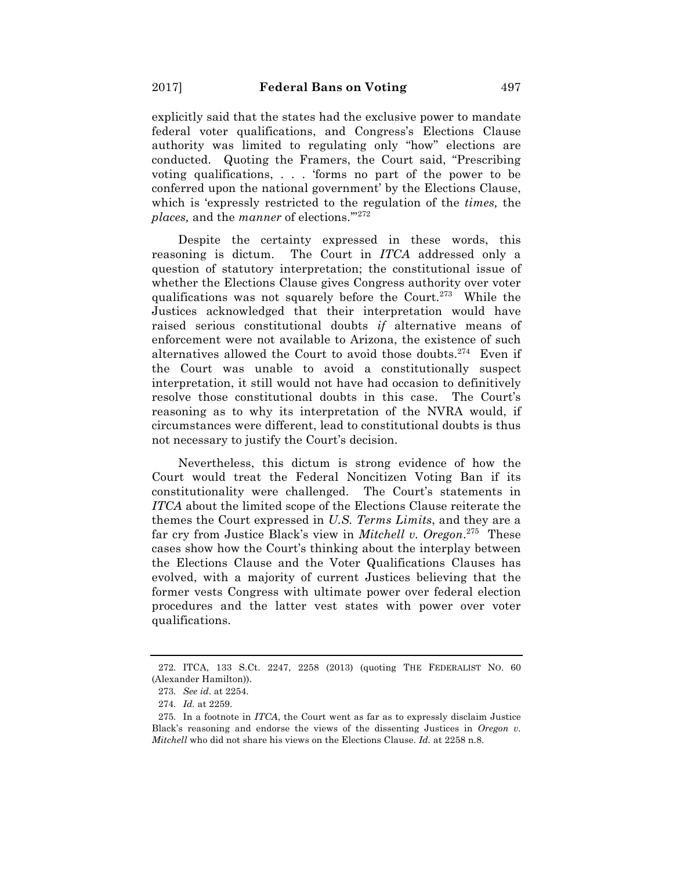explicitly said that the states had the exclusive power to mandate federal voter qualifications, and Congress's Elections Clause authority was limited to regulating only "how" elections are conducted. Quoting the Framers, the Court said, "Prescribing voting qualifications, . . . 'forms no part of the power to be conferred upon the national government' by the Elections Clause, which is 'expressly restricted to the regulation of the *times,* the *places,* and the *manner* of elections.'"272

Despite the certainty expressed in these words, this reasoning is dictum. The Court in *ITCA* addressed only a question of statutory interpretation; the constitutional issue of whether the Elections Clause gives Congress authority over voter qualifications was not squarely before the Court.273 While the Justices acknowledged that their interpretation would have raised serious constitutional doubts *if* alternative means of enforcement were not available to Arizona, the existence of such alternatives allowed the Court to avoid those doubts.<sup>274</sup> Even if the Court was unable to avoid a constitutionally suspect interpretation, it still would not have had occasion to definitively resolve those constitutional doubts in this case. The Court's reasoning as to why its interpretation of the NVRA would, if circumstances were different, lead to constitutional doubts is thus not necessary to justify the Court's decision.

Nevertheless, this dictum is strong evidence of how the Court would treat the Federal Noncitizen Voting Ban if its constitutionality were challenged. The Court's statements in *ITCA* about the limited scope of the Elections Clause reiterate the themes the Court expressed in *U.S. Terms Limits*, and they are a far cry from Justice Black's view in *Mitchell v. Oregon*. 275 These cases show how the Court's thinking about the interplay between the Elections Clause and the Voter Qualifications Clauses has evolved, with a majority of current Justices believing that the former vests Congress with ultimate power over federal election procedures and the latter vest states with power over voter qualifications.

<sup>272.</sup> ITCA, 133 S.Ct. 2247, 2258 (2013) (quoting THE FEDERALIST NO. 60 (Alexander Hamilton)).

<sup>273.</sup> *See id.* at 2254.

<sup>274.</sup> *Id.* at 2259.

<sup>275.</sup> In a footnote in *ITCA*, the Court went as far as to expressly disclaim Justice Black's reasoning and endorse the views of the dissenting Justices in *Oregon v. Mitchell* who did not share his views on the Elections Clause. *Id.* at 2258 n.8.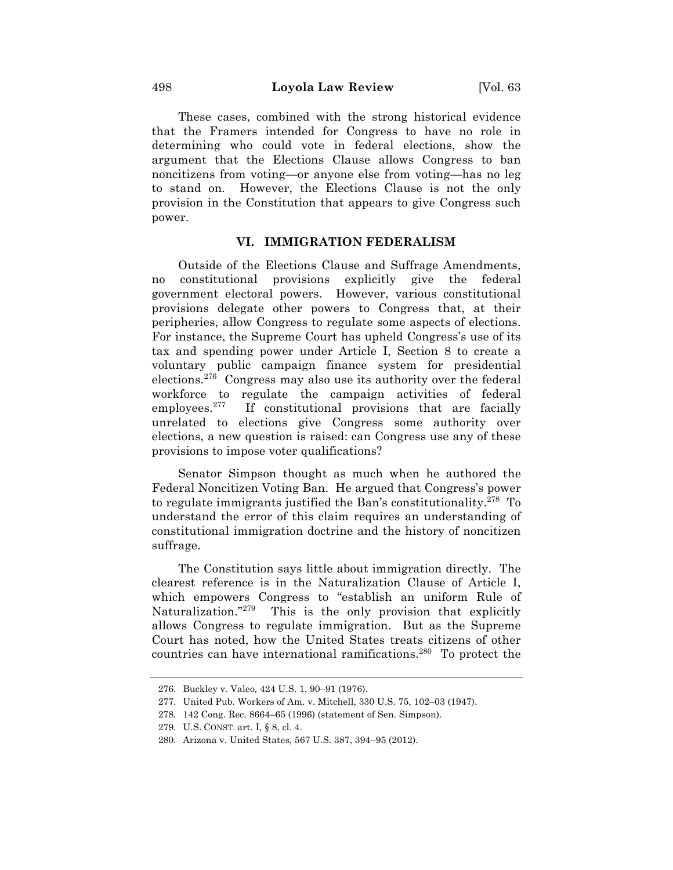These cases, combined with the strong historical evidence that the Framers intended for Congress to have no role in determining who could vote in federal elections, show the argument that the Elections Clause allows Congress to ban noncitizens from voting—or anyone else from voting—has no leg to stand on. However, the Elections Clause is not the only provision in the Constitution that appears to give Congress such power.

## **VI. IMMIGRATION FEDERALISM**

Outside of the Elections Clause and Suffrage Amendments, no constitutional provisions explicitly give the federal government electoral powers. However, various constitutional provisions delegate other powers to Congress that, at their peripheries, allow Congress to regulate some aspects of elections. For instance, the Supreme Court has upheld Congress's use of its tax and spending power under Article I, Section 8 to create a voluntary public campaign finance system for presidential elections.276 Congress may also use its authority over the federal workforce to regulate the campaign activities of federal employees.<sup>277</sup> If constitutional provisions that are facially unrelated to elections give Congress some authority over elections, a new question is raised: can Congress use any of these provisions to impose voter qualifications?

Senator Simpson thought as much when he authored the Federal Noncitizen Voting Ban. He argued that Congress's power to regulate immigrants justified the Ban's constitutionality.278 To understand the error of this claim requires an understanding of constitutional immigration doctrine and the history of noncitizen suffrage.

The Constitution says little about immigration directly. The clearest reference is in the Naturalization Clause of Article I, which empowers Congress to "establish an uniform Rule of Naturalization."<sup>279</sup> This is the only provision that explicitly allows Congress to regulate immigration. But as the Supreme Court has noted, how the United States treats citizens of other countries can have international ramifications.280 To protect the

<sup>276.</sup> Buckley v. Valeo*,* 424 U.S. 1, 90–91 (1976).

<sup>277.</sup> United Pub. Workers of Am. v. Mitchell, 330 U.S. 75, 102–03 (1947).

<sup>278.</sup> 142 Cong. Rec. 8664–65 (1996) (statement of Sen. Simpson).

<sup>279.</sup> U.S. CONST. art. I, § 8, cl. 4.

<sup>280.</sup> Arizona v. United States, 567 U.S. 387, 394–95 (2012).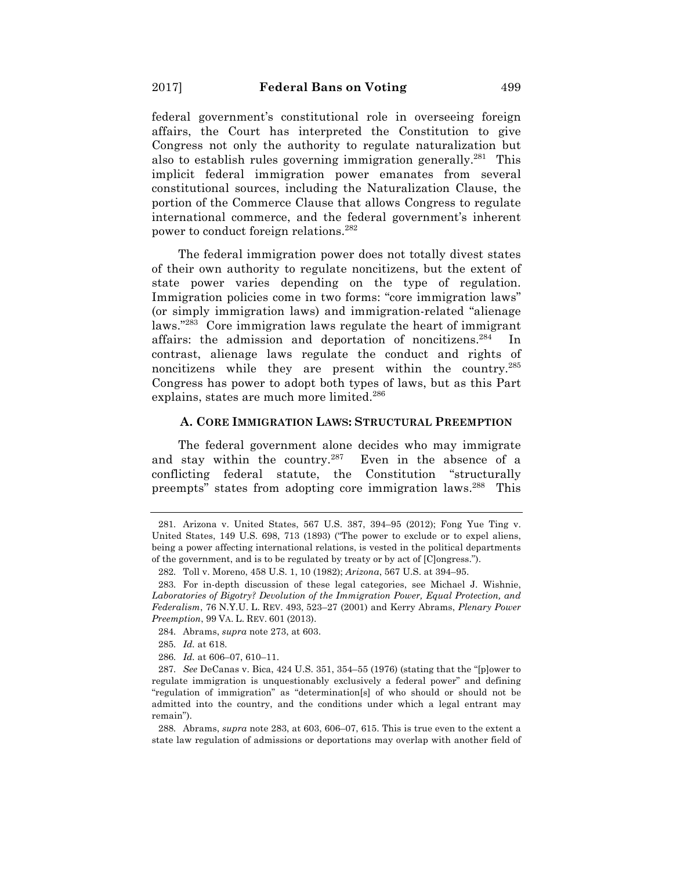federal government's constitutional role in overseeing foreign affairs, the Court has interpreted the Constitution to give Congress not only the authority to regulate naturalization but also to establish rules governing immigration generally.<sup>281</sup> This implicit federal immigration power emanates from several constitutional sources, including the Naturalization Clause, the portion of the Commerce Clause that allows Congress to regulate international commerce, and the federal government's inherent power to conduct foreign relations.282

The federal immigration power does not totally divest states of their own authority to regulate noncitizens, but the extent of state power varies depending on the type of regulation. Immigration policies come in two forms: "core immigration laws" (or simply immigration laws) and immigration-related "alienage laws."283 Core immigration laws regulate the heart of immigrant affairs: the admission and deportation of noncitizens.<sup>284</sup> In contrast, alienage laws regulate the conduct and rights of noncitizens while they are present within the country.285 Congress has power to adopt both types of laws, but as this Part explains, states are much more limited.<sup>286</sup>

#### **A. CORE IMMIGRATION LAWS: STRUCTURAL PREEMPTION**

The federal government alone decides who may immigrate and stay within the country. $287$  Even in the absence of a conflicting federal statute, the Constitution "structurally preempts" states from adopting core immigration laws.<sup>288</sup> This

284. Abrams, *supra* note 273, at 603.

286. *Id.* at 606–07, 610–11.

288. Abrams, *supra* note 283, at 603, 606–07, 615. This is true even to the extent a state law regulation of admissions or deportations may overlap with another field of

<sup>281.</sup> Arizona v. United States, 567 U.S. 387, 394–95 (2012); Fong Yue Ting v. United States, 149 U.S. 698, 713 (1893) ("The power to exclude or to expel aliens, being a power affecting international relations, is vested in the political departments of the government, and is to be regulated by treaty or by act of [C]ongress.").

<sup>282.</sup> Toll v. Moreno, 458 U.S. 1, 10 (1982); *Arizona*, 567 U.S. at 394–95.

<sup>283.</sup> For in-depth discussion of these legal categories, see Michael J. Wishnie, *Laboratories of Bigotry? Devolution of the Immigration Power, Equal Protection, and Federalism*, 76 N.Y.U. L. REV. 493, 523–27 (2001) and Kerry Abrams, *Plenary Power Preemption*, 99 VA. L. REV. 601 (2013).

<sup>285.</sup> *Id.* at 618.

<sup>287.</sup> *See* DeCanas v. Bica, 424 U.S. 351, 354–55 (1976) (stating that the "[p]ower to regulate immigration is unquestionably exclusively a federal power" and defining "regulation of immigration" as "determination[s] of who should or should not be admitted into the country, and the conditions under which a legal entrant may remain").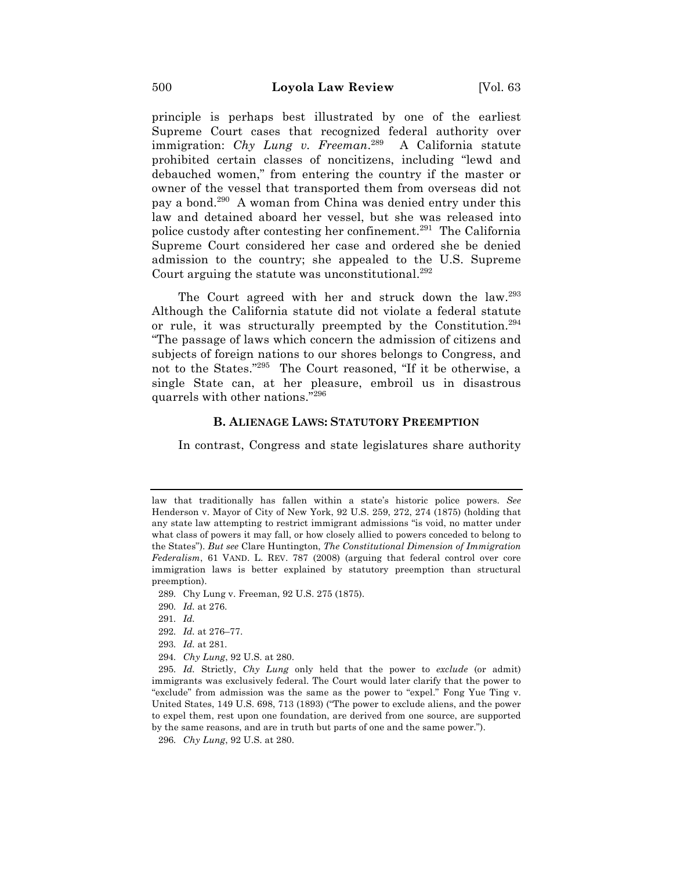principle is perhaps best illustrated by one of the earliest Supreme Court cases that recognized federal authority over immigration: *Chy Lung v. Freeman*. 289 A California statute prohibited certain classes of noncitizens, including "lewd and debauched women," from entering the country if the master or owner of the vessel that transported them from overseas did not pay a bond.290 A woman from China was denied entry under this law and detained aboard her vessel, but she was released into police custody after contesting her confinement.<sup>291</sup> The California Supreme Court considered her case and ordered she be denied admission to the country; she appealed to the U.S. Supreme Court arguing the statute was unconstitutional.<sup>292</sup>

The Court agreed with her and struck down the law.<sup>293</sup> Although the California statute did not violate a federal statute or rule, it was structurally preempted by the Constitution.<sup>294</sup> "The passage of laws which concern the admission of citizens and subjects of foreign nations to our shores belongs to Congress, and not to the States."295 The Court reasoned, "If it be otherwise, a single State can, at her pleasure, embroil us in disastrous quarrels with other nations."296

### **B. ALIENAGE LAWS: STATUTORY PREEMPTION**

In contrast, Congress and state legislatures share authority

- 289. Chy Lung v. Freeman, 92 U.S. 275 (1875).
- 290. *Id.* at 276.

- 292. *Id.* at 276–77.
- 293. *Id.* at 281.
- 294. *Chy Lung*, 92 U.S. at 280.

295. *Id.* Strictly, *Chy Lung* only held that the power to *exclude* (or admit) immigrants was exclusively federal. The Court would later clarify that the power to "exclude" from admission was the same as the power to "expel." Fong Yue Ting v. United States, 149 U.S. 698, 713 (1893) ("The power to exclude aliens, and the power to expel them, rest upon one foundation, are derived from one source, are supported by the same reasons, and are in truth but parts of one and the same power.").

296. *Chy Lung*, 92 U.S. at 280.

law that traditionally has fallen within a state's historic police powers. *See*  Henderson v. Mayor of City of New York, 92 U.S. 259, 272, 274 (1875) (holding that any state law attempting to restrict immigrant admissions "is void, no matter under what class of powers it may fall, or how closely allied to powers conceded to belong to the States"). *But see* Clare Huntington, *The Constitutional Dimension of Immigration Federalism*, 61 VAND. L. REV. 787 (2008) (arguing that federal control over core immigration laws is better explained by statutory preemption than structural preemption).

<sup>291.</sup> *Id.*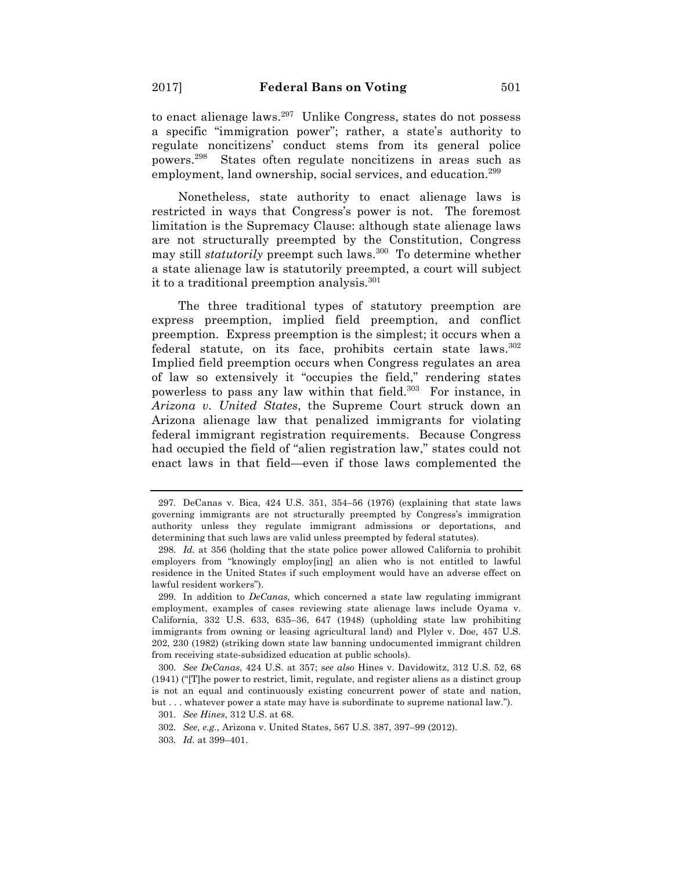to enact alienage laws.297 Unlike Congress, states do not possess a specific "immigration power"; rather, a state's authority to regulate noncitizens' conduct stems from its general police powers.298 States often regulate noncitizens in areas such as employment, land ownership, social services, and education.<sup>299</sup>

Nonetheless, state authority to enact alienage laws is restricted in ways that Congress's power is not. The foremost limitation is the Supremacy Clause: although state alienage laws are not structurally preempted by the Constitution, Congress may still *statutorily* preempt such laws.<sup>300</sup> To determine whether a state alienage law is statutorily preempted, a court will subject it to a traditional preemption analysis.<sup>301</sup>

The three traditional types of statutory preemption are express preemption, implied field preemption, and conflict preemption. Express preemption is the simplest; it occurs when a federal statute, on its face, prohibits certain state laws.<sup>302</sup> Implied field preemption occurs when Congress regulates an area of law so extensively it "occupies the field," rendering states powerless to pass any law within that field.<sup>303</sup> For instance, in *Arizona v. United States*, the Supreme Court struck down an Arizona alienage law that penalized immigrants for violating federal immigrant registration requirements. Because Congress had occupied the field of "alien registration law," states could not enact laws in that field—even if those laws complemented the

302. *See, e.g.,* Arizona v. United States, 567 U.S. 387, 397–99 (2012).

<sup>297.</sup> DeCanas v. Bica, 424 U.S. 351, 354–56 (1976) (explaining that state laws governing immigrants are not structurally preempted by Congress's immigration authority unless they regulate immigrant admissions or deportations, and determining that such laws are valid unless preempted by federal statutes).

<sup>298.</sup> *Id.* at 356 (holding that the state police power allowed California to prohibit employers from "knowingly employ[ing] an alien who is not entitled to lawful residence in the United States if such employment would have an adverse effect on lawful resident workers").

<sup>299.</sup> In addition to *DeCanas,* which concerned a state law regulating immigrant employment, examples of cases reviewing state alienage laws include Oyama v. California*,* 332 U.S. 633, 635–36, 647 (1948) (upholding state law prohibiting immigrants from owning or leasing agricultural land) and Plyler v. Doe, 457 U.S. 202, 230 (1982) (striking down state law banning undocumented immigrant children from receiving state-subsidized education at public schools).

<sup>300.</sup> *See DeCanas*, 424 U.S. at 357; s*ee also* Hines v. Davidowitz, 312 U.S. 52, 68 (1941) ("[T]he power to restrict, limit, regulate, and register aliens as a distinct group is not an equal and continuously existing concurrent power of state and nation, but . . . whatever power a state may have is subordinate to supreme national law.").

<sup>301.</sup> *See Hines*, 312 U.S. at 68.

<sup>303.</sup> *Id.* at 399–401.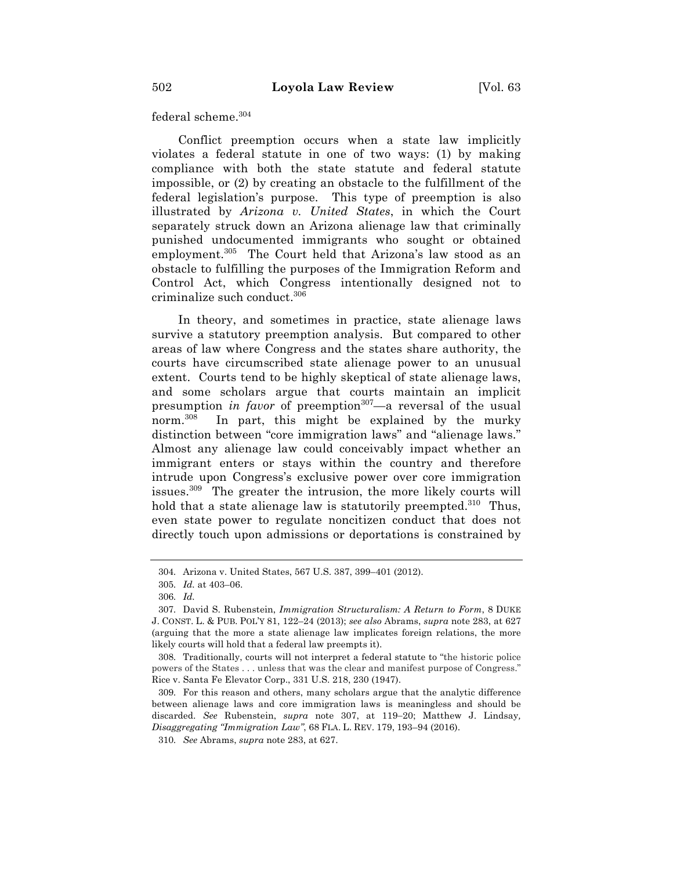federal scheme.304

Conflict preemption occurs when a state law implicitly violates a federal statute in one of two ways: (1) by making compliance with both the state statute and federal statute impossible, or (2) by creating an obstacle to the fulfillment of the federal legislation's purpose. This type of preemption is also illustrated by *Arizona v. United States*, in which the Court separately struck down an Arizona alienage law that criminally punished undocumented immigrants who sought or obtained employment.<sup>305</sup> The Court held that Arizona's law stood as an obstacle to fulfilling the purposes of the Immigration Reform and Control Act, which Congress intentionally designed not to criminalize such conduct.306

In theory, and sometimes in practice, state alienage laws survive a statutory preemption analysis. But compared to other areas of law where Congress and the states share authority, the courts have circumscribed state alienage power to an unusual extent. Courts tend to be highly skeptical of state alienage laws, and some scholars argue that courts maintain an implicit presumption *in favor* of preemption<sup>307</sup>—a reversal of the usual norm.<sup>308</sup> In part, this might be explained by the murky distinction between "core immigration laws" and "alienage laws." Almost any alienage law could conceivably impact whether an immigrant enters or stays within the country and therefore intrude upon Congress's exclusive power over core immigration issues.309 The greater the intrusion, the more likely courts will hold that a state alienage law is statutorily preempted.<sup>310</sup> Thus, even state power to regulate noncitizen conduct that does not directly touch upon admissions or deportations is constrained by

<sup>304.</sup> Arizona v. United States, 567 U.S. 387, 399–401 (2012).

<sup>305.</sup> *Id.* at 403–06.

<sup>306.</sup> *Id.*

<sup>307.</sup> David S. Rubenstein, *Immigration Structuralism: A Return to Form*, 8 DUKE J. CONST. L. & PUB. POL'Y 81, 122–24 (2013); *see also* Abrams, *supra* note 283, at 627 (arguing that the more a state alienage law implicates foreign relations, the more likely courts will hold that a federal law preempts it).

<sup>308.</sup> Traditionally, courts will not interpret a federal statute to "the historic police powers of the States . . . unless that was the clear and manifest purpose of Congress." Rice v. Santa Fe Elevator Corp., 331 U.S. 218, 230 (1947).

<sup>309.</sup> For this reason and others, many scholars argue that the analytic difference between alienage laws and core immigration laws is meaningless and should be discarded. *See* Rubenstein, *supra* note 307, at 119-20; Matthew J. Lindsay*, Disaggregating "Immigration Law"*, 68 FLA. L. REV. 179, 193–94 (2016).

<sup>310.</sup> *See* Abrams, *supra* note 283, at 627.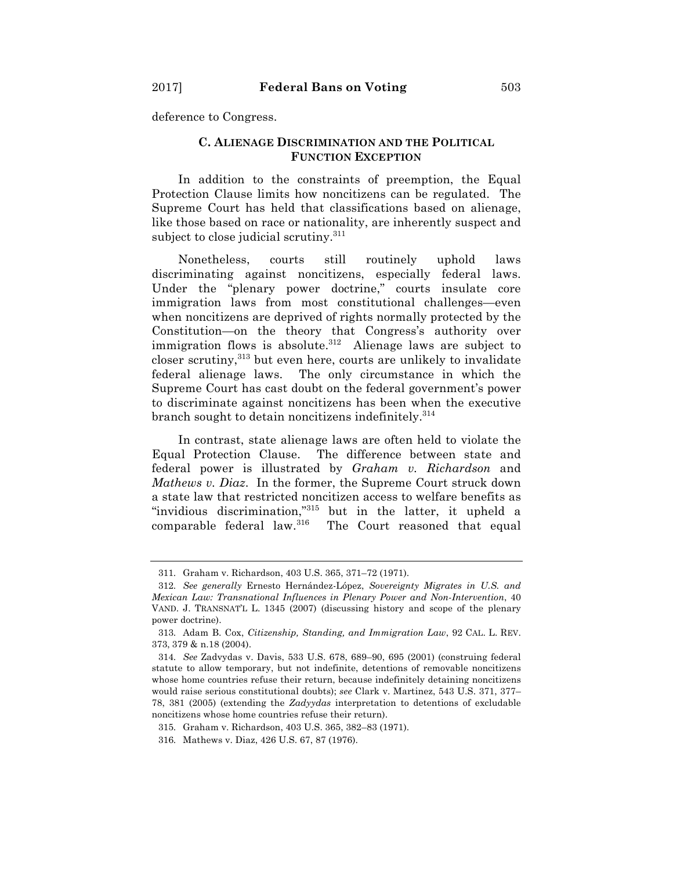deference to Congress.

### **C. ALIENAGE DISCRIMINATION AND THE POLITICAL FUNCTION EXCEPTION**

In addition to the constraints of preemption, the Equal Protection Clause limits how noncitizens can be regulated. The Supreme Court has held that classifications based on alienage, like those based on race or nationality, are inherently suspect and subject to close judicial scrutiny.<sup>311</sup>

Nonetheless, courts still routinely uphold laws discriminating against noncitizens, especially federal laws. Under the "plenary power doctrine," courts insulate core immigration laws from most constitutional challenges—even when noncitizens are deprived of rights normally protected by the Constitution—on the theory that Congress's authority over immigration flows is absolute.<sup>312</sup> Alienage laws are subject to closer scrutiny,<sup>313</sup> but even here, courts are unlikely to invalidate federal alienage laws. The only circumstance in which the Supreme Court has cast doubt on the federal government's power to discriminate against noncitizens has been when the executive branch sought to detain noncitizens indefinitely.<sup>314</sup>

In contrast, state alienage laws are often held to violate the Equal Protection Clause. The difference between state and federal power is illustrated by *Graham v. Richardson* and *Mathews v. Diaz*. In the former, the Supreme Court struck down a state law that restricted noncitizen access to welfare benefits as "invidious discrimination,"315 but in the latter, it upheld a comparable federal law. $316$  The Court reasoned that equal

<sup>311.</sup> Graham v. Richardson, 403 U.S. 365, 371–72 (1971).

<sup>312.</sup> *See generally* Ernesto Hernández-López, *Sovereignty Migrates in U.S. and Mexican Law: Transnational Influences in Plenary Power and Non-Intervention*, 40 VAND. J. TRANSNAT'L L. 1345 (2007) (discussing history and scope of the plenary power doctrine).

<sup>313.</sup> Adam B. Cox, *Citizenship, Standing, and Immigration Law*, 92 CAL. L. REV. 373, 379 & n.18 (2004).

<sup>314.</sup> *See* Zadvydas v. Davis, 533 U.S. 678, 689–90, 695 (2001) (construing federal statute to allow temporary, but not indefinite, detentions of removable noncitizens whose home countries refuse their return, because indefinitely detaining noncitizens would raise serious constitutional doubts); *see* Clark v. Martinez, 543 U.S. 371, 377– 78, 381 (2005) (extending the *Zadyydas* interpretation to detentions of excludable noncitizens whose home countries refuse their return).

<sup>315.</sup> Graham v. Richardson, 403 U.S. 365, 382–83 (1971).

<sup>316.</sup> Mathews v. Diaz, 426 U.S. 67, 87 (1976).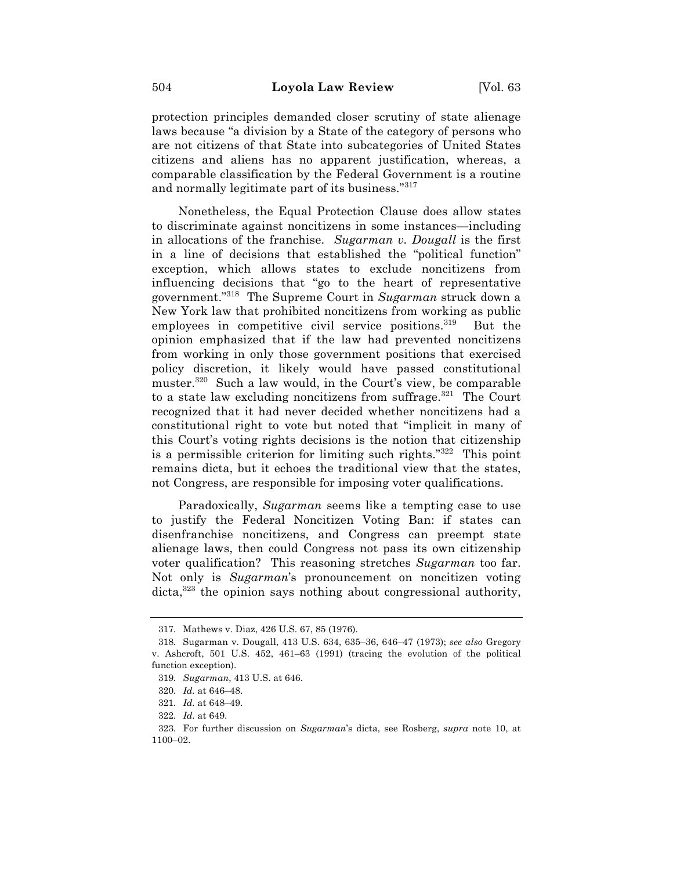protection principles demanded closer scrutiny of state alienage laws because "a division by a State of the category of persons who are not citizens of that State into subcategories of United States citizens and aliens has no apparent justification, whereas, a comparable classification by the Federal Government is a routine and normally legitimate part of its business."317

Nonetheless, the Equal Protection Clause does allow states to discriminate against noncitizens in some instances—including in allocations of the franchise. *Sugarman v. Dougall* is the first in a line of decisions that established the "political function" exception, which allows states to exclude noncitizens from influencing decisions that "go to the heart of representative government."318 The Supreme Court in *Sugarman* struck down a New York law that prohibited noncitizens from working as public employees in competitive civil service positions.<sup>319</sup> But the opinion emphasized that if the law had prevented noncitizens from working in only those government positions that exercised policy discretion, it likely would have passed constitutional muster.320 Such a law would, in the Court's view, be comparable to a state law excluding noncitizens from suffrage.<sup>321</sup> The Court recognized that it had never decided whether noncitizens had a constitutional right to vote but noted that "implicit in many of this Court's voting rights decisions is the notion that citizenship is a permissible criterion for limiting such rights."322 This point remains dicta, but it echoes the traditional view that the states, not Congress, are responsible for imposing voter qualifications.

Paradoxically, *Sugarman* seems like a tempting case to use to justify the Federal Noncitizen Voting Ban: if states can disenfranchise noncitizens, and Congress can preempt state alienage laws, then could Congress not pass its own citizenship voter qualification? This reasoning stretches *Sugarman* too far. Not only is *Sugarman*'s pronouncement on noncitizen voting  $\text{dicta}$ <sup>323</sup> the opinion says nothing about congressional authority,

<sup>317.</sup> Mathews v. Diaz, 426 U.S. 67, 85 (1976).

<sup>318.</sup> Sugarman v. Dougall, 413 U.S. 634, 635–36, 646–47 (1973); *see also* Gregory v. Ashcroft, 501 U.S. 452, 461–63 (1991) (tracing the evolution of the political function exception).

<sup>319.</sup> *Sugarman*, 413 U.S. at 646.

<sup>320.</sup> *Id.* at 646–48.

<sup>321.</sup> *Id.* at 648–49.

<sup>322.</sup> *Id.* at 649.

<sup>323.</sup> For further discussion on *Sugarman*'s dicta, see Rosberg, *supra* note 10, at 1100–02.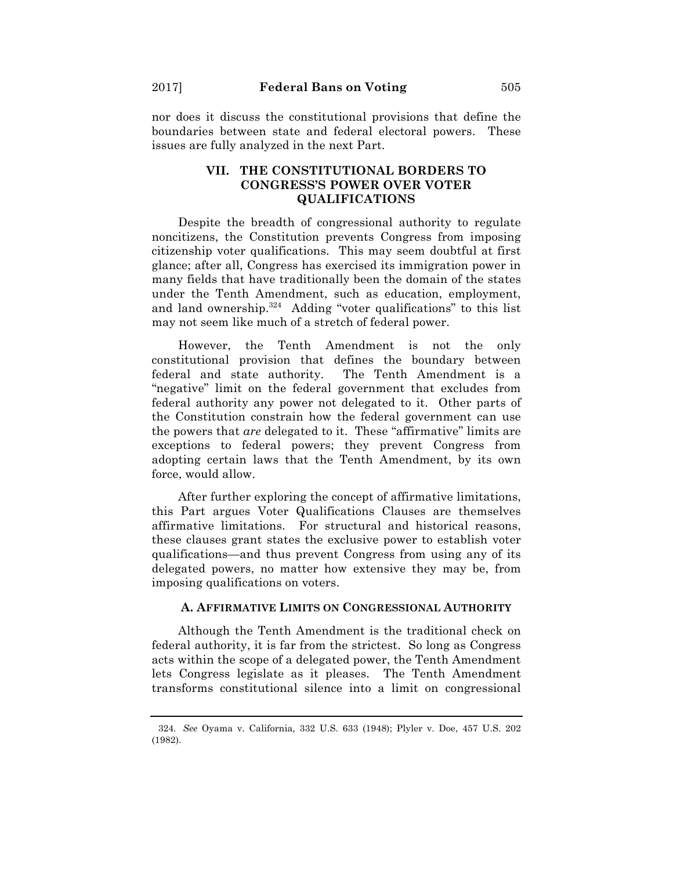nor does it discuss the constitutional provisions that define the boundaries between state and federal electoral powers. These issues are fully analyzed in the next Part.

# **VII. THE CONSTITUTIONAL BORDERS TO CONGRESS'S POWER OVER VOTER QUALIFICATIONS**

Despite the breadth of congressional authority to regulate noncitizens, the Constitution prevents Congress from imposing citizenship voter qualifications. This may seem doubtful at first glance; after all, Congress has exercised its immigration power in many fields that have traditionally been the domain of the states under the Tenth Amendment, such as education, employment, and land ownership. $324$  Adding "voter qualifications" to this list may not seem like much of a stretch of federal power.

However, the Tenth Amendment is not the only constitutional provision that defines the boundary between federal and state authority. The Tenth Amendment is a "negative" limit on the federal government that excludes from federal authority any power not delegated to it. Other parts of the Constitution constrain how the federal government can use the powers that *are* delegated to it. These "affirmative" limits are exceptions to federal powers; they prevent Congress from adopting certain laws that the Tenth Amendment, by its own force, would allow.

After further exploring the concept of affirmative limitations, this Part argues Voter Qualifications Clauses are themselves affirmative limitations. For structural and historical reasons, these clauses grant states the exclusive power to establish voter qualifications—and thus prevent Congress from using any of its delegated powers, no matter how extensive they may be, from imposing qualifications on voters.

### **A. AFFIRMATIVE LIMITS ON CONGRESSIONAL AUTHORITY**

Although the Tenth Amendment is the traditional check on federal authority, it is far from the strictest. So long as Congress acts within the scope of a delegated power, the Tenth Amendment lets Congress legislate as it pleases. The Tenth Amendment transforms constitutional silence into a limit on congressional

<sup>324.</sup> *See* Oyama v. California*,* 332 U.S. 633 (1948); Plyler v. Doe, 457 U.S. 202 (1982).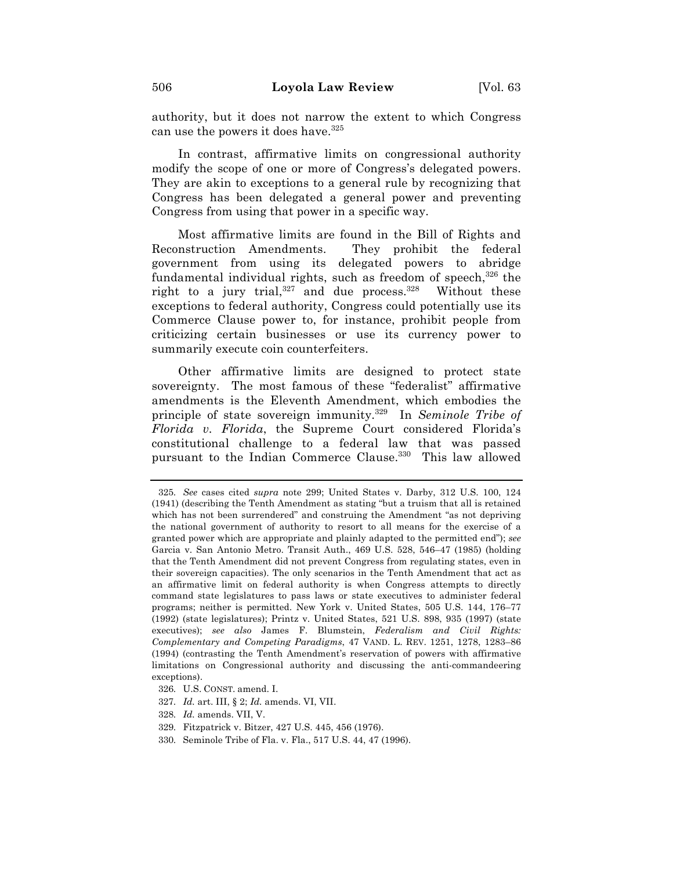authority, but it does not narrow the extent to which Congress can use the powers it does have.  $325$ 

In contrast, affirmative limits on congressional authority modify the scope of one or more of Congress's delegated powers. They are akin to exceptions to a general rule by recognizing that Congress has been delegated a general power and preventing Congress from using that power in a specific way.

Most affirmative limits are found in the Bill of Rights and Reconstruction Amendments. They prohibit the federal government from using its delegated powers to abridge fundamental individual rights, such as freedom of speech, $326$  the right to a jury trial,  $327$  and due process.  $328$  Without these exceptions to federal authority, Congress could potentially use its Commerce Clause power to, for instance, prohibit people from criticizing certain businesses or use its currency power to summarily execute coin counterfeiters.

Other affirmative limits are designed to protect state sovereignty. The most famous of these "federalist" affirmative amendments is the Eleventh Amendment, which embodies the principle of state sovereign immunity.329 In *Seminole Tribe of Florida v. Florida*, the Supreme Court considered Florida's constitutional challenge to a federal law that was passed pursuant to the Indian Commerce Clause.<sup>330</sup> This law allowed

- 329. Fitzpatrick v. Bitzer, 427 U.S. 445, 456 (1976).
- 330. Seminole Tribe of Fla. v. Fla., 517 U.S. 44, 47 (1996).

<sup>325.</sup> *See* cases cited *supra* note 299; United States v. Darby, 312 U.S. 100, 124 (1941) (describing the Tenth Amendment as stating "but a truism that all is retained which has not been surrendered" and construing the Amendment "as not depriving the national government of authority to resort to all means for the exercise of a granted power which are appropriate and plainly adapted to the permitted end"); *see* Garcia v. San Antonio Metro. Transit Auth., 469 U.S. 528, 546–47 (1985) (holding that the Tenth Amendment did not prevent Congress from regulating states, even in their sovereign capacities). The only scenarios in the Tenth Amendment that act as an affirmative limit on federal authority is when Congress attempts to directly command state legislatures to pass laws or state executives to administer federal programs; neither is permitted. New York v. United States, 505 U.S. 144, 176–77 (1992) (state legislatures); Printz v. United States, 521 U.S. 898, 935 (1997) (state executives); *see also* James F. Blumstein, *Federalism and Civil Rights: Complementary and Competing Paradigms*, 47 VAND. L. REV. 1251, 1278, 1283–86 (1994) (contrasting the Tenth Amendment's reservation of powers with affirmative limitations on Congressional authority and discussing the anti-commandeering exceptions).

<sup>326.</sup> U.S. CONST. amend. I.

<sup>327.</sup> *Id.* art. III, § 2; *Id.* amends. VI, VII.

<sup>328.</sup> *Id.* amends. VII, V.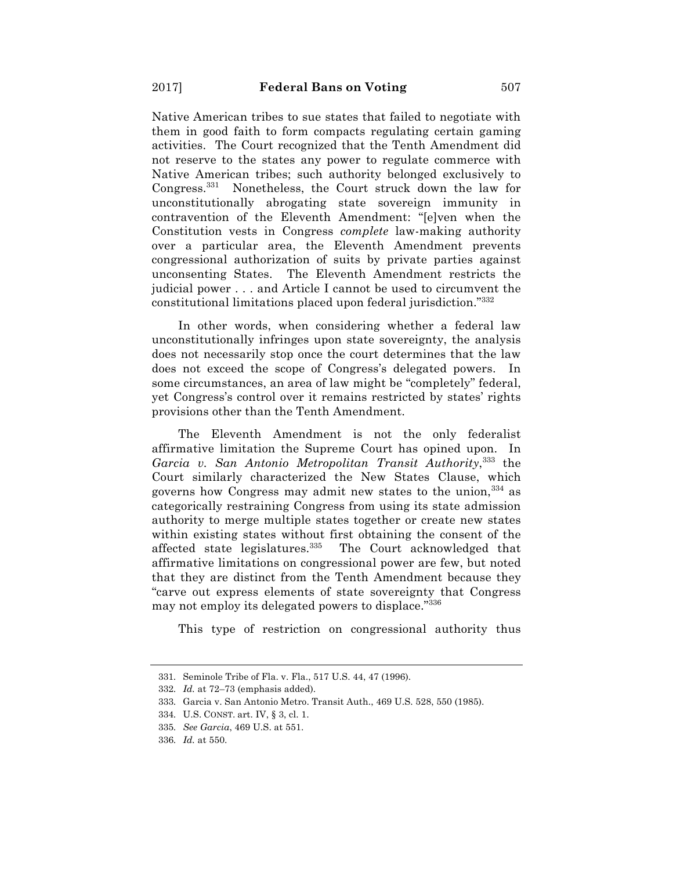Native American tribes to sue states that failed to negotiate with them in good faith to form compacts regulating certain gaming activities. The Court recognized that the Tenth Amendment did not reserve to the states any power to regulate commerce with Native American tribes; such authority belonged exclusively to Congress.331 Nonetheless, the Court struck down the law for unconstitutionally abrogating state sovereign immunity in contravention of the Eleventh Amendment: "[e]ven when the Constitution vests in Congress *complete* law-making authority over a particular area, the Eleventh Amendment prevents congressional authorization of suits by private parties against unconsenting States. The Eleventh Amendment restricts the judicial power . . . and Article I cannot be used to circumvent the constitutional limitations placed upon federal jurisdiction."332

In other words, when considering whether a federal law unconstitutionally infringes upon state sovereignty, the analysis does not necessarily stop once the court determines that the law does not exceed the scope of Congress's delegated powers. In some circumstances, an area of law might be "completely" federal, yet Congress's control over it remains restricted by states' rights provisions other than the Tenth Amendment.

The Eleventh Amendment is not the only federalist affirmative limitation the Supreme Court has opined upon. In *Garcia v. San Antonio Metropolitan Transit Authority*, <sup>333</sup> the Court similarly characterized the New States Clause, which governs how Congress may admit new states to the union,  $334$  as categorically restraining Congress from using its state admission authority to merge multiple states together or create new states within existing states without first obtaining the consent of the affected state legislatures.<sup>335</sup> The Court acknowledged that affirmative limitations on congressional power are few, but noted that they are distinct from the Tenth Amendment because they "carve out express elements of state sovereignty that Congress may not employ its delegated powers to displace."336

This type of restriction on congressional authority thus

<sup>331.</sup> Seminole Tribe of Fla. v. Fla., 517 U.S. 44, 47 (1996).

<sup>332.</sup> *Id.* at 72–73 (emphasis added).

<sup>333.</sup> Garcia v. San Antonio Metro. Transit Auth., 469 U.S. 528, 550 (1985).

<sup>334.</sup> U.S. CONST. art. IV, § 3, cl. 1.

<sup>335.</sup> *See Garcia*, 469 U.S. at 551.

<sup>336.</sup> *Id.* at 550.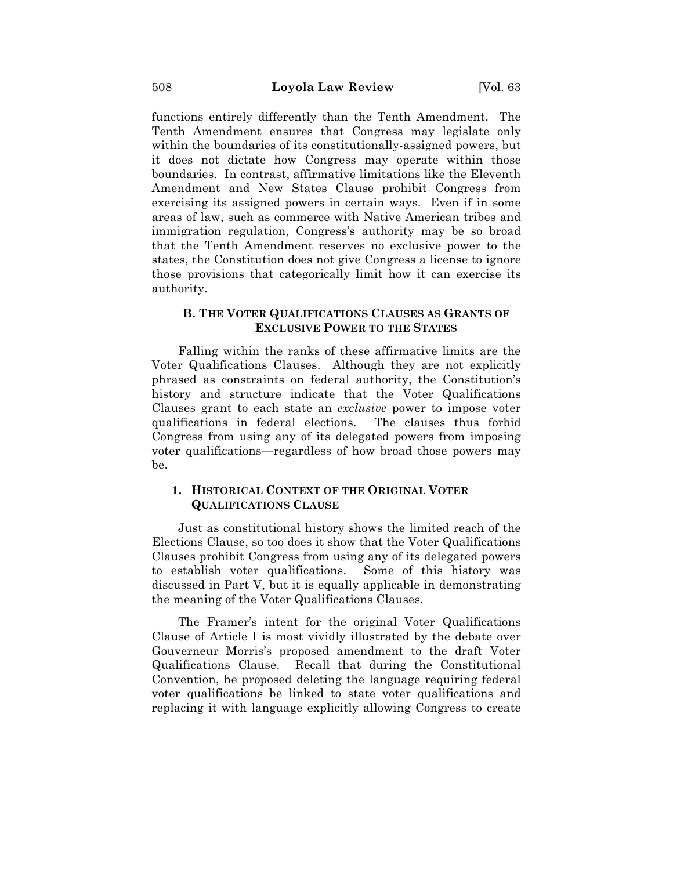functions entirely differently than the Tenth Amendment. The Tenth Amendment ensures that Congress may legislate only within the boundaries of its constitutionally-assigned powers, but it does not dictate how Congress may operate within those boundaries. In contrast, affirmative limitations like the Eleventh Amendment and New States Clause prohibit Congress from exercising its assigned powers in certain ways. Even if in some areas of law, such as commerce with Native American tribes and immigration regulation, Congress's authority may be so broad that the Tenth Amendment reserves no exclusive power to the states, the Constitution does not give Congress a license to ignore those provisions that categorically limit how it can exercise its authority.

## **B. THE VOTER QUALIFICATIONS CLAUSES AS GRANTS OF EXCLUSIVE POWER TO THE STATES**

Falling within the ranks of these affirmative limits are the Voter Qualifications Clauses. Although they are not explicitly phrased as constraints on federal authority, the Constitution's history and structure indicate that the Voter Qualifications Clauses grant to each state an *exclusive* power to impose voter qualifications in federal elections. The clauses thus forbid Congress from using any of its delegated powers from imposing voter qualifications—regardless of how broad those powers may be.

## **1. HISTORICAL CONTEXT OF THE ORIGINAL VOTER QUALIFICATIONS CLAUSE**

Just as constitutional history shows the limited reach of the Elections Clause, so too does it show that the Voter Qualifications Clauses prohibit Congress from using any of its delegated powers to establish voter qualifications. Some of this history was discussed in Part V, but it is equally applicable in demonstrating the meaning of the Voter Qualifications Clauses.

The Framer's intent for the original Voter Qualifications Clause of Article I is most vividly illustrated by the debate over Gouverneur Morris's proposed amendment to the draft Voter Qualifications Clause. Recall that during the Constitutional Convention, he proposed deleting the language requiring federal voter qualifications be linked to state voter qualifications and replacing it with language explicitly allowing Congress to create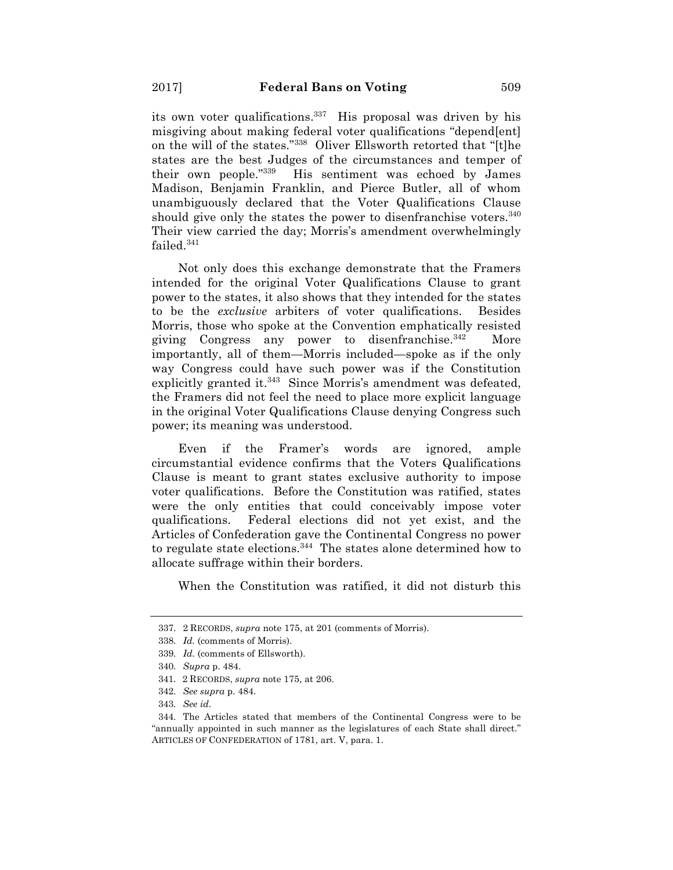its own voter qualifications.<sup>337</sup> His proposal was driven by his misgiving about making federal voter qualifications "depend[ent] on the will of the states."<sup>338</sup> Oliver Ellsworth retorted that "[t]he states are the best Judges of the circumstances and temper of their own people."339 His sentiment was echoed by James Madison, Benjamin Franklin, and Pierce Butler, all of whom unambiguously declared that the Voter Qualifications Clause should give only the states the power to disenfranchise voters.<sup>340</sup> Their view carried the day; Morris's amendment overwhelmingly failed.341

Not only does this exchange demonstrate that the Framers intended for the original Voter Qualifications Clause to grant power to the states, it also shows that they intended for the states to be the *exclusive* arbiters of voter qualifications. Besides Morris, those who spoke at the Convention emphatically resisted giving Congress any power to disenfranchise.<sup>342</sup> More importantly, all of them—Morris included—spoke as if the only way Congress could have such power was if the Constitution explicitly granted it.<sup>343</sup> Since Morris's amendment was defeated, the Framers did not feel the need to place more explicit language in the original Voter Qualifications Clause denying Congress such power; its meaning was understood.

Even if the Framer's words are ignored, ample circumstantial evidence confirms that the Voters Qualifications Clause is meant to grant states exclusive authority to impose voter qualifications. Before the Constitution was ratified, states were the only entities that could conceivably impose voter qualifications. Federal elections did not yet exist, and the Articles of Confederation gave the Continental Congress no power to regulate state elections.344 The states alone determined how to allocate suffrage within their borders.

When the Constitution was ratified, it did not disturb this

<sup>337.</sup> 2 RECORDS, *supra* note 175, at 201 (comments of Morris).

<sup>338.</sup> *Id.* (comments of Morris).

<sup>339.</sup> *Id.* (comments of Ellsworth).

<sup>340.</sup> *Supra* p. 484.

<sup>341.</sup> 2 RECORDS, *supra* note 175, at 206.

<sup>342.</sup> *See supra* p. 484.

<sup>343.</sup> *See id.*

<sup>344.</sup> The Articles stated that members of the Continental Congress were to be "annually appointed in such manner as the legislatures of each State shall direct." ARTICLES OF CONFEDERATION of 1781, art. V, para. 1.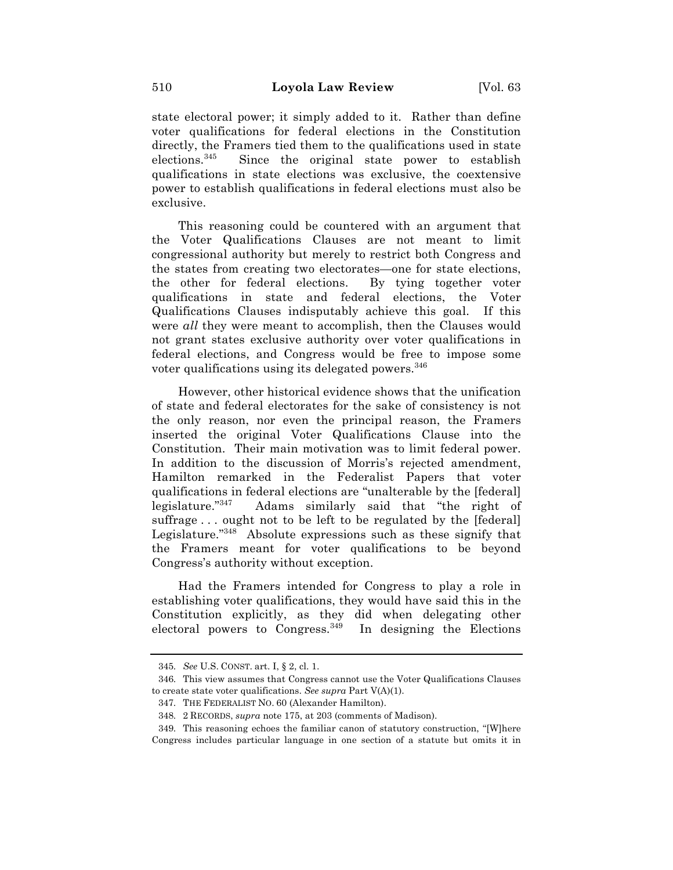state electoral power; it simply added to it. Rather than define voter qualifications for federal elections in the Constitution directly, the Framers tied them to the qualifications used in state elections.345 Since the original state power to establish qualifications in state elections was exclusive, the coextensive power to establish qualifications in federal elections must also be exclusive.

This reasoning could be countered with an argument that the Voter Qualifications Clauses are not meant to limit congressional authority but merely to restrict both Congress and the states from creating two electorates—one for state elections, the other for federal elections. By tying together voter qualifications in state and federal elections, the Voter Qualifications Clauses indisputably achieve this goal. If this were *all* they were meant to accomplish, then the Clauses would not grant states exclusive authority over voter qualifications in federal elections, and Congress would be free to impose some voter qualifications using its delegated powers.<sup>346</sup>

However, other historical evidence shows that the unification of state and federal electorates for the sake of consistency is not the only reason, nor even the principal reason, the Framers inserted the original Voter Qualifications Clause into the Constitution. Their main motivation was to limit federal power. In addition to the discussion of Morris's rejected amendment, Hamilton remarked in the Federalist Papers that voter qualifications in federal elections are "unalterable by the [federal] legislature."347 Adams similarly said that "the right of suffrage ... ought not to be left to be regulated by the [federal] Legislature."348 Absolute expressions such as these signify that the Framers meant for voter qualifications to be beyond Congress's authority without exception.

Had the Framers intended for Congress to play a role in establishing voter qualifications, they would have said this in the Constitution explicitly, as they did when delegating other electoral powers to Congress.<sup>349</sup> In designing the Elections

<sup>345.</sup> *See* U.S. CONST. art. I, § 2, cl. 1.

<sup>346.</sup> This view assumes that Congress cannot use the Voter Qualifications Clauses to create state voter qualifications. *See supra* Part V(A)(1).

<sup>347.</sup> THE FEDERALIST NO. 60 (Alexander Hamilton).

<sup>348.</sup> 2 RECORDS, *supra* note 175, at 203 (comments of Madison).

<sup>349.</sup> This reasoning echoes the familiar canon of statutory construction, "[W]here Congress includes particular language in one section of a statute but omits it in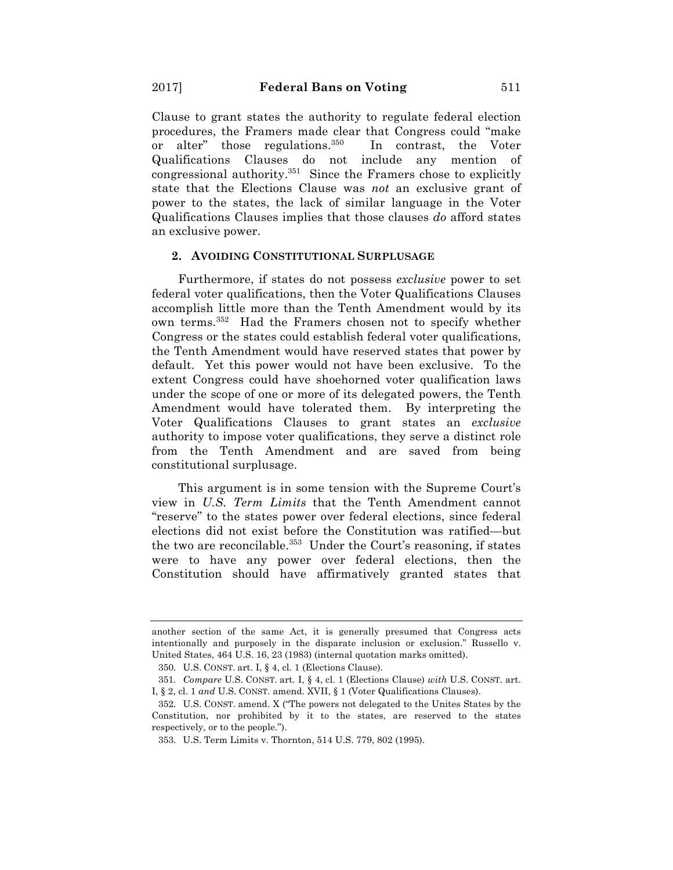Clause to grant states the authority to regulate federal election procedures, the Framers made clear that Congress could "make or alter" those regulations.<sup>350</sup> In contrast, the Voter Qualifications Clauses do not include any mention of congressional authority.351 Since the Framers chose to explicitly state that the Elections Clause was *not* an exclusive grant of power to the states, the lack of similar language in the Voter Qualifications Clauses implies that those clauses *do* afford states an exclusive power.

### **2. AVOIDING CONSTITUTIONAL SURPLUSAGE**

Furthermore, if states do not possess *exclusive* power to set federal voter qualifications, then the Voter Qualifications Clauses accomplish little more than the Tenth Amendment would by its own terms.352 Had the Framers chosen not to specify whether Congress or the states could establish federal voter qualifications, the Tenth Amendment would have reserved states that power by default. Yet this power would not have been exclusive. To the extent Congress could have shoehorned voter qualification laws under the scope of one or more of its delegated powers, the Tenth Amendment would have tolerated them. By interpreting the Voter Qualifications Clauses to grant states an *exclusive*  authority to impose voter qualifications, they serve a distinct role from the Tenth Amendment and are saved from being constitutional surplusage.

This argument is in some tension with the Supreme Court's view in *U.S. Term Limits* that the Tenth Amendment cannot "reserve" to the states power over federal elections, since federal elections did not exist before the Constitution was ratified—but the two are reconcilable.<sup>353</sup> Under the Court's reasoning, if states were to have any power over federal elections, then the Constitution should have affirmatively granted states that

another section of the same Act, it is generally presumed that Congress acts intentionally and purposely in the disparate inclusion or exclusion." Russello v. United States, 464 U.S. 16, 23 (1983) (internal quotation marks omitted).

<sup>350.</sup> U.S. CONST. art. I, § 4, cl. 1 (Elections Clause)*.*

<sup>351.</sup> *Compare* U.S. CONST. art. I, § 4, cl. 1 (Elections Clause) *with* U.S. CONST. art. I, § 2, cl. 1 *and* U.S. CONST. amend. XVII, § 1 (Voter Qualifications Clauses).

<sup>352.</sup> U.S. CONST. amend. X ("The powers not delegated to the Unites States by the Constitution, nor prohibited by it to the states, are reserved to the states respectively, or to the people.").

<sup>353.</sup> U.S. Term Limits v. Thornton, 514 U.S. 779, 802 (1995).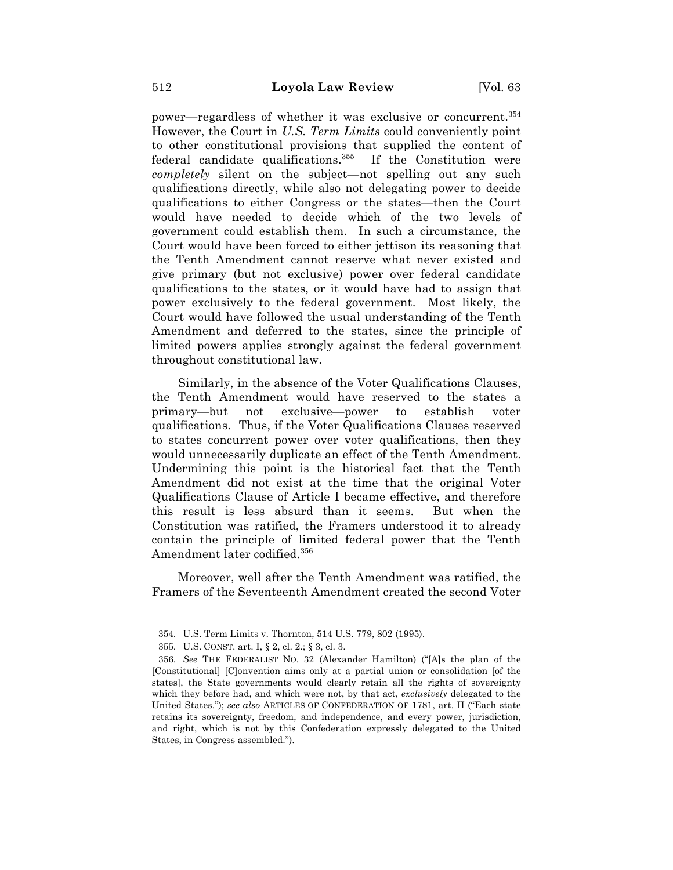power—regardless of whether it was exclusive or concurrent.354 However, the Court in *U.S. Term Limits* could conveniently point to other constitutional provisions that supplied the content of federal candidate qualifications.355 If the Constitution were *completely* silent on the subject—not spelling out any such qualifications directly, while also not delegating power to decide qualifications to either Congress or the states—then the Court would have needed to decide which of the two levels of government could establish them. In such a circumstance, the Court would have been forced to either jettison its reasoning that the Tenth Amendment cannot reserve what never existed and give primary (but not exclusive) power over federal candidate qualifications to the states, or it would have had to assign that power exclusively to the federal government. Most likely, the Court would have followed the usual understanding of the Tenth Amendment and deferred to the states, since the principle of limited powers applies strongly against the federal government throughout constitutional law.

Similarly, in the absence of the Voter Qualifications Clauses, the Tenth Amendment would have reserved to the states a primary—but not exclusive—power to establish voter qualifications. Thus, if the Voter Qualifications Clauses reserved to states concurrent power over voter qualifications, then they would unnecessarily duplicate an effect of the Tenth Amendment. Undermining this point is the historical fact that the Tenth Amendment did not exist at the time that the original Voter Qualifications Clause of Article I became effective, and therefore this result is less absurd than it seems. But when the Constitution was ratified, the Framers understood it to already contain the principle of limited federal power that the Tenth Amendment later codified.<sup>356</sup>

Moreover, well after the Tenth Amendment was ratified, the Framers of the Seventeenth Amendment created the second Voter

<sup>354.</sup> U.S. Term Limits v. Thornton, 514 U.S. 779, 802 (1995).

<sup>355.</sup> U.S. CONST. art. I, § 2, cl. 2.; § 3, cl. 3.

<sup>356.</sup> *See* THE FEDERALIST NO. 32 (Alexander Hamilton) ("[A]s the plan of the [Constitutional] [C]onvention aims only at a partial union or consolidation [of the states], the State governments would clearly retain all the rights of sovereignty which they before had, and which were not, by that act, *exclusively* delegated to the United States."); *see also* ARTICLES OF CONFEDERATION OF 1781, art. II ("Each state retains its sovereignty, freedom, and independence, and every power, jurisdiction, and right, which is not by this Confederation expressly delegated to the United States, in Congress assembled.").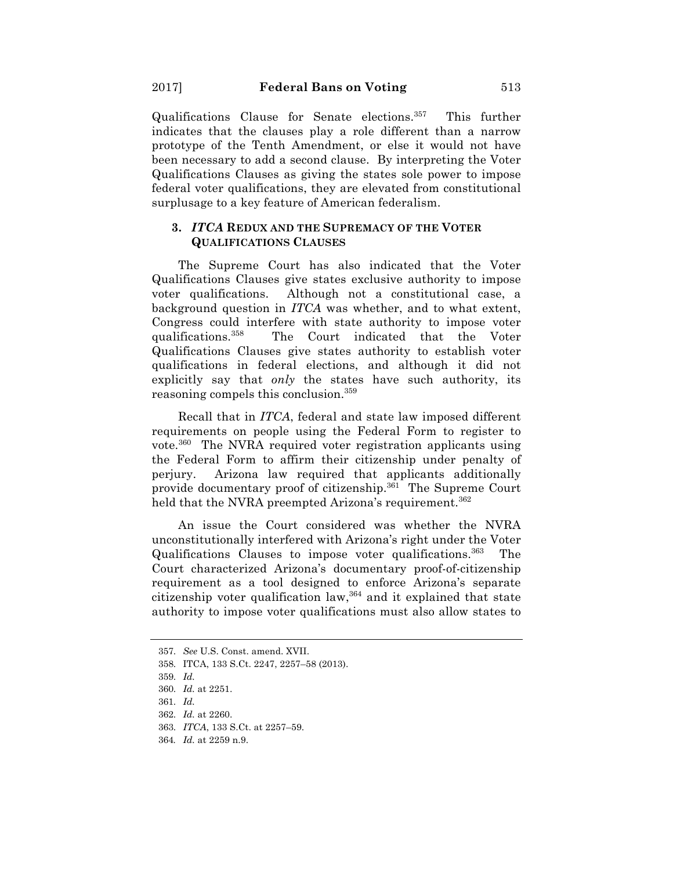Qualifications Clause for Senate elections.357 This further indicates that the clauses play a role different than a narrow prototype of the Tenth Amendment, or else it would not have been necessary to add a second clause. By interpreting the Voter Qualifications Clauses as giving the states sole power to impose federal voter qualifications, they are elevated from constitutional surplusage to a key feature of American federalism.

## **3.** *ITCA* **REDUX AND THE SUPREMACY OF THE VOTER QUALIFICATIONS CLAUSES**

The Supreme Court has also indicated that the Voter Qualifications Clauses give states exclusive authority to impose voter qualifications. Although not a constitutional case, a background question in *ITCA* was whether, and to what extent, Congress could interfere with state authority to impose voter qualifications.358 The Court indicated that the Voter Qualifications Clauses give states authority to establish voter qualifications in federal elections, and although it did not explicitly say that *only* the states have such authority, its reasoning compels this conclusion.359

Recall that in *ITCA*, federal and state law imposed different requirements on people using the Federal Form to register to vote.360 The NVRA required voter registration applicants using the Federal Form to affirm their citizenship under penalty of perjury. Arizona law required that applicants additionally provide documentary proof of citizenship.361 The Supreme Court held that the NVRA preempted Arizona's requirement.<sup>362</sup>

An issue the Court considered was whether the NVRA unconstitutionally interfered with Arizona's right under the Voter Qualifications Clauses to impose voter qualifications.363 The Court characterized Arizona's documentary proof-of-citizenship requirement as a tool designed to enforce Arizona's separate citizenship voter qualification law,  $364$  and it explained that state authority to impose voter qualifications must also allow states to

363. *ITCA*, 133 S.Ct. at 2257–59.

<sup>357.</sup> *See* U.S. Const. amend. XVII.

<sup>358.</sup> ITCA, 133 S.Ct. 2247, 2257–58 (2013).

<sup>359.</sup> *Id.*

<sup>360.</sup> *Id.* at 2251.

<sup>361.</sup> *Id.*

<sup>362.</sup> *Id.* at 2260.

<sup>364</sup>*. Id.* at 2259 n.9.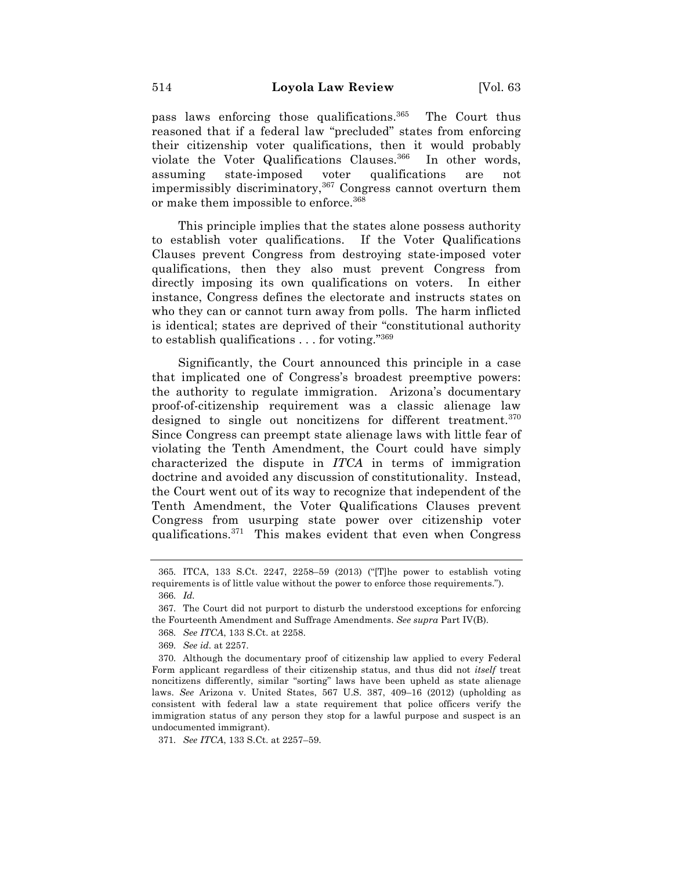pass laws enforcing those qualifications.365 The Court thus reasoned that if a federal law "precluded" states from enforcing their citizenship voter qualifications, then it would probably violate the Voter Qualifications Clauses.<sup>366</sup> In other words, assuming state-imposed voter qualifications are not impermissibly discriminatory,  $367$  Congress cannot overturn them or make them impossible to enforce.<sup>368</sup>

This principle implies that the states alone possess authority to establish voter qualifications. If the Voter Qualifications Clauses prevent Congress from destroying state-imposed voter qualifications, then they also must prevent Congress from directly imposing its own qualifications on voters. In either instance, Congress defines the electorate and instructs states on who they can or cannot turn away from polls. The harm inflicted is identical; states are deprived of their "constitutional authority to establish qualifications  $\dots$  for voting."<sup>369</sup>

Significantly, the Court announced this principle in a case that implicated one of Congress's broadest preemptive powers: the authority to regulate immigration. Arizona's documentary proof-of-citizenship requirement was a classic alienage law designed to single out noncitizens for different treatment.<sup>370</sup> Since Congress can preempt state alienage laws with little fear of violating the Tenth Amendment, the Court could have simply characterized the dispute in *ITCA* in terms of immigration doctrine and avoided any discussion of constitutionality. Instead, the Court went out of its way to recognize that independent of the Tenth Amendment, the Voter Qualifications Clauses prevent Congress from usurping state power over citizenship voter qualifications.371 This makes evident that even when Congress

368. *See ITCA*, 133 S.Ct. at 2258.

371. *See ITCA*, 133 S.Ct. at 2257–59.

<sup>365.</sup> ITCA, 133 S.Ct. 2247, 2258–59 (2013) ("[T]he power to establish voting requirements is of little value without the power to enforce those requirements."). 366. *Id.*

<sup>367.</sup> The Court did not purport to disturb the understood exceptions for enforcing the Fourteenth Amendment and Suffrage Amendments. *See supra* Part IV(B).

<sup>369.</sup> *See id.* at 2257.

<sup>370.</sup> Although the documentary proof of citizenship law applied to every Federal Form applicant regardless of their citizenship status, and thus did not *itself* treat noncitizens differently, similar "sorting" laws have been upheld as state alienage laws. *See* Arizona v. United States, 567 U.S. 387, 409–16 (2012) (upholding as consistent with federal law a state requirement that police officers verify the immigration status of any person they stop for a lawful purpose and suspect is an undocumented immigrant).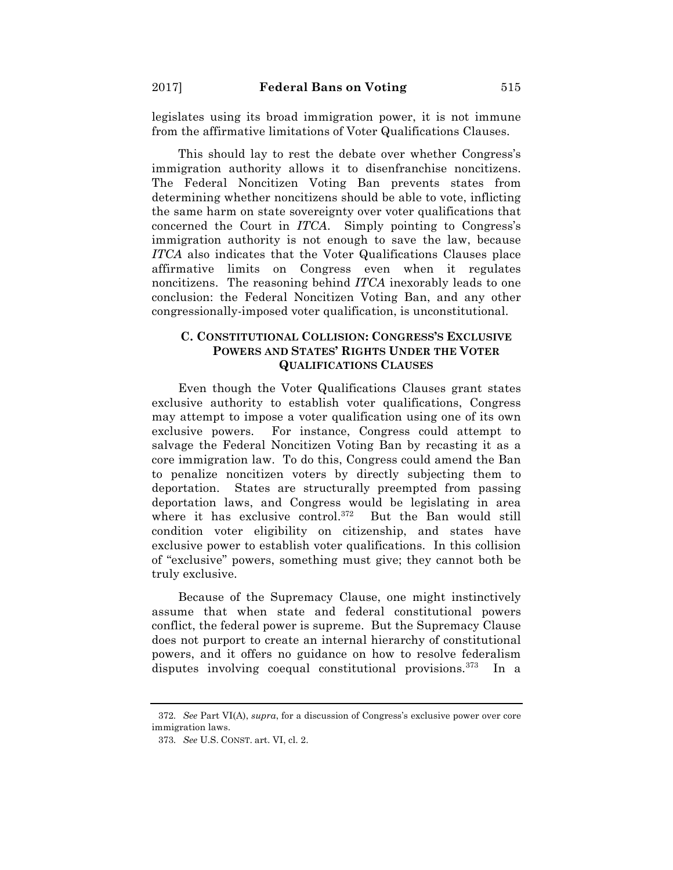legislates using its broad immigration power, it is not immune from the affirmative limitations of Voter Qualifications Clauses.

This should lay to rest the debate over whether Congress's immigration authority allows it to disenfranchise noncitizens. The Federal Noncitizen Voting Ban prevents states from determining whether noncitizens should be able to vote, inflicting the same harm on state sovereignty over voter qualifications that concerned the Court in *ITCA*. Simply pointing to Congress's immigration authority is not enough to save the law, because *ITCA* also indicates that the Voter Qualifications Clauses place affirmative limits on Congress even when it regulates noncitizens. The reasoning behind *ITCA* inexorably leads to one conclusion: the Federal Noncitizen Voting Ban, and any other congressionally-imposed voter qualification, is unconstitutional.

# **C. CONSTITUTIONAL COLLISION: CONGRESS'S EXCLUSIVE POWERS AND STATES' RIGHTS UNDER THE VOTER QUALIFICATIONS CLAUSES**

Even though the Voter Qualifications Clauses grant states exclusive authority to establish voter qualifications, Congress may attempt to impose a voter qualification using one of its own exclusive powers. For instance, Congress could attempt to salvage the Federal Noncitizen Voting Ban by recasting it as a core immigration law. To do this, Congress could amend the Ban to penalize noncitizen voters by directly subjecting them to deportation. States are structurally preempted from passing deportation laws, and Congress would be legislating in area where it has exclusive control.372 But the Ban would still condition voter eligibility on citizenship, and states have exclusive power to establish voter qualifications. In this collision of "exclusive" powers, something must give; they cannot both be truly exclusive.

Because of the Supremacy Clause, one might instinctively assume that when state and federal constitutional powers conflict, the federal power is supreme. But the Supremacy Clause does not purport to create an internal hierarchy of constitutional powers, and it offers no guidance on how to resolve federalism disputes involving coequal constitutional provisions.<sup>373</sup> In a

<sup>372.</sup> *See* Part VI(A), *supra*, for a discussion of Congress's exclusive power over core immigration laws.

<sup>373.</sup> *See* U.S. CONST. art. VI, cl. 2.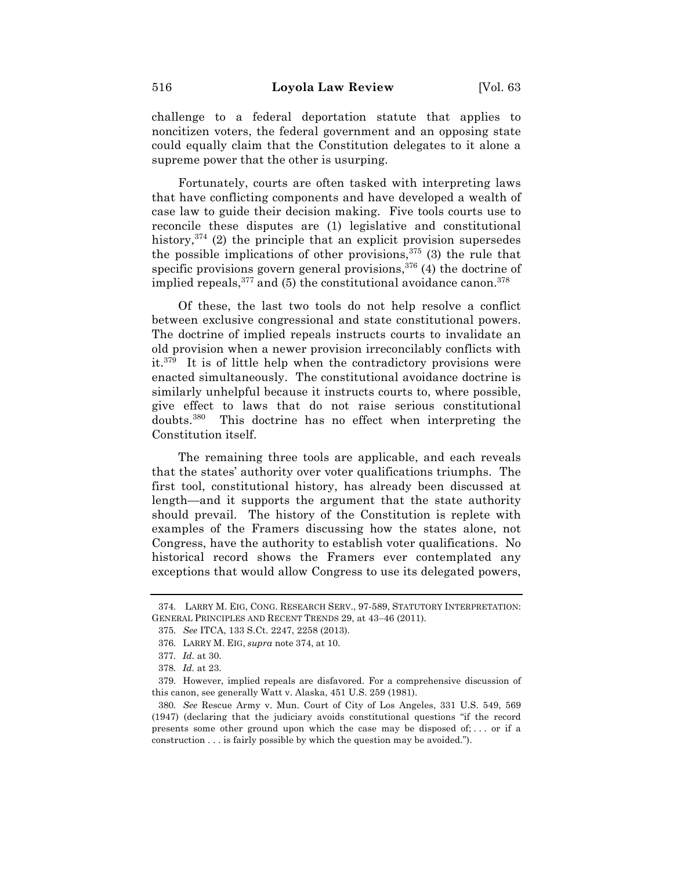challenge to a federal deportation statute that applies to noncitizen voters, the federal government and an opposing state could equally claim that the Constitution delegates to it alone a supreme power that the other is usurping.

Fortunately, courts are often tasked with interpreting laws that have conflicting components and have developed a wealth of case law to guide their decision making. Five tools courts use to reconcile these disputes are (1) legislative and constitutional history,  $374$  (2) the principle that an explicit provision supersedes the possible implications of other provisions,  $375$  (3) the rule that specific provisions govern general provisions,  $376$  (4) the doctrine of implied repeals,  $377$  and (5) the constitutional avoidance canon.  $378$ 

Of these, the last two tools do not help resolve a conflict between exclusive congressional and state constitutional powers. The doctrine of implied repeals instructs courts to invalidate an old provision when a newer provision irreconcilably conflicts with it. $379$  It is of little help when the contradictory provisions were enacted simultaneously. The constitutional avoidance doctrine is similarly unhelpful because it instructs courts to, where possible, give effect to laws that do not raise serious constitutional doubts.380 This doctrine has no effect when interpreting the Constitution itself.

The remaining three tools are applicable, and each reveals that the states' authority over voter qualifications triumphs. The first tool, constitutional history, has already been discussed at length—and it supports the argument that the state authority should prevail. The history of the Constitution is replete with examples of the Framers discussing how the states alone, not Congress, have the authority to establish voter qualifications. No historical record shows the Framers ever contemplated any exceptions that would allow Congress to use its delegated powers,

<sup>374.</sup> LARRY M. EIG, CONG. RESEARCH SERV., 97-589, STATUTORY INTERPRETATION: GENERAL PRINCIPLES AND RECENT TRENDS 29, at 43-46 (2011).

<sup>375.</sup> *See* ITCA, 133 S.Ct. 2247, 2258 (2013).

<sup>376.</sup> LARRY M. EIG, *supra* note 374, at 10.

<sup>377.</sup> *Id.* at 30.

<sup>378.</sup> *Id.* at 23.

<sup>379.</sup> However, implied repeals are disfavored. For a comprehensive discussion of this canon, see generally Watt v. Alaska, 451 U.S. 259 (1981).

<sup>380.</sup> *See* Rescue Army v. Mun. Court of City of Los Angeles, 331 U.S. 549, 569 (1947) (declaring that the judiciary avoids constitutional questions "if the record presents some other ground upon which the case may be disposed of; . . . or if a construction . . . is fairly possible by which the question may be avoided.").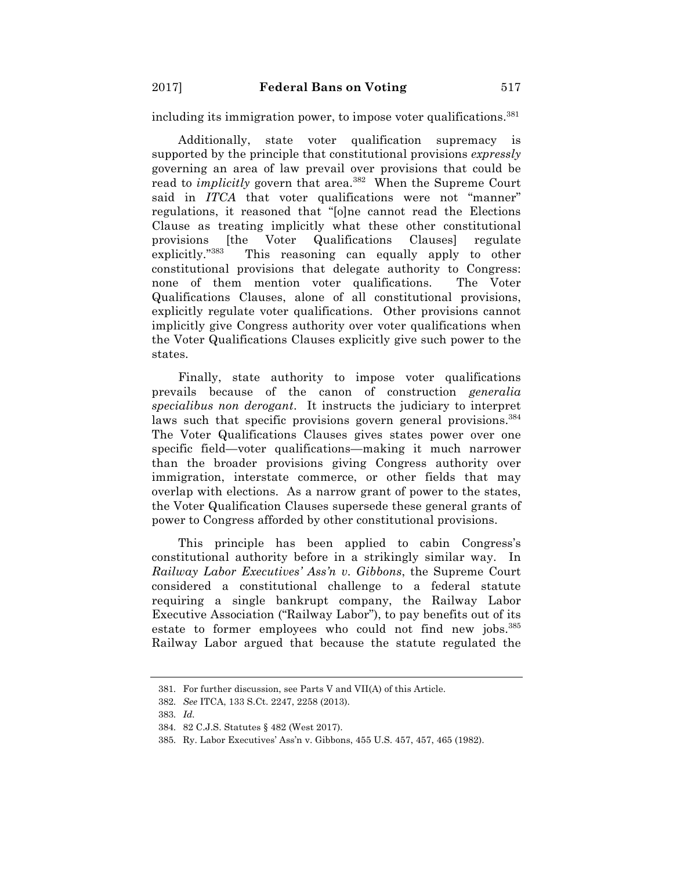including its immigration power, to impose voter qualifications.<sup>381</sup>

Additionally, state voter qualification supremacy is supported by the principle that constitutional provisions *expressly* governing an area of law prevail over provisions that could be read to *implicitly* govern that area.<sup>382</sup> When the Supreme Court said in *ITCA* that voter qualifications were not "manner" regulations, it reasoned that "[o]ne cannot read the Elections Clause as treating implicitly what these other constitutional provisions [the Voter Qualifications Clauses] regulate explicitly."383 This reasoning can equally apply to other constitutional provisions that delegate authority to Congress: none of them mention voter qualifications. The Voter Qualifications Clauses, alone of all constitutional provisions, explicitly regulate voter qualifications. Other provisions cannot implicitly give Congress authority over voter qualifications when the Voter Qualifications Clauses explicitly give such power to the states.

Finally, state authority to impose voter qualifications prevails because of the canon of construction *generalia specialibus non derogant*. It instructs the judiciary to interpret laws such that specific provisions govern general provisions.<sup>384</sup> The Voter Qualifications Clauses gives states power over one specific field—voter qualifications—making it much narrower than the broader provisions giving Congress authority over immigration, interstate commerce, or other fields that may overlap with elections. As a narrow grant of power to the states, the Voter Qualification Clauses supersede these general grants of power to Congress afforded by other constitutional provisions.

This principle has been applied to cabin Congress's constitutional authority before in a strikingly similar way. In *Railway Labor Executives' Ass'n v. Gibbons*, the Supreme Court considered a constitutional challenge to a federal statute requiring a single bankrupt company, the Railway Labor Executive Association ("Railway Labor"), to pay benefits out of its estate to former employees who could not find new jobs.<sup>385</sup> Railway Labor argued that because the statute regulated the

<sup>381.</sup> For further discussion, see Parts V and VII(A) of this Article.

<sup>382.</sup> *See* ITCA, 133 S.Ct. 2247, 2258 (2013).

<sup>383.</sup> *Id.*

<sup>384.</sup> 82 C.J.S. Statutes § 482 (West 2017).

<sup>385.</sup> Ry. Labor Executives' Ass'n v. Gibbons, 455 U.S. 457, 457, 465 (1982).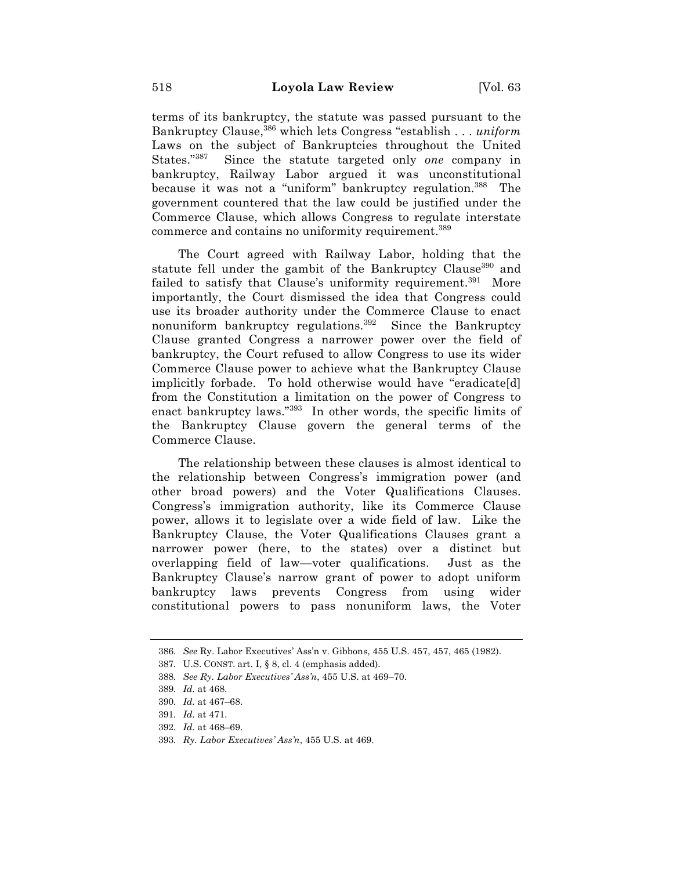terms of its bankruptcy, the statute was passed pursuant to the Bankruptcy Clause,386 which lets Congress "establish . . . *uniform* Laws on the subject of Bankruptcies throughout the United States."387 Since the statute targeted only *one* company in bankruptcy, Railway Labor argued it was unconstitutional because it was not a "uniform" bankruptcy regulation.<sup>388</sup> The government countered that the law could be justified under the Commerce Clause, which allows Congress to regulate interstate commerce and contains no uniformity requirement.<sup>389</sup>

The Court agreed with Railway Labor, holding that the statute fell under the gambit of the Bankruptcy Clause<sup>390</sup> and failed to satisfy that Clause's uniformity requirement.<sup>391</sup> More importantly, the Court dismissed the idea that Congress could use its broader authority under the Commerce Clause to enact nonuniform bankruptcy regulations.<sup>392</sup> Since the Bankruptcy Clause granted Congress a narrower power over the field of bankruptcy, the Court refused to allow Congress to use its wider Commerce Clause power to achieve what the Bankruptcy Clause implicitly forbade. To hold otherwise would have "eradicate[d] from the Constitution a limitation on the power of Congress to enact bankruptcy laws."393 In other words, the specific limits of the Bankruptcy Clause govern the general terms of the Commerce Clause.

The relationship between these clauses is almost identical to the relationship between Congress's immigration power (and other broad powers) and the Voter Qualifications Clauses. Congress's immigration authority, like its Commerce Clause power, allows it to legislate over a wide field of law. Like the Bankruptcy Clause, the Voter Qualifications Clauses grant a narrower power (here, to the states) over a distinct but overlapping field of law—voter qualifications. Just as the Bankruptcy Clause's narrow grant of power to adopt uniform bankruptcy laws prevents Congress from using wider constitutional powers to pass nonuniform laws, the Voter

- 392. *Id.* at 468–69.
- 393. *Ry. Labor Executives' Ass'n*, 455 U.S. at 469.

<sup>386.</sup> *See* Ry. Labor Executives' Ass'n v. Gibbons, 455 U.S. 457, 457, 465 (1982).

<sup>387.</sup> U.S. CONST. art. I, § 8, cl. 4 (emphasis added).

<sup>388.</sup> *See Ry. Labor Executives' Ass'n*, 455 U.S. at 469–70.

<sup>389.</sup> *Id.* at 468.

<sup>390.</sup> *Id.* at 467–68.

<sup>391.</sup> *Id.* at 471.